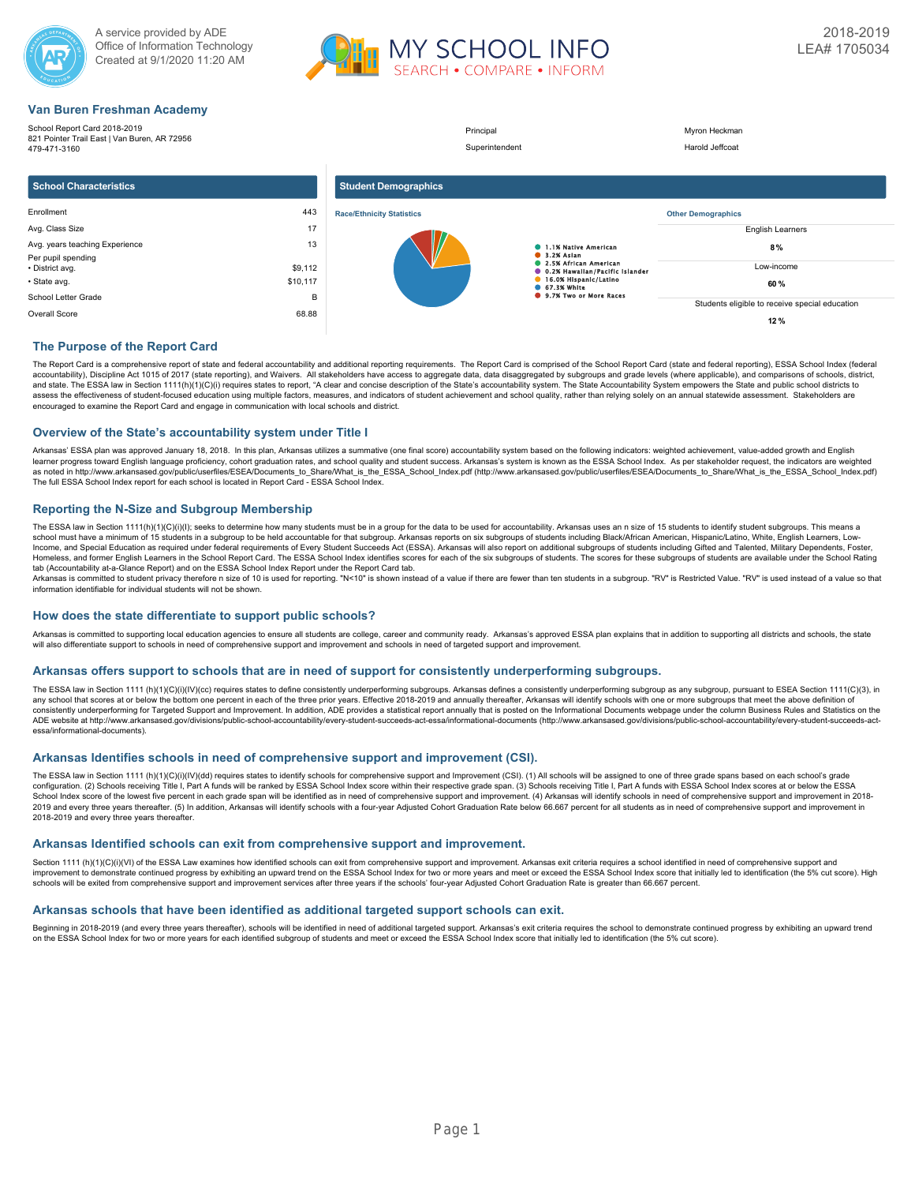



# **Van Buren Freshman Academy**

| School Report Card 2018-2019<br>821 Pointer Trail East   Van Buren, AR 72956<br>479-471-3160 |          |                                  | Principal<br>Superintendent                                    | Myron Heckman<br>Harold Jeffcoat               |
|----------------------------------------------------------------------------------------------|----------|----------------------------------|----------------------------------------------------------------|------------------------------------------------|
| <b>School Characteristics</b>                                                                |          | <b>Student Demographics</b>      |                                                                |                                                |
| Enrollment                                                                                   | 443      | <b>Race/Ethnicity Statistics</b> |                                                                | <b>Other Demographics</b>                      |
| Avg. Class Size                                                                              | 17       |                                  |                                                                | <b>English Learners</b>                        |
| Avg. years teaching Experience<br>Per pupil spending                                         | 13       |                                  | 1.1% Native American<br>3.2% Aslan                             | 8%                                             |
| • District avg.                                                                              | \$9,112  |                                  | 2.5% African American<br><b>0.2% Hawallan/Pacific Islander</b> | Low-income                                     |
| · State avg.                                                                                 | \$10,117 |                                  | 16.0% Hispanic/Latino<br><b>67.3% White</b>                    | 60%                                            |
| School Letter Grade                                                                          | B        |                                  | 9.7% Two or More Races                                         | Students eligible to receive special education |
| Overall Score                                                                                | 68.88    |                                  |                                                                | 12%                                            |

### **The Purpose of the Report Card**

The Report Card is a comprehensive report of state and federal accountability and additional reporting requirements. The Report Card is comprised of the School Report Card (state and federal reporting), ESSA School Index ( accountability), Discipline Act 1015 of 2017 (state reporting), and Waivers. All stakeholders have access to aggregate data, data disaggregated by subgroups and grade levels (where applicable), and comparisons of schools, and state. The ESSA law in Section 1111(h)(1)(C)(i) requires states to report, "A clear and concise description of the State's accountability system. The State Accountability System empowers the State and public school dis encouraged to examine the Report Card and engage in communication with local schools and district.

### **Overview of the State's accountability system under Title I**

Arkansas' ESSA plan was approved January 18, 2018. In this plan, Arkansas utilizes a summative (one final score) accountability system based on the following indicators: weighted achievement, value-added growth and English learner progress toward English language proficiency, cohort graduation rates, and school quality and student success. Arkansas's system is known as the ESSA School Index. As per stakeholder request, the indicators are wei as noted in http://www.arkansased.gov/public/userfiles/ESEA/Documents\_to\_Share/What\_is\_the\_ESSA\_School\_Index.pdf) (http://www.arkansased.gov/public/userfiles/ESEA/Documents\_to\_Share/What\_is\_the\_ESSA\_School\_Index.pdf) The full ESSA School Index report for each school is located in Report Card - ESSA School Index.

### **Reporting the N-Size and Subgroup Membership**

The ESSA law in Section 1111(h)(1)(C)(i)(l); seeks to determine how many students must be in a group for the data to be used for accountability. Arkansas uses an n size of 15 students to identify student subgroups. This me Income, and Special Education as required under federal requirements of Every Student Succeeds Act (ESSA). Arkansas will also report on additional subgroups of students including Gifted and Talented, Military Dependents, F Homeless, and former English Learners in the School Report Card. The ESSA School Index identifies scores for each of the six subgroups of students. The scores for these subgroups of students are available under the School tab (Accountability at-a-Glance Report) and on the ESSA School Index Report under the Report Card tab.

Arkansas is committed to student privacy therefore n size of 10 is used for reporting. "N<10" is shown instead of a value if there are fewer than ten students in a subgroup. "RV" is Restricted Value. "RV" is used instead

### **How does the state differentiate to support public schools?**

Arkansas is committed to supporting local education agencies to ensure all students are college, career and community ready. Arkansas's approved ESSA plan explains that in addition to supporting all districts and schools, will also differentiate support to schools in need of comprehensive support and improvement and schools in need of targeted support and improvement.

### **Arkansas offers support to schools that are in need of support for consistently underperforming subgroups.**

The ESSA law in Section 1111 (h)(1)(O)(i)(IV)(cc) requires states to define consistently underperforming subgroups. Arkansas defines a consistently underperforming subgroups as any subgroup, pursuant to ESEA Section 1111(C any school that scores at or below the bottom one percent in each of the three prior years. Effective 2018-2019 and annually thereafter. Arkansas will identify schools with one or more subgroups that meet the above definit consistently underperforming for Targeted Support and Improvement. In addition, ADE provides a statistical report annually that is posted on the Informational Documents webpage under the column Business Rules and Statistic ADE website at http://www.arkansased.gov/divisions/public-school-accountability/every-student-succeeds-act-essa/informational-documents (http://www.arkansased.gov/divisions/public-school-accountability/every-student-succee essa/informational-documents).

### **Arkansas Identifies schools in need of comprehensive support and improvement (CSI).**

The ESSA law in Section 1111 (h)(1)(C)(i)(IV)(dd) requires states to identify schools for comprehensive support and Improvement (CSI). (1) All schools will be assigned to one of three grade spans based on each school's gra School Index score of the lowest five percent in each grade span will be identified as in need of comprehensive support and improvement. (4) Arkansas will identify schools in need of comprehensive support and improvement 2019 and every three years thereafter. (5) In addition, Arkansas will identify schools with a four-year Adjusted Cohort Graduation Rate below 66,667 percent for all students as in need of comprehensive support and improvem 2018-2019 and every three years thereafter.

### **Arkansas Identified schools can exit from comprehensive support and improvement.**

Section 1111 (h)(1)(C)(i)(VI) of the ESSA Law examines how identified schools can exit from comprehensive support and improvement. Arkansas exit criteria requires a school identified in need of comprehensive support and improvement to demonstrate continued progress by exhibiting an upward trend on the ESSA School Index for two or more years and meet or exceed the ESSA School Index score that initially led to identification (the 5% cut sco schools will be exited from comprehensive support and improvement services after three years if the schools' four-year Adjusted Cohort Graduation Rate is greater than 66.667 percent.

### **Arkansas schools that have been identified as additional targeted support schools can exit.**

Beginning in 2018-2019 (and every three years thereafter), schools will be identified in need of additional targeted support. Arkansas's exit criteria requires the school to demonstrate continued progress by exhibiting an on the ESSA School Index for two or more years for each identified subgroup of students and meet or exceed the ESSA School Index score that initially led to identification (the 5% cut score).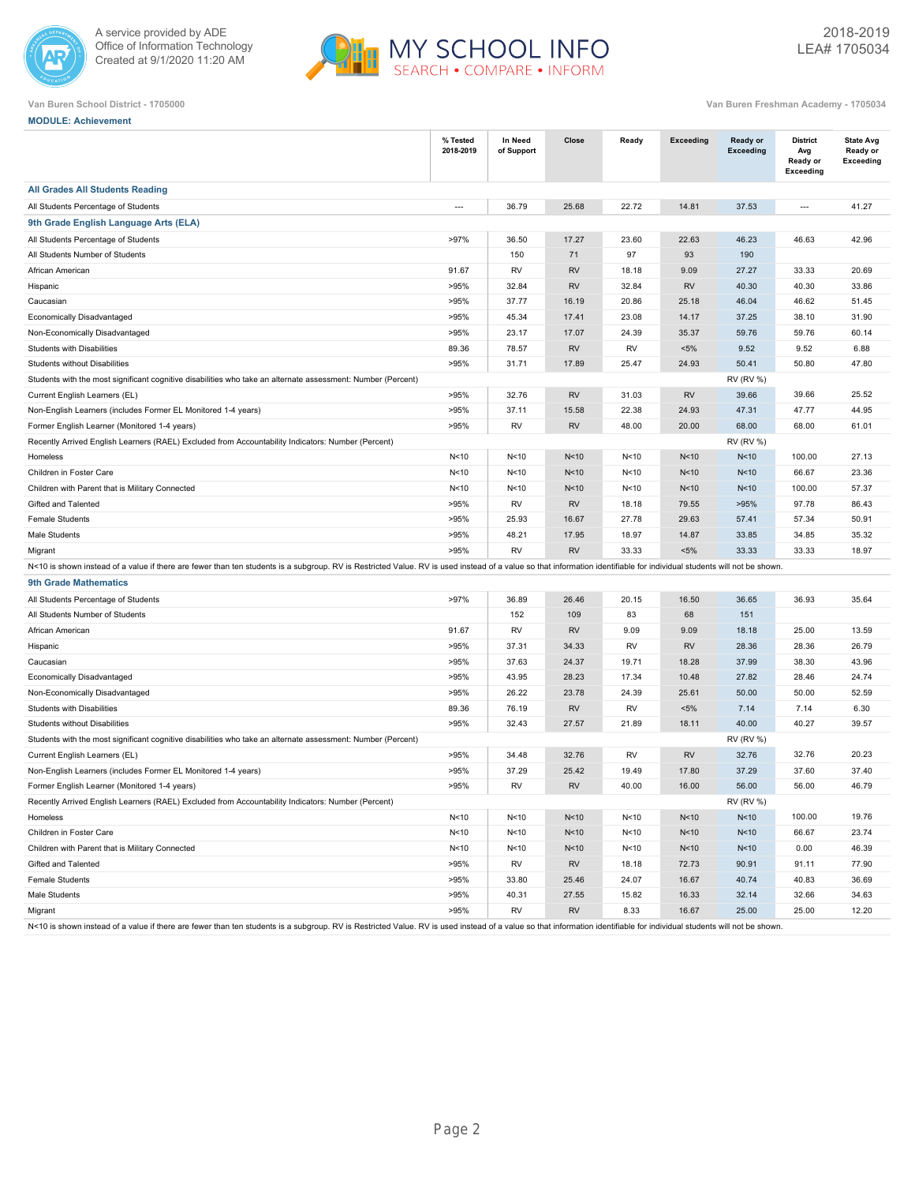



| Van Buren School District - 1705000 | Van Buren Freshman Academy - 1705034 |
|-------------------------------------|--------------------------------------|

| <b>MODULE: Achievement</b>                                                                                                                                                                                             |                          |                       |                 |           |                  |                                     |                                                        |                                                  |
|------------------------------------------------------------------------------------------------------------------------------------------------------------------------------------------------------------------------|--------------------------|-----------------------|-----------------|-----------|------------------|-------------------------------------|--------------------------------------------------------|--------------------------------------------------|
|                                                                                                                                                                                                                        | % Tested<br>2018-2019    | In Need<br>of Support | Close           | Ready     | <b>Exceeding</b> | <b>Ready or</b><br><b>Exceeding</b> | <b>District</b><br>Avg<br>Ready or<br><b>Exceeding</b> | <b>State Avg</b><br>Ready or<br><b>Exceeding</b> |
| <b>All Grades All Students Reading</b>                                                                                                                                                                                 |                          |                       |                 |           |                  |                                     |                                                        |                                                  |
| All Students Percentage of Students                                                                                                                                                                                    | $\overline{\phantom{a}}$ | 36.79                 | 25.68           | 22.72     | 14.81            | 37.53                               | $\overline{\phantom{a}}$                               | 41.27                                            |
| 9th Grade English Language Arts (ELA)                                                                                                                                                                                  |                          |                       |                 |           |                  |                                     |                                                        |                                                  |
| All Students Percentage of Students                                                                                                                                                                                    | >97%                     | 36.50                 | 17.27           | 23.60     | 22.63            | 46.23                               | 46.63                                                  | 42.96                                            |
| All Students Number of Students                                                                                                                                                                                        |                          | 150                   | 71              | 97        | 93               | 190                                 |                                                        |                                                  |
| African American                                                                                                                                                                                                       | 91.67                    | RV                    | <b>RV</b>       | 18.18     | 9.09             | 27.27                               | 33.33                                                  | 20.69                                            |
| Hispanic                                                                                                                                                                                                               | >95%                     | 32.84                 | <b>RV</b>       | 32.84     | <b>RV</b>        | 40.30                               | 40.30                                                  | 33.86                                            |
| Caucasian                                                                                                                                                                                                              | >95%                     | 37.77                 | 16.19           | 20.86     | 25.18            | 46.04                               | 46.62                                                  | 51.45                                            |
| Economically Disadvantaged                                                                                                                                                                                             | >95%                     | 45.34                 | 17.41           | 23.08     | 14.17            | 37.25                               | 38.10                                                  | 31.90                                            |
| Non-Economically Disadvantaged                                                                                                                                                                                         | >95%                     | 23.17                 | 17.07           | 24.39     | 35.37            | 59.76                               | 59.76                                                  | 60.14                                            |
| Students with Disabilities                                                                                                                                                                                             | 89.36                    | 78.57                 | <b>RV</b>       | RV        | $< 5\%$          | 9.52                                | 9.52                                                   | 6.88                                             |
| Students without Disabilities                                                                                                                                                                                          | >95%                     | 31.71                 | 17.89           | 25.47     | 24.93            | 50.41                               | 50.80                                                  | 47.80                                            |
| Students with the most significant cognitive disabilities who take an alternate assessment: Number (Percent)                                                                                                           |                          |                       |                 |           |                  | <b>RV (RV %)</b>                    |                                                        |                                                  |
| Current English Learners (EL)                                                                                                                                                                                          | >95%                     | 32.76                 | <b>RV</b>       | 31.03     | <b>RV</b>        | 39.66                               | 39.66                                                  | 25.52                                            |
| Non-English Learners (includes Former EL Monitored 1-4 years)                                                                                                                                                          | >95%                     | 37.11                 | 15.58           | 22.38     | 24.93            | 47.31                               | 47.77                                                  | 44.95                                            |
| Former English Learner (Monitored 1-4 years)                                                                                                                                                                           | >95%                     | <b>RV</b>             | <b>RV</b>       | 48.00     | 20.00            | 68.00                               | 68.00                                                  | 61.01                                            |
| Recently Arrived English Learners (RAEL) Excluded from Accountability Indicators: Number (Percent)                                                                                                                     |                          |                       |                 |           |                  | <b>RV (RV %)</b>                    |                                                        |                                                  |
| Homeless                                                                                                                                                                                                               | N<10                     | N<10                  | N<10            | N<10      | N<10             | N<10                                | 100.00                                                 | 27.13                                            |
| Children in Foster Care                                                                                                                                                                                                | N < 10                   | N <sub>10</sub>       | N<10            | N < 10    | N<10             | N<10                                | 66.67                                                  | 23.36                                            |
| Children with Parent that is Military Connected                                                                                                                                                                        | N < 10                   | N<10                  | N<10            | N < 10    | N<10             | N<10                                | 100.00                                                 | 57.37                                            |
| Gifted and Talented                                                                                                                                                                                                    | >95%                     | <b>RV</b>             | <b>RV</b>       | 18.18     | 79.55            | >95%                                | 97.78                                                  | 86.43                                            |
| <b>Female Students</b>                                                                                                                                                                                                 | >95%                     | 25.93                 | 16.67           | 27.78     | 29.63            | 57.41                               | 57.34                                                  | 50.91                                            |
| Male Students                                                                                                                                                                                                          | >95%                     | 48.21                 | 17.95           | 18.97     | 14.87            | 33.85                               | 34.85                                                  | 35.32                                            |
| Migrant                                                                                                                                                                                                                | >95%                     | RV                    | <b>RV</b>       | 33.33     | $< 5\%$          | 33.33                               | 33.33                                                  | 18.97                                            |
| N<10 is shown instead of a value if there are fewer than ten students is a subgroup. RV is Restricted Value. RV is used instead of a value so that information identifiable for individual students will not be shown. |                          |                       |                 |           |                  |                                     |                                                        |                                                  |
| <b>9th Grade Mathematics</b>                                                                                                                                                                                           |                          |                       |                 |           |                  |                                     |                                                        |                                                  |
| All Students Percentage of Students                                                                                                                                                                                    | >97%                     | 36.89                 | 26.46           | 20.15     | 16.50            | 36.65                               | 36.93                                                  | 35.64                                            |
| All Students Number of Students                                                                                                                                                                                        |                          | 152                   | 109             | 83        | 68               | 151                                 |                                                        |                                                  |
| African American                                                                                                                                                                                                       | 91.67                    | RV                    | <b>RV</b>       | 9.09      | 9.09             | 18.18                               | 25.00                                                  | 13.59                                            |
| Hispanic                                                                                                                                                                                                               | >95%                     | 37.31                 | 34.33           | <b>RV</b> | <b>RV</b>        | 28.36                               | 28.36                                                  | 26.79                                            |
| Caucasian                                                                                                                                                                                                              | >95%                     | 37.63                 | 24.37           | 19.71     | 18.28            | 37.99                               | 38.30                                                  | 43.96                                            |
| Economically Disadvantaged                                                                                                                                                                                             | >95%                     | 43.95                 | 28.23           | 17.34     | 10.48            | 27.82                               | 28.46                                                  | 24.74                                            |
| Non-Economically Disadvantaged                                                                                                                                                                                         | >95%                     | 26.22                 | 23.78           | 24.39     | 25.61            | 50.00                               | 50.00                                                  | 52.59                                            |
| Students with Disabilities                                                                                                                                                                                             | 89.36                    | 76.19                 | <b>RV</b>       | <b>RV</b> | $< 5\%$          | 7.14                                | 7.14                                                   | 6.30                                             |
| Students without Disabilities                                                                                                                                                                                          | >95%                     | 32.43                 | 27.57           | 21.89     | 18.11            | 40.00                               | 40.27                                                  | 39.57                                            |
| Students with the most significant cognitive disabilities who take an alternate assessment: Number (Percent)                                                                                                           |                          |                       |                 |           |                  | <b>RV (RV %)</b>                    |                                                        |                                                  |
| Current English Learners (EL)                                                                                                                                                                                          | >95%                     | 34.48                 | 32.76           | RV        | <b>RV</b>        | 32.76                               | 32.76                                                  | 20.23                                            |
| Non-English Learners (includes Former EL Monitored 1-4 years)                                                                                                                                                          | >95%                     | 37.29                 | 25.42           | 19.49     | 17.80            | 37.29                               | 37.60                                                  | 37.40                                            |
| Former English Learner (Monitored 1-4 years)                                                                                                                                                                           | >95%                     | RV                    | RV              | 40.00     | 16.00            | 56.00                               | 56.00                                                  | 46.79                                            |
| Recently Arrived English Learners (RAEL) Excluded from Accountability Indicators: Number (Percent)                                                                                                                     |                          |                       |                 |           |                  | <b>RV (RV %)</b>                    |                                                        |                                                  |
| Homeless                                                                                                                                                                                                               | N <sub>10</sub>          | N<10                  | N<10            | N<10      | N<10             | N<10                                | 100.00                                                 | 19.76                                            |
| Children in Foster Care                                                                                                                                                                                                | N < 10                   | N < 10                | N<10            | N < 10    | N<10             | N <sub>10</sub>                     | 66.67                                                  | 23.74                                            |
| Children with Parent that is Military Connected                                                                                                                                                                        | N < 10                   | N <sub>10</sub>       | N <sub>10</sub> | N < 10    | N<10             | N<10                                | 0.00                                                   | 46.39                                            |
| Gifted and Talented                                                                                                                                                                                                    | >95%                     | <b>RV</b>             | ${\sf RV}$      | 18.18     | 72.73            | 90.91                               | 91.11                                                  | 77.90                                            |
| Female Students                                                                                                                                                                                                        | >95%                     | 33.80                 | 25.46           | 24.07     | 16.67            | 40.74                               | 40.83                                                  | 36.69                                            |
| Male Students                                                                                                                                                                                                          | >95%                     | 40.31                 | 27.55           | 15.82     | 16.33            | 32.14                               | 32.66                                                  | 34.63                                            |
| Migrant                                                                                                                                                                                                                | >95%                     | RV                    | ${\sf RV}$      | 8.33      | 16.67            | 25.00                               | 25.00                                                  | 12.20                                            |
|                                                                                                                                                                                                                        |                          |                       |                 |           |                  |                                     |                                                        |                                                  |

N<10 is shown instead of a value if there are fewer than ten students is a subgroup. RV is Restricted Value. RV is used instead of a value so that information identifiable for individual students will not be shown.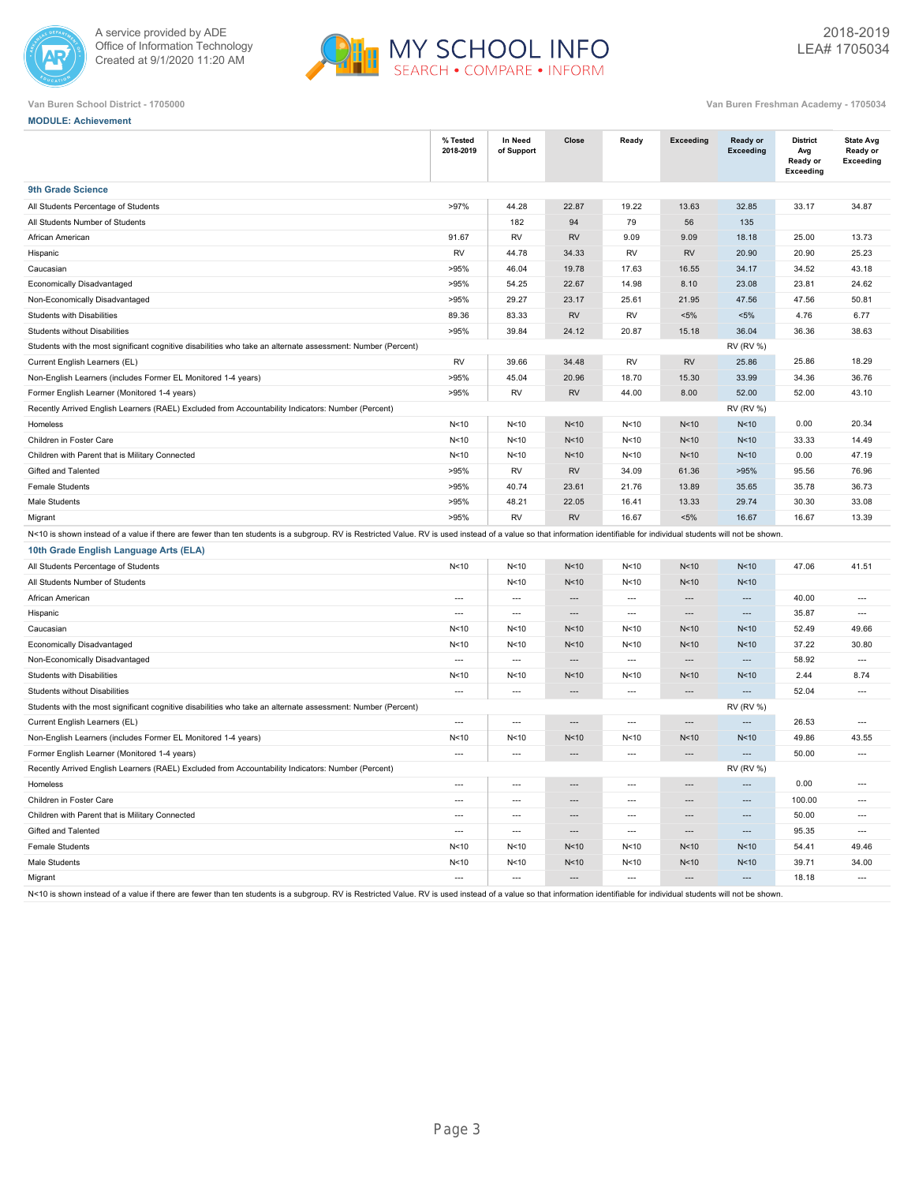



| <b>MODULE: Achievement</b>                                                                                                                                                                                             |                          |                          |                          |                          |                          |                          |                                                        |                                                  |
|------------------------------------------------------------------------------------------------------------------------------------------------------------------------------------------------------------------------|--------------------------|--------------------------|--------------------------|--------------------------|--------------------------|--------------------------|--------------------------------------------------------|--------------------------------------------------|
|                                                                                                                                                                                                                        | % Tested<br>2018-2019    | In Need<br>of Support    | Close                    | Ready                    | Exceeding                | Ready or<br>Exceeding    | <b>District</b><br>Avg<br>Ready or<br><b>Exceeding</b> | <b>State Avg</b><br>Ready or<br><b>Exceeding</b> |
| 9th Grade Science                                                                                                                                                                                                      |                          |                          |                          |                          |                          |                          |                                                        |                                                  |
| All Students Percentage of Students                                                                                                                                                                                    | >97%                     | 44.28                    | 22.87                    | 19.22                    | 13.63                    | 32.85                    | 33.17                                                  | 34.87                                            |
| All Students Number of Students                                                                                                                                                                                        |                          | 182                      | 94                       | 79                       | 56                       | 135                      |                                                        |                                                  |
| African American                                                                                                                                                                                                       | 91.67                    | RV                       | <b>RV</b>                | 9.09                     | 9.09                     | 18.18                    | 25.00                                                  | 13.73                                            |
| Hispanic                                                                                                                                                                                                               | <b>RV</b>                | 44.78                    | 34.33                    | <b>RV</b>                | <b>RV</b>                | 20.90                    | 20.90                                                  | 25.23                                            |
| Caucasian                                                                                                                                                                                                              | >95%                     | 46.04                    | 19.78                    | 17.63                    | 16.55                    | 34.17                    | 34.52                                                  | 43.18                                            |
| Economically Disadvantaged                                                                                                                                                                                             | >95%                     | 54.25                    | 22.67                    | 14.98                    | 8.10                     | 23.08                    | 23.81                                                  | 24.62                                            |
| Non-Economically Disadvantaged                                                                                                                                                                                         | >95%                     | 29.27                    | 23.17                    | 25.61                    | 21.95                    | 47.56                    | 47.56                                                  | 50.81                                            |
| Students with Disabilities                                                                                                                                                                                             | 89.36                    | 83.33                    | <b>RV</b>                | <b>RV</b>                | $< 5\%$                  | $< 5\%$                  | 4.76                                                   | 6.77                                             |
| <b>Students without Disabilities</b>                                                                                                                                                                                   | >95%                     | 39.84                    | 24.12                    | 20.87                    | 15.18                    | 36.04                    | 36.36                                                  | 38.63                                            |
| Students with the most significant cognitive disabilities who take an alternate assessment: Number (Percent)                                                                                                           |                          |                          |                          |                          |                          | <b>RV (RV %)</b>         |                                                        |                                                  |
| Current English Learners (EL)                                                                                                                                                                                          | <b>RV</b>                | 39.66                    | 34.48                    | RV                       | <b>RV</b>                | 25.86                    | 25.86                                                  | 18.29                                            |
| Non-English Learners (includes Former EL Monitored 1-4 years)                                                                                                                                                          | >95%                     | 45.04                    | 20.96                    | 18.70                    | 15.30                    | 33.99                    | 34.36                                                  | 36.76                                            |
| Former English Learner (Monitored 1-4 years)                                                                                                                                                                           | >95%                     | RV                       | <b>RV</b>                | 44.00                    | 8.00                     | 52.00                    | 52.00                                                  | 43.10                                            |
| Recently Arrived English Learners (RAEL) Excluded from Accountability Indicators: Number (Percent)                                                                                                                     |                          |                          |                          |                          |                          | <b>RV (RV %)</b>         |                                                        |                                                  |
| Homeless                                                                                                                                                                                                               | N < 10                   | N<10                     | N<10                     | N < 10                   | N<10                     | N<10                     | 0.00                                                   | 20.34                                            |
| Children in Foster Care                                                                                                                                                                                                | N < 10                   | N < 10                   | N<10                     | N<10                     | N<10                     | N <sub>10</sub>          | 33.33                                                  | 14.49                                            |
| Children with Parent that is Military Connected                                                                                                                                                                        | N < 10                   | N < 10                   | N<10                     | N<10                     | N<10                     | N <sub>10</sub>          | 0.00                                                   | 47.19                                            |
| Gifted and Talented                                                                                                                                                                                                    | >95%                     | RV                       | <b>RV</b>                | 34.09                    | 61.36                    | >95%                     | 95.56                                                  | 76.96                                            |
| <b>Female Students</b>                                                                                                                                                                                                 | >95%                     | 40.74                    | 23.61                    | 21.76                    | 13.89                    | 35.65                    | 35.78                                                  | 36.73                                            |
| Male Students                                                                                                                                                                                                          | >95%                     | 48.21                    | 22.05                    | 16.41                    | 13.33                    | 29.74                    | 30.30                                                  | 33.08                                            |
| Migrant                                                                                                                                                                                                                | >95%                     | RV                       | <b>RV</b>                | 16.67                    | $< 5\%$                  | 16.67                    | 16.67                                                  | 13.39                                            |
| N<10 is shown instead of a value if there are fewer than ten students is a subgroup. RV is Restricted Value. RV is used instead of a value so that information identifiable for individual students will not be shown. |                          |                          |                          |                          |                          |                          |                                                        |                                                  |
| 10th Grade English Language Arts (ELA)                                                                                                                                                                                 |                          |                          |                          |                          |                          |                          |                                                        |                                                  |
| All Students Percentage of Students                                                                                                                                                                                    | N<10                     | N < 10                   | N <sub>10</sub>          | N<10                     | N <sub>10</sub>          | N <sub>10</sub>          | 47.06                                                  | 41.51                                            |
| All Students Number of Students                                                                                                                                                                                        |                          | N < 10                   | N<10                     | N<10                     | N<10                     | N<10                     |                                                        |                                                  |
| African American                                                                                                                                                                                                       | $\hspace{0.05cm} \ldots$ | $\hspace{0.05cm} \ldots$ | $---$                    | $---$                    | ---                      | $\cdots$                 | 40.00                                                  | $---$                                            |
| Hispanic                                                                                                                                                                                                               | $\hspace{0.05cm} \ldots$ | $\hspace{0.05cm} \ldots$ | $\overline{\phantom{a}}$ | $\overline{\phantom{a}}$ | $\cdots$                 | $\cdots$                 | 35.87                                                  | $\overline{\phantom{a}}$                         |
| Caucasian                                                                                                                                                                                                              | N < 10                   | N < 10                   | N<10                     | N < 10                   | N<10                     | N<10                     | 52.49                                                  | 49.66                                            |
| Economically Disadvantaged                                                                                                                                                                                             | N<10                     | N < 10                   | N<10                     | N < 10                   | N<10                     | N<10                     | 37.22                                                  | 30.80                                            |
| Non-Economically Disadvantaged                                                                                                                                                                                         | $\overline{\phantom{a}}$ | $\overline{a}$           | $\overline{a}$           | $\overline{a}$           | ---                      | $\overline{a}$           | 58.92                                                  | $\overline{a}$                                   |
| Students with Disabilities                                                                                                                                                                                             | N < 10                   | N<10                     | N<10                     | N<10                     | N<10                     | N<10                     | 2.44                                                   | 8.74                                             |
| Students without Disabilities                                                                                                                                                                                          | $\cdots$                 | $\overline{\phantom{a}}$ | $\overline{a}$           | ---                      | $\overline{\phantom{a}}$ | $\overline{a}$           | 52.04                                                  | $\overline{\phantom{a}}$                         |
| Students with the most significant cognitive disabilities who take an alternate assessment: Number (Percent)                                                                                                           |                          |                          |                          |                          |                          | <b>RV (RV %)</b>         |                                                        |                                                  |
| Current English Learners (EL)                                                                                                                                                                                          | $\overline{\phantom{a}}$ | $\overline{\phantom{a}}$ | $\overline{a}$           | ---                      | $\overline{\phantom{a}}$ | $---$                    | 26.53                                                  | $---$                                            |
| Non-English Learners (includes Former EL Monitored 1-4 years)                                                                                                                                                          | N < 10                   | N<10                     | N<10                     | N < 10                   | N<10                     | N<10                     | 49.86                                                  | 43.55                                            |
| Former English Learner (Monitored 1-4 years)                                                                                                                                                                           | $\overline{\phantom{a}}$ | $\overline{a}$           | $\overline{a}$           | $\overline{a}$           | $\overline{a}$           | ---                      | 50.00                                                  | $\overline{a}$                                   |
| Recently Arrived English Learners (RAEL) Excluded from Accountability Indicators: Number (Percent)                                                                                                                     |                          |                          |                          |                          |                          | <b>RV (RV %)</b>         |                                                        |                                                  |
| Homeless                                                                                                                                                                                                               | $---$                    | $---$                    | $---$                    | $---$                    |                          | $\cdots$                 | 0.00                                                   |                                                  |
| Children in Foster Care                                                                                                                                                                                                | $\hspace{0.05cm} \ldots$ | $\hspace{0.05cm} \ldots$ | $\cdots$                 | $\sim$ $\sim$            | $\cdots$                 | $\overline{\phantom{a}}$ | 100.00                                                 | $---$                                            |
| Children with Parent that is Military Connected                                                                                                                                                                        | $\hspace{0.05cm} \ldots$ | $\overline{\phantom{a}}$ | $\overline{\phantom{a}}$ | ---                      | ---                      | $\cdots$                 | 50.00                                                  | $\overline{\phantom{a}}$                         |
| Gifted and Talented                                                                                                                                                                                                    | $\hspace{0.05cm} \ldots$ | $\hspace{0.05cm} \ldots$ | $\cdots$                 | $---$                    | $\cdots$                 | $\overline{\phantom{a}}$ | 95.35                                                  | $\overline{\phantom{a}}$                         |
| <b>Female Students</b>                                                                                                                                                                                                 | N<10                     | N<10                     | N<10                     | N<10                     | N<10                     | N <sub>10</sub>          | 54.41                                                  | 49.46                                            |
| Male Students                                                                                                                                                                                                          | N<10                     | N < 10                   | N<10                     | N<10                     | N<10                     | N <sub>10</sub>          | 39.71                                                  | 34.00                                            |
| Migrant                                                                                                                                                                                                                | $\cdots$                 | $\cdots$                 | $\overline{\phantom{a}}$ | $\overline{\phantom{a}}$ | $\hspace{0.05cm} \ldots$ | $\hspace{0.05cm} \ldots$ | 18.18                                                  | $\hspace{0.05cm} \ldots$                         |
| N<10 is shown instead of a value if there are fewer than ten students is a subgroup. RV is Restricted Value. RV is used instead of a value so that information identifiable for individual students will not be shown. |                          |                          |                          |                          |                          |                          |                                                        |                                                  |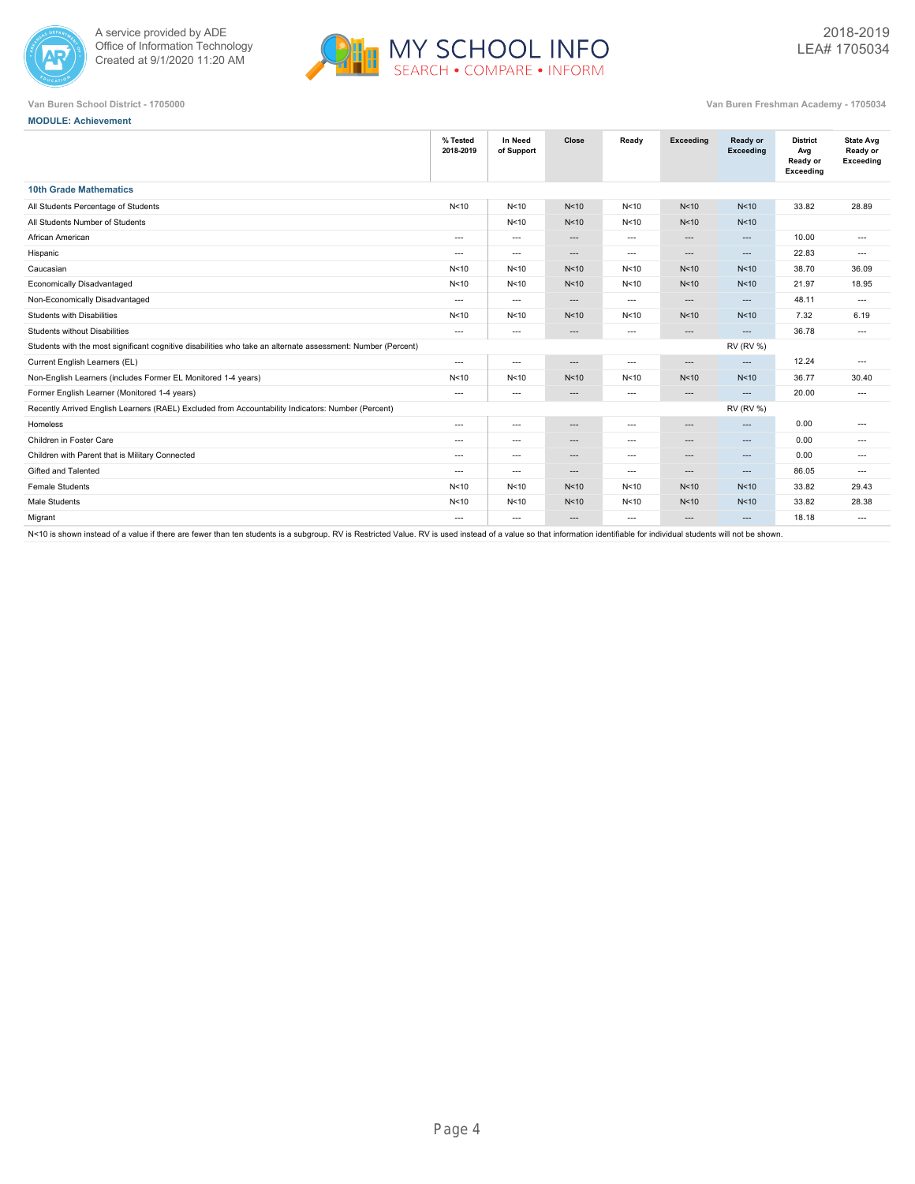



**MODULE: Achievement**

**Van Buren School District - 1705000 Van Buren Freshman Academy - 1705034**

|                                                                                                              | % Tested<br>2018-2019 | In Need<br>of Support    | Close                    | Ready                    | Exceeding | Ready or<br>Exceeding    | <b>District</b><br>Avg<br>Ready or<br>Exceeding | <b>State Avg</b><br>Ready or<br>Exceeding |
|--------------------------------------------------------------------------------------------------------------|-----------------------|--------------------------|--------------------------|--------------------------|-----------|--------------------------|-------------------------------------------------|-------------------------------------------|
| <b>10th Grade Mathematics</b>                                                                                |                       |                          |                          |                          |           |                          |                                                 |                                           |
| All Students Percentage of Students                                                                          | N<10                  | N<10                     | N <sub>10</sub>          | N<10                     | N<10      | N<10                     | 33.82                                           | 28.89                                     |
| All Students Number of Students                                                                              |                       | N<10                     | N <sub>10</sub>          | N<10                     | N<10      | N <sub>10</sub>          |                                                 |                                           |
| African American                                                                                             | $---$                 | $\hspace{0.05cm} \ldots$ | $\qquad \qquad -$        | $\hspace{0.05cm} \ldots$ | $\cdots$  | $\cdots$                 | 10.00                                           | $\cdots$                                  |
| Hispanic                                                                                                     | $---$                 | $\hspace{0.05cm} \ldots$ | $\qquad \qquad -$        | $\hspace{0.05cm} \ldots$ | $\cdots$  | $\cdots$                 | 22.83                                           | $---$                                     |
| Caucasian                                                                                                    | N<10                  | N<10                     | N <sub>10</sub>          | N<10                     | N<10      | N <sub>10</sub>          | 38.70                                           | 36.09                                     |
| Economically Disadvantaged                                                                                   | N<10                  | N<10                     | N <sub>10</sub>          | N<10                     | N<10      | N <sub>10</sub>          | 21.97                                           | 18.95                                     |
| Non-Economically Disadvantaged                                                                               | $---$                 | $---$                    | $---$                    | $---$                    | $---$     | $\cdots$                 | 48.11                                           | $---$                                     |
| Students with Disabilities                                                                                   | N<10                  | N<10                     | N <sub>10</sub>          | N<10                     | N<10      | N <sub>10</sub>          | 7.32                                            | 6.19                                      |
| <b>Students without Disabilities</b>                                                                         | $---$                 | $\hspace{0.05cm} \ldots$ | $\overline{\phantom{a}}$ | $\hspace{0.05cm} \ldots$ | $\cdots$  | $\overline{\phantom{a}}$ | 36.78                                           | $\cdots$                                  |
| Students with the most significant cognitive disabilities who take an alternate assessment: Number (Percent) |                       |                          |                          |                          |           | <b>RV (RV %)</b>         |                                                 |                                           |
| Current English Learners (EL)                                                                                | $---$                 | $\hspace{0.05cm} \ldots$ | $\qquad \qquad -$        | $\hspace{0.05cm} \ldots$ | $\cdots$  | $\overline{\phantom{a}}$ | 12.24                                           | $---$                                     |
| Non-English Learners (includes Former EL Monitored 1-4 years)                                                | N<10                  | N<10                     | N <sub>10</sub>          | N<10                     | N<10      | N <sub>10</sub>          | 36.77                                           | 30.40                                     |
| Former English Learner (Monitored 1-4 years)                                                                 | ---                   | $\hspace{0.05cm} \ldots$ | $\cdots$                 | $\hspace{0.05cm} \ldots$ | $\cdots$  | $---$                    | 20.00                                           | $\cdots$                                  |
| Recently Arrived English Learners (RAEL) Excluded from Accountability Indicators: Number (Percent)           |                       |                          |                          |                          |           | <b>RV (RV %)</b>         |                                                 |                                           |
| Homeless                                                                                                     | $---$                 | $\hspace{0.05cm} \ldots$ | $\qquad \qquad -$        | $\hspace{0.05cm} \ldots$ | $\cdots$  | $\cdots$                 | 0.00                                            | $---$                                     |
| Children in Foster Care                                                                                      | $---$                 | $---$                    | $---$                    | $---$                    | $---$     | $---$                    | 0.00                                            | $---$                                     |
| Children with Parent that is Military Connected                                                              | $---$                 | $\overline{\phantom{a}}$ | $\qquad \qquad -$        | $\hspace{0.05cm} \ldots$ | $\cdots$  | $\cdots$                 | 0.00                                            | $---$                                     |
| Gifted and Talented                                                                                          | $---$                 | $---$                    | $---$                    | $- - -$                  | $---$     | $---$                    | 86.05                                           | $\cdots$                                  |
| <b>Female Students</b>                                                                                       | N<10                  | N<10                     | N <sub>10</sub>          | N<10                     | N<10      | N <sub>10</sub>          | 33.82                                           | 29.43                                     |
| Male Students                                                                                                | N<10                  | N<10                     | N <sub>10</sub>          | N<10                     | N<10      | N <sub>10</sub>          | 33.82                                           | 28.38                                     |
| Migrant                                                                                                      | $---$                 | $\hspace{0.05cm} \ldots$ | $\qquad \qquad -$        | $\hspace{0.05cm} \ldots$ | $\cdots$  | $\cdots$                 | 18.18                                           | $\cdots$                                  |
|                                                                                                              |                       |                          |                          |                          |           |                          |                                                 |                                           |

N<10 is shown instead of a value if there are fewer than ten students is a subgroup. RV is Restricted Value. RV is used instead of a value so that information identifiable for individual students will not be shown.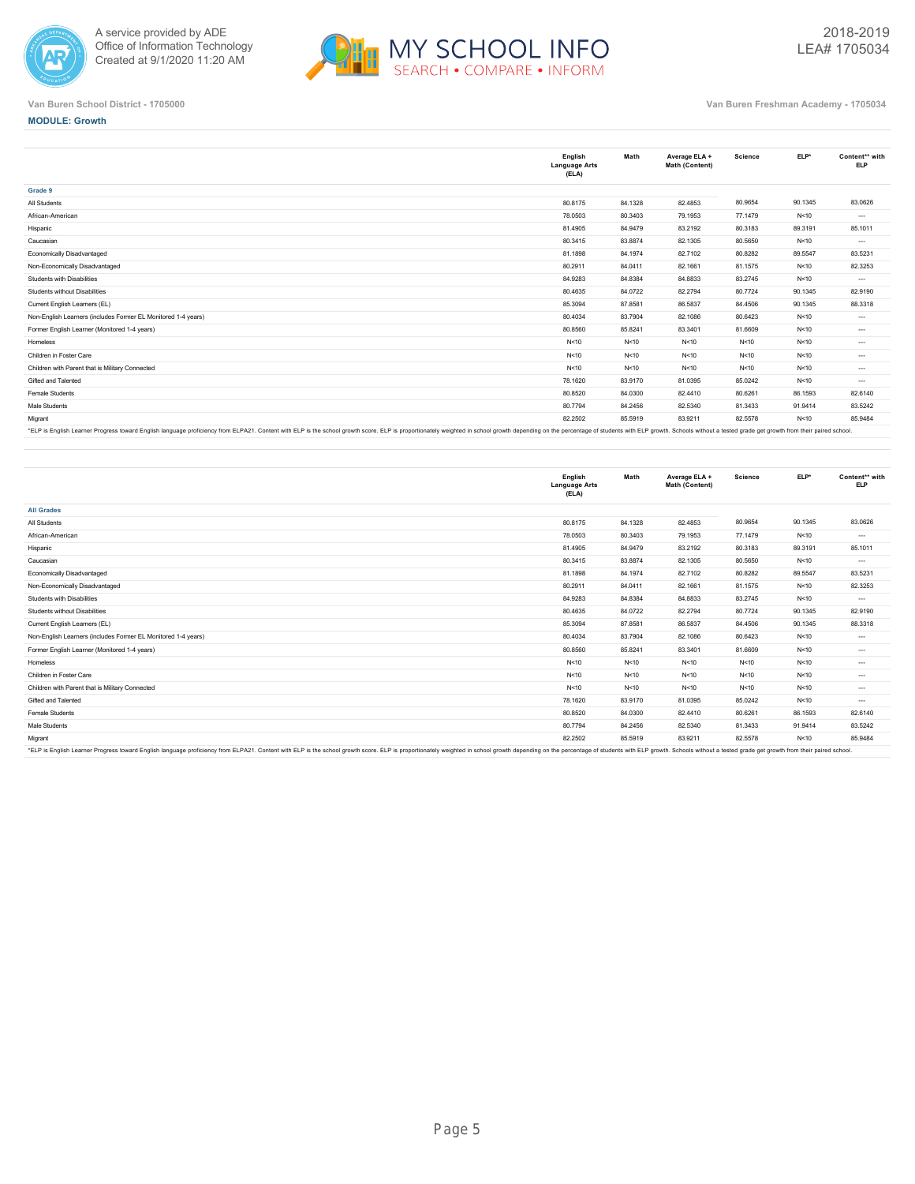



## **MODULE: Growth**

|                                                                                                                                                                                                                                | English<br><b>Language Arts</b><br>(ELA) | Math    | Average ELA +<br>Math (Content) | <b>Science</b> | ELP*    | Content** with<br><b>ELP</b> |
|--------------------------------------------------------------------------------------------------------------------------------------------------------------------------------------------------------------------------------|------------------------------------------|---------|---------------------------------|----------------|---------|------------------------------|
| Grade 9                                                                                                                                                                                                                        |                                          |         |                                 |                |         |                              |
| All Students                                                                                                                                                                                                                   | 80.8175                                  | 84.1328 | 82.4853                         | 80.9654        | 90.1345 | 83.0626                      |
| African-American                                                                                                                                                                                                               | 78.0503                                  | 80.3403 | 79.1953                         | 77.1479        | N < 10  | $\cdots$                     |
| Hispanic                                                                                                                                                                                                                       | 81.4905                                  | 84.9479 | 83.2192                         | 80.3183        | 89.3191 | 85.1011                      |
| Caucasian                                                                                                                                                                                                                      | 80.3415                                  | 83.8874 | 82.1305                         | 80.5650        | N<10    | $\cdots$                     |
| <b>Economically Disadvantaged</b>                                                                                                                                                                                              | 81.1898                                  | 84.1974 | 82.7102                         | 80.8282        | 89.5547 | 83.5231                      |
| Non-Economically Disadvantaged                                                                                                                                                                                                 | 80.2911                                  | 84.0411 | 82.1661                         | 81.1575        | N<10    | 82.3253                      |
| Students with Disabilities                                                                                                                                                                                                     | 84.9283                                  | 84.8384 | 84.8833                         | 83.2745        | N<10    | $\cdots$                     |
| Students without Disabilities                                                                                                                                                                                                  | 80.4635                                  | 84.0722 | 82.2794                         | 80.7724        | 90.1345 | 82.9190                      |
| Current English Learners (EL)                                                                                                                                                                                                  | 85.3094                                  | 87.8581 | 86.5837                         | 84.4506        | 90.1345 | 88.3318                      |
| Non-English Learners (includes Former EL Monitored 1-4 years)                                                                                                                                                                  | 80.4034                                  | 83.7904 | 82.1086                         | 80.6423        | N<10    | $\cdots$                     |
| Former English Learner (Monitored 1-4 years)                                                                                                                                                                                   | 80.8560                                  | 85.8241 | 83.3401                         | 81.6609        | N<10    | $\cdots$                     |
| Homeless                                                                                                                                                                                                                       | N<10                                     | N<10    | N<10                            | N < 10         | N<10    | $\cdots$                     |
| Children in Foster Care                                                                                                                                                                                                        | N<10                                     | N < 10  | N<10                            | N<10           | N<10    | $\cdots$                     |
| Children with Parent that is Military Connected                                                                                                                                                                                | N < 10                                   | N < 10  | N<10                            | N < 10         | N<10    | $\cdots$                     |
| Gifted and Talented                                                                                                                                                                                                            | 78.1620                                  | 83.9170 | 81.0395                         | 85.0242        | N<10    | $---$                        |
| Female Students                                                                                                                                                                                                                | 80.8520                                  | 84.0300 | 82.4410                         | 80.6261        | 86.1593 | 82.6140                      |
| Male Students                                                                                                                                                                                                                  | 80.7794                                  | 84.2456 | 82.5340                         | 81.3433        | 91.9414 | 83.5242                      |
| Migrant                                                                                                                                                                                                                        | 82.2502                                  | 85.5919 | 83.9211                         | 82.5578        | N < 10  | 85.9484                      |
| *FI P is English Learner Progress toward English language proficiency from ELP421. Content with ELP is the school growth score. ELP is thoused a proportionately weighted in school growth depending on the perceptage of stud |                                          |         |                                 |                |         |                              |

"ELP is English Learner Progress toward English language proficiency from ELPA21. Content with ELP is the school growth score. ELP is proportionately weighted in school growth depending on the percentage of students with E

|                                                                                                                                                                                                                                | English<br><b>Language Arts</b><br>(ELA) | Math    | Average ELA +<br>Math (Content) | Science | ELP*    | Content** with<br><b>ELP</b> |
|--------------------------------------------------------------------------------------------------------------------------------------------------------------------------------------------------------------------------------|------------------------------------------|---------|---------------------------------|---------|---------|------------------------------|
| <b>All Grades</b>                                                                                                                                                                                                              |                                          |         |                                 |         |         |                              |
| All Students                                                                                                                                                                                                                   | 80.8175                                  | 84.1328 | 82.4853                         | 80.9654 | 90.1345 | 83.0626                      |
| African-American                                                                                                                                                                                                               | 78.0503                                  | 80.3403 | 79.1953                         | 77.1479 | N<10    | $\cdots$                     |
| Hispanic                                                                                                                                                                                                                       | 81.4905                                  | 84.9479 | 83.2192                         | 80.3183 | 89.3191 | 85.1011                      |
| Caucasian                                                                                                                                                                                                                      | 80.3415                                  | 83.8874 | 82.1305                         | 80.5650 | N<10    | $\cdots$                     |
| Economically Disadvantaged                                                                                                                                                                                                     | 81.1898                                  | 84.1974 | 82.7102                         | 80.8282 | 89.5547 | 83.5231                      |
| Non-Economically Disadvantaged                                                                                                                                                                                                 | 80.2911                                  | 84.0411 | 82.1661                         | 81.1575 | N < 10  | 82.3253                      |
| Students with Disabilities                                                                                                                                                                                                     | 84.9283                                  | 84.8384 | 84.8833                         | 83.2745 | N < 10  | $\cdots$                     |
| Students without Disabilities                                                                                                                                                                                                  | 80.4635                                  | 84.0722 | 82.2794                         | 80.7724 | 90.1345 | 82.9190                      |
| Current English Learners (EL)                                                                                                                                                                                                  | 85.3094                                  | 87.8581 | 86.5837                         | 84.4506 | 90.1345 | 88.3318                      |
| Non-English Learners (includes Former EL Monitored 1-4 years)                                                                                                                                                                  | 80.4034                                  | 83.7904 | 82.1086                         | 80.6423 | N<10    | $\cdots$                     |
| Former English Learner (Monitored 1-4 years)                                                                                                                                                                                   | 80.8560                                  | 85.8241 | 83.3401                         | 81.6609 | N<10    | $\cdots$                     |
| Homeless                                                                                                                                                                                                                       | N < 10                                   | N < 10  | N<10                            | N < 10  | N<10    | $\cdots$                     |
| Children in Foster Care                                                                                                                                                                                                        | N < 10                                   | N < 10  | N<10                            | N < 10  | N<10    | $\cdots$                     |
| Children with Parent that is Military Connected                                                                                                                                                                                | N < 10                                   | N<10    | N<10                            | N<10    | N < 10  | $\cdots$                     |
| Gifted and Talented                                                                                                                                                                                                            | 78.1620                                  | 83,9170 | 81.0395                         | 85.0242 | N<10    | $\cdots$                     |
| Female Students                                                                                                                                                                                                                | 80.8520                                  | 84.0300 | 82.4410                         | 80.6261 | 86.1593 | 82.6140                      |
| Male Students                                                                                                                                                                                                                  | 80.7794                                  | 84.2456 | 82.5340                         | 81.3433 | 91.9414 | 83.5242                      |
| Migrant                                                                                                                                                                                                                        | 82.2502                                  | 85,5919 | 83.9211                         | 82.5578 | N<10    | 85.9484                      |
| *ELP is English Learner Progress toward English language proficiency from ELPA21. Content with ELP is the school growth score. ELP is proportionately weighted in school growth depending on the percentage of students with E |                                          |         |                                 |         |         |                              |

\*ELP is English Learner Progress toward English language proficiency from ELPA21. Content with ELP is the school growth score. ELP is proportionately weighted in school growth depending on the percentage of students with E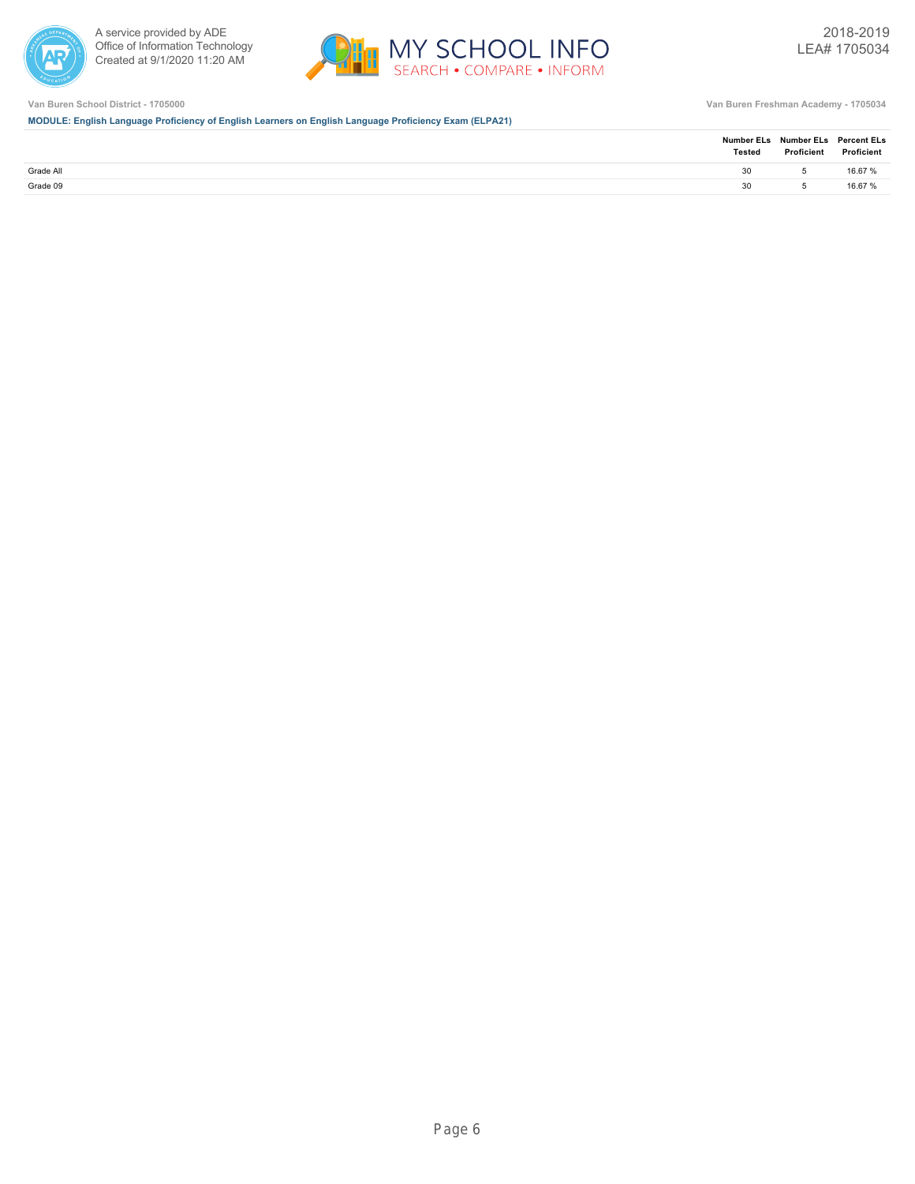



**MODULE: English Language Proficiency of English Learners on English Language Proficiency Exam (ELPA21)**

|           | Number ELs Number ELs Percent ELs<br><b>Tested</b> | Proficient | Proficient |
|-----------|----------------------------------------------------|------------|------------|
| Grade All | 30                                                 |            | 16.67 %    |
| Grade 09  | 30                                                 |            | 16.67 %    |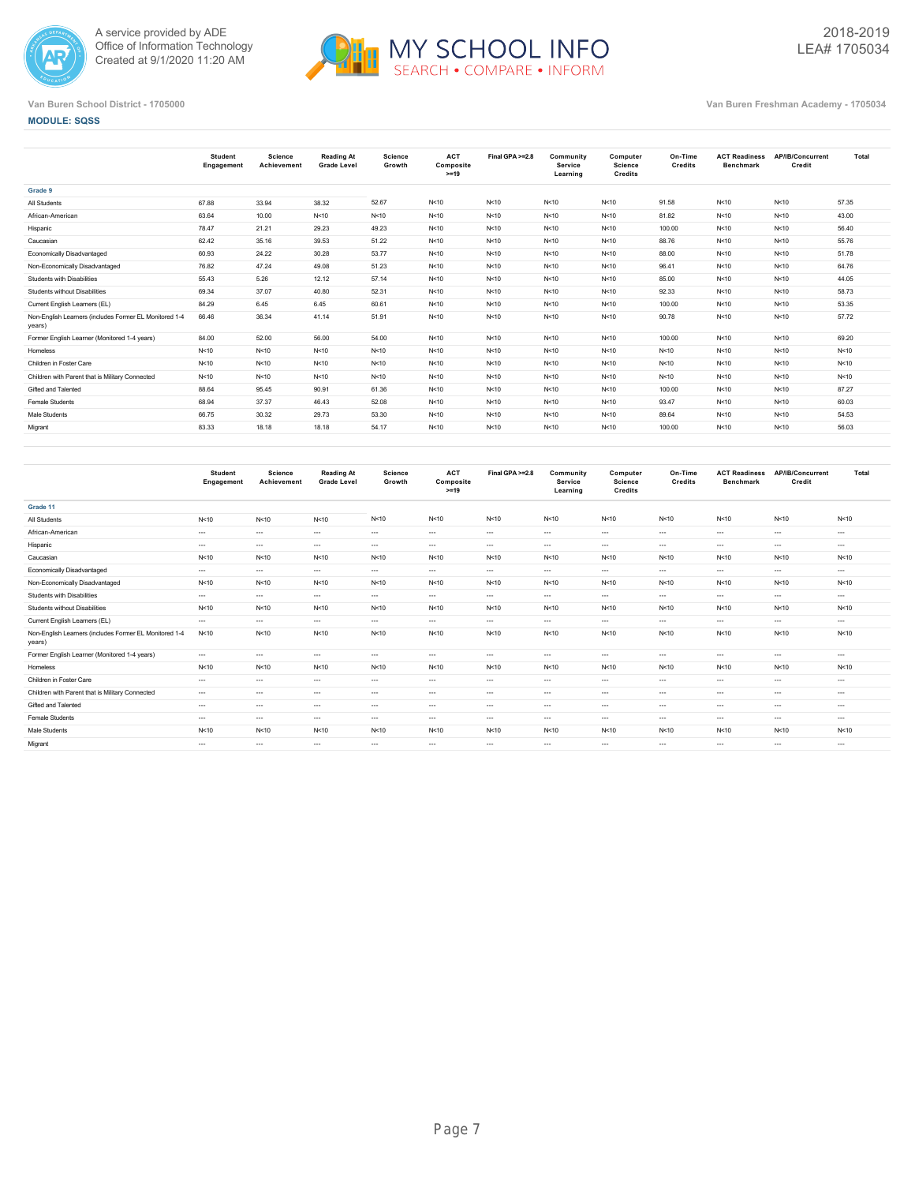



## **MODULE: SQSS**

|                                                                  | <b>Student</b><br>Engagement | Science<br>Achievement | <b>Reading At</b><br><b>Grade Level</b> | Science<br>Growth | <b>ACT</b><br>Composite<br>$>=19$ | Final GPA >=2.8 | Community<br>Service<br>Learning | Computer<br><b>Science</b><br>Credits | On-Time<br>Credits | <b>ACT Readiness</b><br><b>Benchmark</b> | AP/IB/Concurrent<br>Credit | Total  |
|------------------------------------------------------------------|------------------------------|------------------------|-----------------------------------------|-------------------|-----------------------------------|-----------------|----------------------------------|---------------------------------------|--------------------|------------------------------------------|----------------------------|--------|
| Grade 9                                                          |                              |                        |                                         |                   |                                   |                 |                                  |                                       |                    |                                          |                            |        |
| All Students                                                     | 67.88                        | 33.94                  | 38.32                                   | 52.67             | N<10                              | N<10            | N < 10                           | N < 10                                | 91.58              | N<10                                     | N < 10                     | 57.35  |
| African-American                                                 | 63.64                        | 10.00                  | N<10                                    | N < 10            | N<10                              | N<10            | N < 10                           | N<10                                  | 81.82              | N<10                                     | N<10                       | 43.00  |
| Hispanic                                                         | 78.47                        | 21.21                  | 29.23                                   | 49.23             | N<10                              | N<10            | N<10                             | N<10                                  | 100.00             | N<10                                     | N<10                       | 56.40  |
| Caucasian                                                        | 62.42                        | 35.16                  | 39.53                                   | 51.22             | N<10                              | N<10            | N < 10                           | N < 10                                | 88.76              | N<10                                     | N<10                       | 55.76  |
| Economically Disadvantaged                                       | 60.93                        | 24.22                  | 30.28                                   | 53.77             | N<10                              | N<10            | N<10                             | N<10                                  | 88.00              | N<10                                     | N<10                       | 51.78  |
| Non-Economically Disadvantaged                                   | 76.82                        | 47.24                  | 49.08                                   | 51.23             | N<10                              | N<10            | N < 10                           | N<10                                  | 96.41              | N<10                                     | N<10                       | 64.76  |
| <b>Students with Disabilities</b>                                | 55.43                        | 5.26                   | 12.12                                   | 57.14             | N<10                              | N<10            | N < 10                           | N<10                                  | 85.00              | N<10                                     | N<10                       | 44.05  |
| <b>Students without Disabilities</b>                             | 69.34                        | 37.07                  | 40.80                                   | 52.31             | N<10                              | N<10            | N < 10                           | N<10                                  | 92.33              | N<10                                     | N<10                       | 58.73  |
| Current English Learners (EL)                                    | 84.29                        | 6.45                   | 6.45                                    | 60.61             | N<10                              | N<10            | N < 10                           | N<10                                  | 100.00             | N<10                                     | N<10                       | 53.35  |
| Non-English Learners (includes Former EL Monitored 1-4<br>years) | 66.46                        | 36.34                  | 41.14                                   | 51.91             | N<10                              | N<10            | N < 10                           | N<10                                  | 90.78              | N<10                                     | N<10                       | 57.72  |
| Former English Learner (Monitored 1-4 years)                     | 84.00                        | 52.00                  | 56.00                                   | 54.00             | N<10                              | N<10            | N < 10                           | N<10                                  | 100.00             | N<10                                     | N<10                       | 69.20  |
| Homeless                                                         | N<10                         | N < 10                 | N<10                                    | N < 10            | N<10                              | N<10            | N < 10                           | N<10                                  | N < 10             | N<10                                     | N<10                       | N<10   |
| Children in Foster Care                                          | N<10                         | N<10                   | N<10                                    | N < 10            | N<10                              | N<10            | N < 10                           | N<10                                  | N < 10             | N<10                                     | N<10                       | N<10   |
| Children with Parent that is Military Connected                  | N<10                         | N<10                   | N < 10                                  | N < 10            | N<10                              | N<10            | N<10                             | N<10                                  | N < 10             | N<10                                     | N<10                       | N < 10 |
| Gifted and Talented                                              | 88.64                        | 95.45                  | 90.91                                   | 61.36             | N<10                              | N<10            | N < 10                           | N<10                                  | 100.00             | N<10                                     | N<10                       | 87.27  |
| Female Students                                                  | 68.94                        | 37.37                  | 46.43                                   | 52.08             | N<10                              | N<10            | N < 10                           | N<10                                  | 93.47              | N<10                                     | N<10                       | 60.03  |
| Male Students                                                    | 66.75                        | 30.32                  | 29.73                                   | 53.30             | N<10                              | N<10            | N < 10                           | N < 10                                | 89.64              | N<10                                     | N < 10                     | 54.53  |
| Migrant                                                          | 83.33                        | 18.18                  | 18.18                                   | 54.17             | N<10                              | N<10            | N < 10                           | N<10                                  | 100.00             | N<10                                     | N<10                       | 56.03  |
|                                                                  |                              |                        |                                         |                   |                                   |                 |                                  |                                       |                    |                                          |                            |        |

|                                                                  | <b>Student</b><br>Engagement | Science<br>Achievement | <b>Reading At</b><br><b>Grade Level</b> | Science<br>Growth | <b>ACT</b><br>Composite<br>$>=19$ | Final GPA >=2.8 | Community<br>Service<br>Learning | Computer<br><b>Science</b><br><b>Credits</b> | On-Time<br>Credits | <b>ACT Readiness</b><br><b>Benchmark</b> | AP/IB/Concurrent<br>Credit | Total    |
|------------------------------------------------------------------|------------------------------|------------------------|-----------------------------------------|-------------------|-----------------------------------|-----------------|----------------------------------|----------------------------------------------|--------------------|------------------------------------------|----------------------------|----------|
| Grade 11                                                         |                              |                        |                                         |                   |                                   |                 |                                  |                                              |                    |                                          |                            |          |
| All Students                                                     | N<10                         | N<10                   | N<10                                    | N<10              | N<10                              | N<10            | N<10                             | N < 10                                       | N<10               | N<10                                     | N<10                       | N < 10   |
| African-American                                                 | $---$                        | $\sim$                 | $\sim$                                  | $\cdots$          | $\cdots$                          | $---$           | $---$                            | $\sim$                                       | $\sim$             | $\cdots$                                 | $- - -$                    | $---$    |
| Hispanic                                                         | $---$                        | $\sim$                 | $\sim$                                  | $\cdots$          | $\cdots$                          | $---$           | $\cdots$                         | $\cdots$                                     | $\sim$             | $\cdots$                                 | $- - -$                    | $---$    |
| Caucasian                                                        | N<10                         | N < 10                 | N < 10                                  | N<10              | N<10                              | N<10            | N<10                             | N < 10                                       | N<10               | N<10                                     | N<10                       | N < 10   |
| Economically Disadvantaged                                       | $- - -$                      | $- - -$                | $\sim$                                  | $\cdots$          | $\cdots$                          | $---$           | $---$                            | $\cdots$                                     | $\sim$             | $---$                                    | $\cdots$                   | $- - -$  |
| Non-Economically Disadvantaged                                   | N<10                         | N < 10                 | N<10                                    | N<10              | N<10                              | N<10            | N<10                             | N < 10                                       | N<10               | N<10                                     | N<10                       | N < 10   |
| Students with Disabilities                                       | $---$                        | $\sim$ $\sim$          | $\sim$                                  | $\cdots$          | $\cdots$                          | $---$           | $---$                            | $\cdots$                                     | $\sim$             | $\cdots$                                 | $- - -$                    | $---$    |
| Students without Disabilities                                    | N<10                         | N < 10                 | N<10                                    | N<10              | N<10                              | N<10            | N<10                             | N < 10                                       | N<10               | N<10                                     | N<10                       | N < 10   |
| Current English Learners (EL)                                    | $\cdots$                     | $\cdots$               | $\sim$                                  | $\cdots$          | $---$                             | $---$           | $- - -$                          | $\cdots$                                     | $\sim$             | $\cdots$                                 | $-1$                       | $---$    |
| Non-English Learners (includes Former EL Monitored 1-4<br>years) | N<10                         | N < 10                 | N<10                                    | N<10              | N<10                              | N<10            | N<10                             | N < 10                                       | N<10               | N<10                                     | N<10                       | N < 10   |
| Former English Learner (Monitored 1-4 years)                     | $---$                        | $\cdots$               | $\cdots$                                | $\cdots$          | $\cdots$                          | $---$           | $\cdots$                         | $\cdots$                                     | $\sim$             | $\cdots$                                 | $\cdots$                   | $\cdots$ |
| Homeless                                                         | N<10                         | N < 10                 | N<10                                    | N<10              | N<10                              | N < 10          | N<10                             | N < 10                                       | N<10               | N<10                                     | N<10                       | N < 10   |
| Children in Foster Care                                          | $---$                        | $\sim$ $\sim$          | $\sim$                                  | $\cdots$          | $\cdots$                          | $---$           | $---$                            | $\cdots$                                     | $\sim$             | $\cdots$                                 | $- - -$                    | $\cdots$ |
| Children with Parent that is Military Connected                  | $---$                        | $\sim$                 | $\sim$                                  | $\cdots$          | $\cdots$                          | $---$           | $---$                            | $\cdots$                                     | $\sim$             | $\cdots$                                 | $- - -$                    | $\cdots$ |
| Gifted and Talented                                              | $\cdots$                     | $\sim$                 | $\sim$                                  | $\cdots$          | $\cdots$                          | $---$           |                                  | $\cdots$                                     | $\sim$             | $\cdots$                                 | $- - -$                    | $---$    |
| Female Students                                                  | $\cdots$                     | $\cdots$               | $\sim$                                  | $\cdots$          | $\cdots$                          | $---$           | $---$                            | $\cdots$                                     | $\sim$             | $---$                                    | $- - -$                    | $- - -$  |
| Male Students                                                    | N<10                         | N < 10                 | N<10                                    | N<10              | N<10                              | N<10            | N<10                             | N < 10                                       | N<10               | N<10                                     | N<10                       | N < 10   |
| Migrant                                                          | $\cdots$                     | $\cdots$               | $\sim$                                  | $\cdots$          | $\cdots$                          | $\cdots$        |                                  | $\cdots$                                     | $\sim$             | $\cdots$                                 | $\cdots$                   | $\cdots$ |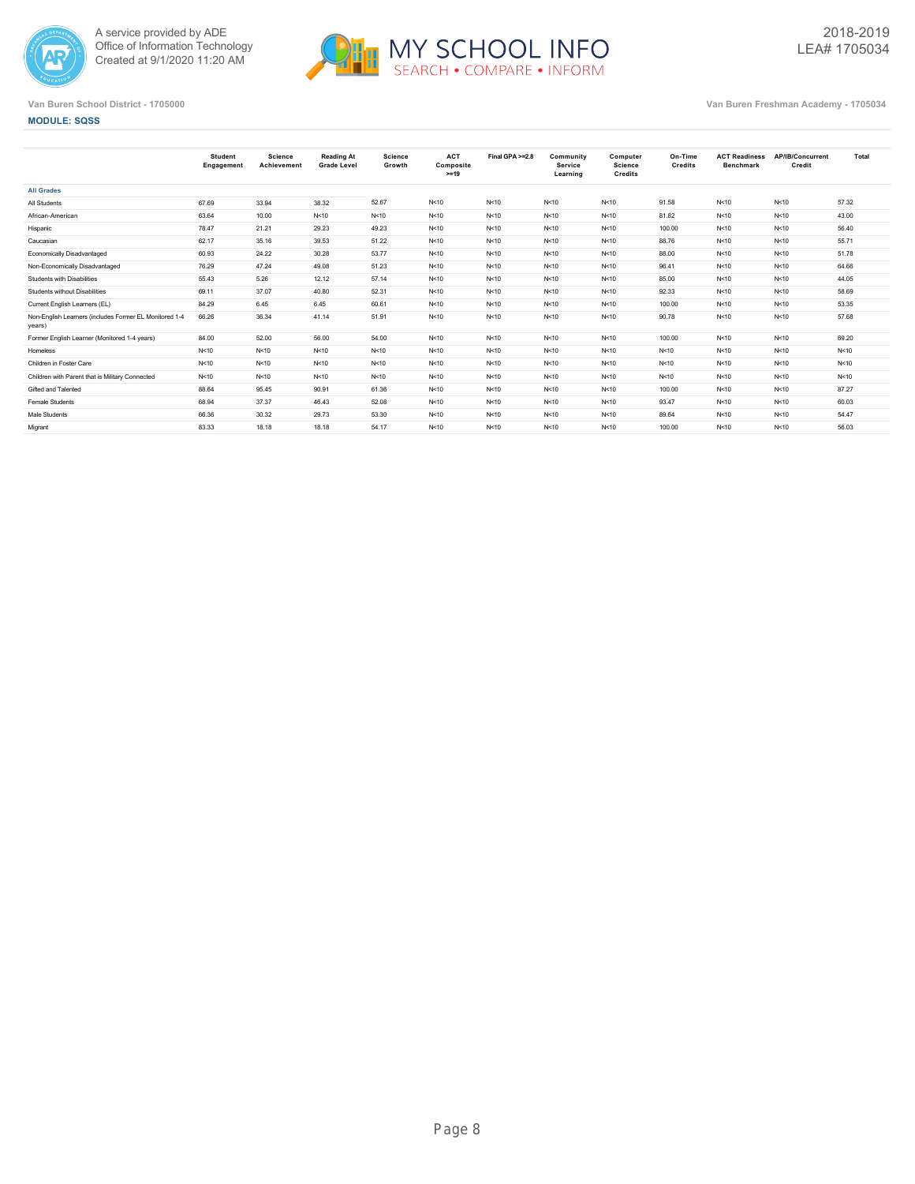

**MODULE: SQSS**



|                                                                  | <b>Student</b><br>Engagement | <b>Science</b><br>Achievement | <b>Reading At</b><br><b>Grade Level</b> | <b>Science</b><br>Growth | <b>ACT</b><br>Composite<br>$>=19$ | Final GPA >=2.8 | Community<br>Service<br>Learning | Computer<br>Science<br>Credits | On-Time<br><b>Credits</b> | <b>ACT Readiness</b><br><b>Benchmark</b> | AP/IB/Concurrent<br>Credit | Total  |
|------------------------------------------------------------------|------------------------------|-------------------------------|-----------------------------------------|--------------------------|-----------------------------------|-----------------|----------------------------------|--------------------------------|---------------------------|------------------------------------------|----------------------------|--------|
| <b>All Grades</b>                                                |                              |                               |                                         |                          |                                   |                 |                                  |                                |                           |                                          |                            |        |
| All Students                                                     | 67.69                        | 33.94                         | 38.32                                   | 52.67                    | N<10                              | N < 10          | N < 10                           | N < 10                         | 91.58                     | N<10                                     | N<10                       | 57.32  |
| African-American                                                 | 63.64                        | 10.00                         | N<10                                    | N<10                     | N<10                              | N < 10          | N < 10                           | N < 10                         | 81.82                     | N<10                                     | N<10                       | 43.00  |
| Hispanic                                                         | 78.47                        | 21.21                         | 29.23                                   | 49.23                    | N<10                              | N < 10          | N < 10                           | N < 10                         | 100.00                    | N<10                                     | N < 10                     | 56.40  |
| Caucasian                                                        | 62.17                        | 35.16                         | 39.53                                   | 51.22                    | N<10                              | N < 10          | N<10                             | N<10                           | 88.76                     | N<10                                     | N<10                       | 55.71  |
| Economically Disadvantaged                                       | 60.93                        | 24.22                         | 30.28                                   | 53.77                    | N<10                              | N < 10          | N < 10                           | N<10                           | 88.00                     | N<10                                     | N < 10                     | 51.78  |
| Non-Economically Disadvantaged                                   | 76.29                        | 47.24                         | 49.08                                   | 51.23                    | N<10                              | N < 10          | N<10                             | N<10                           | 96.41                     | N<10                                     | N<10                       | 64.66  |
| Students with Disabilities                                       | 55.43                        | 5.26                          | 12.12                                   | 57.14                    | N < 10                            | N < 10          | N<10                             | N < 10                         | 85.00                     | N<10                                     | N < 10                     | 44.05  |
| <b>Students without Disabilities</b>                             | 69.11                        | 37.07                         | 40.80                                   | 52.31                    | N<10                              | N < 10          | N < 10                           | N<10                           | 92.33                     | N<10                                     | N<10                       | 58.69  |
| Current English Learners (EL)                                    | 84.29                        | 6.45                          | 6.45                                    | 60.61                    | N < 10                            | N < 10          | N<10                             | N < 10                         | 100.00                    | N<10                                     | N<10                       | 53.35  |
| Non-English Learners (includes Former EL Monitored 1-4<br>years) | 66.26                        | 36.34                         | 41.14                                   | 51.91                    | N<10                              | N < 10          | N<10                             | N < 10                         | 90.78                     | N<10                                     | N<10                       | 57.68  |
| Former English Learner (Monitored 1-4 years)                     | 84.00                        | 52.00                         | 56.00                                   | 54.00                    | N<10                              | N < 10          | N < 10                           | N < 10                         | 100.00                    | N<10                                     | N<10                       | 69.20  |
| Homeless                                                         | N<10                         | N < 10                        | N<10                                    | N<10                     | N<10                              | N < 10          | N < 10                           | N < 10                         | N<10                      | N<10                                     | N<10                       | N < 10 |
| Children in Foster Care                                          | N<10                         | N < 10                        | N<10                                    | N < 10                   | N<10                              | N < 10          | N < 10                           | N < 10                         | N<10                      | N<10                                     | N < 10                     | N < 10 |
| Children with Parent that is Military Connected                  | N<10                         | N < 10                        | N<10                                    | N < 10                   | N<10                              | N < 10          | N < 10                           | N < 10                         | N<10                      | N<10                                     | N<10                       | N < 10 |
| Gifted and Talented                                              | 88.64                        | 95.45                         | 90.91                                   | 61.36                    | N<10                              | N < 10          | N<10                             | N < 10                         | 100.00                    | N<10                                     | N<10                       | 87.27  |
| Female Students                                                  | 68.94                        | 37.37                         | 46.43                                   | 52.08                    | N<10                              | N < 10          | N < 10                           | N < 10                         | 93.47                     | N<10                                     | N<10                       | 60.03  |
| Male Students                                                    | 66.36                        | 30.32                         | 29.73                                   | 53.30                    | N<10                              | N < 10          | N < 10                           | N < 10                         | 89.64                     | N<10                                     | N < 10                     | 54.47  |
| Migrant                                                          | 83.33                        | 18.18                         | 18.18                                   | 54.17                    | N<10                              | N<10            | N<10                             | N < 10                         | 100.00                    | N<10                                     | N<10                       | 56.03  |
|                                                                  |                              |                               |                                         |                          |                                   |                 |                                  |                                |                           |                                          |                            |        |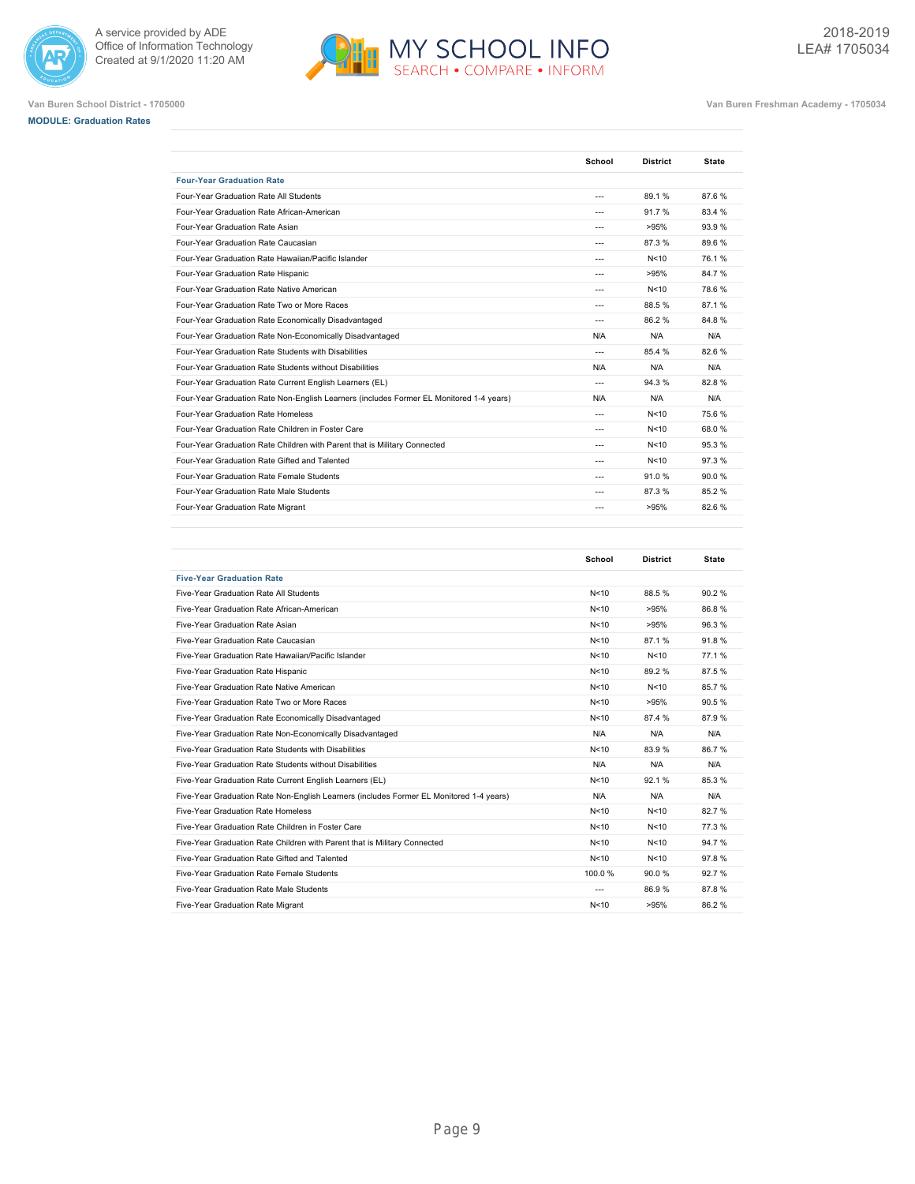







|                                                                                         | School         | <b>District</b> | <b>State</b> |
|-----------------------------------------------------------------------------------------|----------------|-----------------|--------------|
| <b>Four-Year Graduation Rate</b>                                                        |                |                 |              |
| Four-Year Graduation Rate All Students                                                  | ---            | 89.1%           | 87.6%        |
| Four-Year Graduation Rate African-American                                              | ---            | 91.7%           | 83.4 %       |
| Four-Year Graduation Rate Asian                                                         | ---            | >95%            | 93.9%        |
| Four-Year Graduation Rate Caucasian                                                     | ---            | 87.3%           | 89.6%        |
| Four-Year Graduation Rate Hawaiian/Pacific Islander                                     | ---            | N<10            | 76.1%        |
| Four-Year Graduation Rate Hispanic                                                      | ---            | >95%            | 84.7%        |
| Four-Year Graduation Rate Native American                                               | ---            | N<10            | 78.6%        |
| Four-Year Graduation Rate Two or More Races                                             | ---            | 88.5%           | 87.1%        |
| Four-Year Graduation Rate Economically Disadvantaged                                    | ---            | 86.2%           | 84.8%        |
| Four-Year Graduation Rate Non-Economically Disadvantaged                                | N/A            | N/A             | N/A          |
| Four-Year Graduation Rate Students with Disabilities                                    | $\overline{a}$ | 85.4 %          | 82.6%        |
| Four-Year Graduation Rate Students without Disabilities                                 | N/A            | N/A             | N/A          |
| Four-Year Graduation Rate Current English Learners (EL)                                 | $---$          | 94.3%           | 82.8%        |
| Four-Year Graduation Rate Non-English Learners (includes Former EL Monitored 1-4 years) | N/A            | N/A             | N/A          |
| Four-Year Graduation Rate Homeless                                                      | ---            | N<10            | 75.6%        |
| Four-Year Graduation Rate Children in Foster Care                                       | ---            | N<10            | 68.0%        |
| Four-Year Graduation Rate Children with Parent that is Military Connected               | ---            | N<10            | 95.3%        |
| Four-Year Graduation Rate Gifted and Talented                                           | ---            | N <sub>10</sub> | 97.3%        |
| Four-Year Graduation Rate Female Students                                               | ---            | 91.0%           | 90.0%        |
| Four-Year Graduation Rate Male Students                                                 | ---            | 87.3%           | 85.2%        |
| Four-Year Graduation Rate Migrant                                                       | ---            | >95%            | 82.6%        |

|                                                                                         | School          | <b>District</b> | <b>State</b> |
|-----------------------------------------------------------------------------------------|-----------------|-----------------|--------------|
| <b>Five-Year Graduation Rate</b>                                                        |                 |                 |              |
| Five-Year Graduation Rate All Students                                                  | N<10            | 88.5%           | 90.2%        |
| Five-Year Graduation Rate African-American                                              | N<10            | >95%            | 86.8%        |
| Five-Year Graduation Rate Asian                                                         | N<10            | >95%            | 96.3%        |
| Five-Year Graduation Rate Caucasian                                                     | N<10            | 87.1%           | 91.8%        |
| Five-Year Graduation Rate Hawaiian/Pacific Islander                                     | N<10            | N<10            | 77.1%        |
| Five-Year Graduation Rate Hispanic                                                      | N <sub>10</sub> | 89.2%           | 87.5%        |
| Five-Year Graduation Rate Native American                                               | N<10            | N<10            | 85.7%        |
| Five-Year Graduation Rate Two or More Races                                             | N<10            | >95%            | 90.5%        |
| Five-Year Graduation Rate Economically Disadvantaged                                    | N<10            | 87.4 %          | 87.9%        |
| Five-Year Graduation Rate Non-Economically Disadvantaged                                | N/A             | N/A             | N/A          |
| Five-Year Graduation Rate Students with Disabilities                                    | N<10            | 83.9%           | 86.7%        |
| Five-Year Graduation Rate Students without Disabilities                                 | N/A             | N/A             | N/A          |
| Five-Year Graduation Rate Current English Learners (EL)                                 | N<10            | 92.1%           | 85.3%        |
| Five-Year Graduation Rate Non-English Learners (includes Former EL Monitored 1-4 years) | N/A             | N/A             | N/A          |
| Five-Year Graduation Rate Homeless                                                      | N<10            | N<10            | 82.7%        |
| Five-Year Graduation Rate Children in Foster Care                                       | N<10            | N<10            | 77.3%        |
| Five-Year Graduation Rate Children with Parent that is Military Connected               | N<10            | N<10            | 94.7%        |
| Five-Year Graduation Rate Gifted and Talented                                           | N<10            | N<10            | 97.8%        |
| Five-Year Graduation Rate Female Students                                               | 100.0%          | 90.0%           | 92.7%        |
| Five-Year Graduation Rate Male Students                                                 | $---$           | 86.9%           | 87.8%        |
| Five-Year Graduation Rate Migrant                                                       | N < 10          | >95%            | 86.2%        |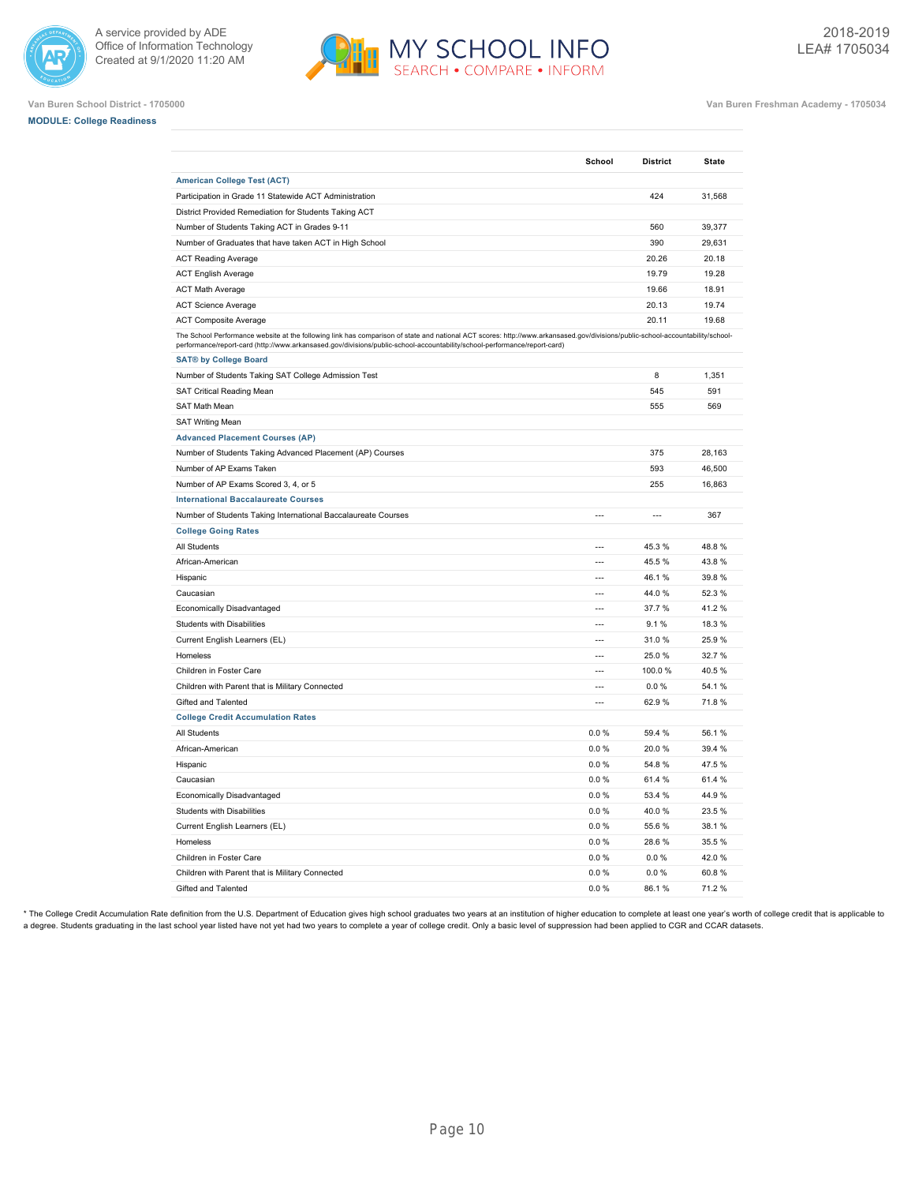



# **MODULE: College Readiness**

|                                                                                                                                                                                                                                                                                                             | School                   | <b>District</b> | <b>State</b> |
|-------------------------------------------------------------------------------------------------------------------------------------------------------------------------------------------------------------------------------------------------------------------------------------------------------------|--------------------------|-----------------|--------------|
| <b>American College Test (ACT)</b>                                                                                                                                                                                                                                                                          |                          |                 |              |
| Participation in Grade 11 Statewide ACT Administration                                                                                                                                                                                                                                                      |                          | 424             | 31,568       |
| District Provided Remediation for Students Taking ACT                                                                                                                                                                                                                                                       |                          |                 |              |
| Number of Students Taking ACT in Grades 9-11                                                                                                                                                                                                                                                                |                          | 560             | 39,377       |
| Number of Graduates that have taken ACT in High School                                                                                                                                                                                                                                                      |                          | 390             | 29,631       |
| <b>ACT Reading Average</b>                                                                                                                                                                                                                                                                                  |                          | 20.26           | 20.18        |
| <b>ACT English Average</b>                                                                                                                                                                                                                                                                                  |                          | 19.79           | 19.28        |
| <b>ACT Math Average</b>                                                                                                                                                                                                                                                                                     |                          | 19.66           | 18.91        |
| <b>ACT Science Average</b>                                                                                                                                                                                                                                                                                  |                          | 20.13           | 19.74        |
| <b>ACT Composite Average</b>                                                                                                                                                                                                                                                                                |                          | 20.11           | 19.68        |
| The School Performance website at the following link has comparison of state and national ACT scores: http://www.arkansased.gov/divisions/public-school-accountability/school-<br>performance/report-card (http://www.arkansased.gov/divisions/public-school-accountability/school-performance/report-card) |                          |                 |              |
| <b>SAT® by College Board</b>                                                                                                                                                                                                                                                                                |                          |                 |              |
| Number of Students Taking SAT College Admission Test                                                                                                                                                                                                                                                        |                          | 8               | 1,351        |
| SAT Critical Reading Mean                                                                                                                                                                                                                                                                                   |                          | 545             | 591          |
| SAT Math Mean                                                                                                                                                                                                                                                                                               |                          | 555             | 569          |
| SAT Writing Mean                                                                                                                                                                                                                                                                                            |                          |                 |              |
| <b>Advanced Placement Courses (AP)</b>                                                                                                                                                                                                                                                                      |                          |                 |              |
| Number of Students Taking Advanced Placement (AP) Courses                                                                                                                                                                                                                                                   |                          | 375             | 28,163       |
| Number of AP Exams Taken                                                                                                                                                                                                                                                                                    |                          | 593             | 46,500       |
| Number of AP Exams Scored 3, 4, or 5                                                                                                                                                                                                                                                                        |                          | 255             | 16,863       |
| <b>International Baccalaureate Courses</b>                                                                                                                                                                                                                                                                  |                          |                 |              |
| Number of Students Taking International Baccalaureate Courses                                                                                                                                                                                                                                               | $\overline{\phantom{a}}$ | ---             | 367          |
| <b>College Going Rates</b>                                                                                                                                                                                                                                                                                  |                          |                 |              |
| All Students                                                                                                                                                                                                                                                                                                | $\overline{\phantom{a}}$ | 45.3%           | 48.8%        |
| African-American                                                                                                                                                                                                                                                                                            | $\overline{a}$           | 45.5 %          | 43.8%        |
| Hispanic                                                                                                                                                                                                                                                                                                    | $\overline{a}$           | 46.1%           | 39.8%        |
| Caucasian                                                                                                                                                                                                                                                                                                   | $\overline{a}$           | 44.0%           | 52.3%        |
| Economically Disadvantaged                                                                                                                                                                                                                                                                                  | $\overline{a}$           | 37.7%           | 41.2%        |
| Students with Disabilities                                                                                                                                                                                                                                                                                  | $\overline{a}$           | 9.1%            | 18.3%        |
| Current English Learners (EL)                                                                                                                                                                                                                                                                               | $\overline{a}$           | 31.0%           | 25.9%        |
| Homeless                                                                                                                                                                                                                                                                                                    | $\overline{a}$           | 25.0%           | 32.7%        |
| Children in Foster Care                                                                                                                                                                                                                                                                                     | $\overline{a}$           | 100.0%          | 40.5%        |
| Children with Parent that is Military Connected                                                                                                                                                                                                                                                             | $\overline{a}$           | 0.0%            | 54.1%        |
| Gifted and Talented                                                                                                                                                                                                                                                                                         | $\overline{a}$           | 62.9%           | 71.8%        |
| <b>College Credit Accumulation Rates</b>                                                                                                                                                                                                                                                                    |                          |                 |              |
| All Students                                                                                                                                                                                                                                                                                                | 0.0%                     | 59.4 %          | 56.1%        |
| African-American                                                                                                                                                                                                                                                                                            | 0.0%                     | 20.0%           | 39.4 %       |
| Hispanic                                                                                                                                                                                                                                                                                                    | 0.0%                     | 54.8%           | 47.5%        |
| Caucasian                                                                                                                                                                                                                                                                                                   | 0.0%                     | 61.4 %          | 61.4%        |
| Economically Disadvantaged                                                                                                                                                                                                                                                                                  | 0.0%                     | 53.4 %          | 44.9%        |
| Students with Disabilities                                                                                                                                                                                                                                                                                  | 0.0%                     | 40.0%           | 23.5%        |
| Current English Learners (EL)                                                                                                                                                                                                                                                                               | 0.0%                     | 55.6 %          | 38.1%        |
| Homeless                                                                                                                                                                                                                                                                                                    | 0.0%                     | 28.6%           | 35.5%        |
| Children in Foster Care                                                                                                                                                                                                                                                                                     | 0.0%                     | 0.0%            | 42.0%        |
| Children with Parent that is Military Connected                                                                                                                                                                                                                                                             | 0.0%                     | 0.0%            | 60.8%        |
| Gifted and Talented                                                                                                                                                                                                                                                                                         | 0.0%                     | 86.1%           | 71.2%        |
|                                                                                                                                                                                                                                                                                                             |                          |                 |              |

\* The College Credit Accumulation Rate definition from the U.S. Department of Education gives high school graduates two years at an institution of higher education to complete at least one year's worth of college credit th a degree. Students graduating in the last school year listed have not yet had two years to complete a year of college credit. Only a basic level of suppression had been applied to CGR and CCAR datasets.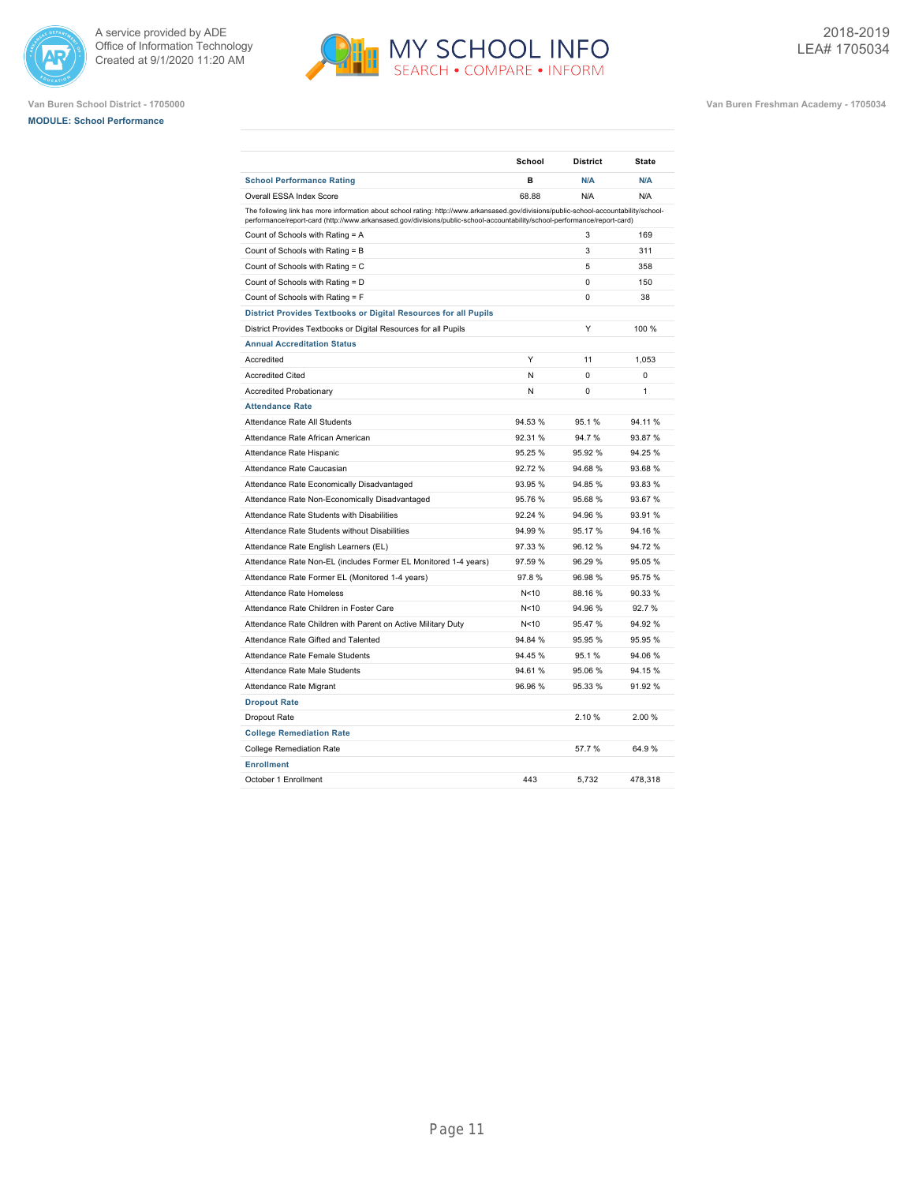





|                                                                                                                                                                                                                                                                    | School          | <b>District</b> | <b>State</b> |
|--------------------------------------------------------------------------------------------------------------------------------------------------------------------------------------------------------------------------------------------------------------------|-----------------|-----------------|--------------|
| <b>School Performance Rating</b>                                                                                                                                                                                                                                   | в               | N/A             | N/A          |
| Overall ESSA Index Score                                                                                                                                                                                                                                           | 68.88           | N/A             | N/A          |
| The following link has more information about school rating: http://www.arkansased.gov/divisions/public-school-accountability/school-<br>performance/report-card (http://www.arkansased.gov/divisions/public-school-accountability/school-performance/report-card) |                 |                 |              |
| Count of Schools with Rating = A                                                                                                                                                                                                                                   |                 | 3               | 169          |
| Count of Schools with Rating = B                                                                                                                                                                                                                                   |                 | 3               | 311          |
| Count of Schools with Rating = C                                                                                                                                                                                                                                   |                 | 5               | 358          |
| Count of Schools with Rating = D                                                                                                                                                                                                                                   |                 | 0               | 150          |
| Count of Schools with Rating = F                                                                                                                                                                                                                                   |                 | 0               | 38           |
| District Provides Textbooks or Digital Resources for all Pupils                                                                                                                                                                                                    |                 |                 |              |
| District Provides Textbooks or Digital Resources for all Pupils                                                                                                                                                                                                    |                 | Y               | 100 %        |
| <b>Annual Accreditation Status</b>                                                                                                                                                                                                                                 |                 |                 |              |
| Accredited                                                                                                                                                                                                                                                         | Y               | 11              | 1,053        |
| <b>Accredited Cited</b>                                                                                                                                                                                                                                            | N               | 0               | 0            |
| <b>Accredited Probationary</b>                                                                                                                                                                                                                                     | N               | 0               | 1            |
| <b>Attendance Rate</b>                                                                                                                                                                                                                                             |                 |                 |              |
| Attendance Rate All Students                                                                                                                                                                                                                                       | 94.53 %         | 95.1%           | 94.11%       |
| Attendance Rate African American                                                                                                                                                                                                                                   | 92.31 %         | 94.7%           | 93.87 %      |
| Attendance Rate Hispanic                                                                                                                                                                                                                                           | 95.25 %         | 95.92%          | 94.25 %      |
| Attendance Rate Caucasian                                                                                                                                                                                                                                          | 92.72%          | 94.68%          | 93.68%       |
| Attendance Rate Economically Disadvantaged                                                                                                                                                                                                                         | 93.95 %         | 94.85%          | 93.83%       |
| Attendance Rate Non-Economically Disadvantaged                                                                                                                                                                                                                     | 95.76 %         | 95.68%          | 93.67 %      |
| Attendance Rate Students with Disabilities                                                                                                                                                                                                                         | 92.24 %         | 94.96%          | 93.91 %      |
| Attendance Rate Students without Disabilities                                                                                                                                                                                                                      | 94.99%          | 95.17%          | 94.16%       |
| Attendance Rate English Learners (EL)                                                                                                                                                                                                                              | 97.33 %         | 96.12%          | 94.72%       |
| Attendance Rate Non-EL (includes Former EL Monitored 1-4 years)                                                                                                                                                                                                    | 97.59 %         | 96.29%          | 95.05 %      |
| Attendance Rate Former EL (Monitored 1-4 years)                                                                                                                                                                                                                    | 97.8%           | 96.98%          | 95.75 %      |
| <b>Attendance Rate Homeless</b>                                                                                                                                                                                                                                    | N<10            | 88.16%          | 90.33 %      |
| Attendance Rate Children in Foster Care                                                                                                                                                                                                                            | N<10            | 94.96%          | 92.7%        |
| Attendance Rate Children with Parent on Active Military Duty                                                                                                                                                                                                       | N <sub>10</sub> | 95.47%          | 94.92%       |
| Attendance Rate Gifted and Talented                                                                                                                                                                                                                                | 94.84 %         | 95.95%          | 95.95 %      |
| Attendance Rate Female Students                                                                                                                                                                                                                                    | 94.45 %         | 95.1%           | 94.06 %      |
| Attendance Rate Male Students                                                                                                                                                                                                                                      | 94.61%          | 95.06 %         | 94.15%       |
| Attendance Rate Migrant                                                                                                                                                                                                                                            | 96.96%          | 95.33 %         | 91.92 %      |
| <b>Dropout Rate</b>                                                                                                                                                                                                                                                |                 |                 |              |
| Dropout Rate                                                                                                                                                                                                                                                       |                 | 2.10%           | 2.00%        |
| <b>College Remediation Rate</b>                                                                                                                                                                                                                                    |                 |                 |              |
| <b>College Remediation Rate</b>                                                                                                                                                                                                                                    |                 | 57.7%           | 64.9%        |
| <b>Enrollment</b>                                                                                                                                                                                                                                                  |                 |                 |              |
| October 1 Enrollment                                                                                                                                                                                                                                               | 443             | 5.732           | 478,318      |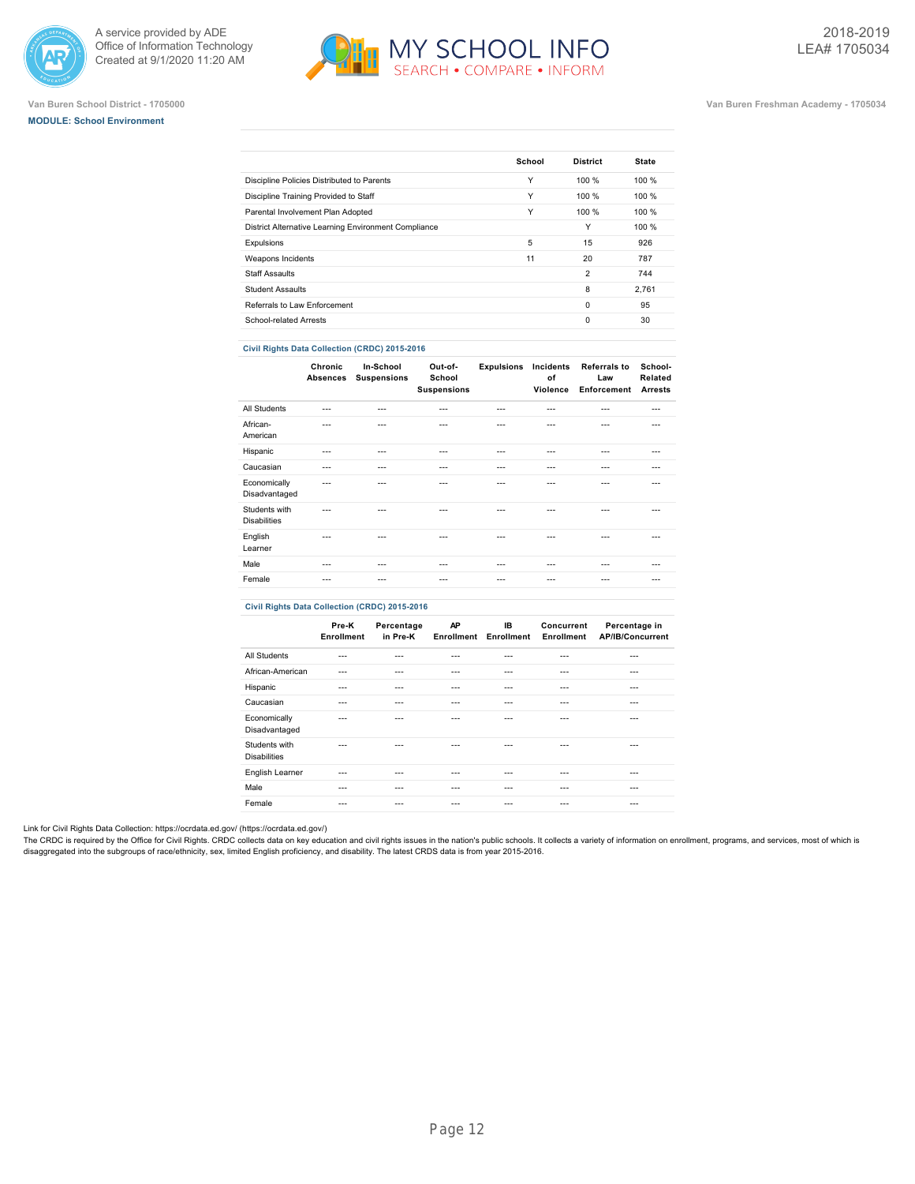





### **Van Buren School District - 1705000 Van Buren Freshman Academy - 1705034**

|                                                      | School | <b>District</b> | <b>State</b> |
|------------------------------------------------------|--------|-----------------|--------------|
| Discipline Policies Distributed to Parents           | Υ      | 100 %           | 100%         |
| Discipline Training Provided to Staff                | Υ      | 100 %           | 100%         |
| Parental Involvement Plan Adopted                    | Υ      | 100 %           | 100%         |
| District Alternative Learning Environment Compliance |        | Y               | 100%         |
| Expulsions                                           | 5      | 15              | 926          |
| Weapons Incidents                                    | 11     | 20              | 787          |
| <b>Staff Assaults</b>                                |        | $\overline{2}$  | 744          |
| <b>Student Assaults</b>                              |        | 8               | 2.761        |
| Referrals to Law Enforcement                         |        | $\Omega$        | 95           |
| School-related Arrests                               |        | $\Omega$        | 30           |
|                                                      |        |                 |              |

### **Civil Rights Data Collection (CRDC) 2015-2016**

|                                      | Chronic<br>Absences | In-School<br><b>Suspensions</b> | Out-of-<br>School<br><b>Suspensions</b> | <b>Expulsions</b> | Incidents<br>of<br>Violence | <b>Referrals to</b><br>Law<br>Enforcement | School-<br>Related<br><b>Arrests</b> |
|--------------------------------------|---------------------|---------------------------------|-----------------------------------------|-------------------|-----------------------------|-------------------------------------------|--------------------------------------|
| <b>All Students</b>                  | $- - -$             | $- - -$                         | $- - -$                                 | $- - -$           | ---                         | $- - -$                                   | $- - -$                              |
| African-<br>American                 | $- - -$             | $- - -$                         | ---                                     | $- - -$           | ---                         | $- - -$                                   | ---                                  |
| Hispanic                             | $- - -$             | ---                             | $- - -$                                 | $- - -$           | ---                         | $- - -$                                   | ---                                  |
| Caucasian                            | $- - -$             | $- - -$                         | $- - -$                                 | $- - -$           | ---                         | $- - -$                                   | ---                                  |
| Economically<br>Disadvantaged        | $- - -$             | ---                             | ---                                     | $- - -$           | ---                         | $- - -$                                   | ---                                  |
| Students with<br><b>Disabilities</b> | $- - -$             | ---                             | ---                                     | ---               | ---                         | $- - -$                                   | ---                                  |
| English<br>Learner                   | $- - -$             | $---$                           | $- - -$                                 | $---$             | ---                         | $- - -$                                   | ---                                  |
| Male                                 | $- - -$             | $- - -$                         | $- - -$                                 | $- - -$           | $- - -$                     | $- - -$                                   | ---                                  |
| Female                               | ---                 | ---                             | ---                                     | $- - -$           | ---                         | $- - -$                                   | ---                                  |

## **Civil Rights Data Collection (CRDC) 2015-2016**

|                                      | Pre-K<br>Enrollment | Percentage<br>in Pre-K | <b>AP</b><br>Enrollment | IB<br>Enrollment | Concurrent<br>Enrollment | Percentage in<br><b>AP/IB/Concurrent</b> |
|--------------------------------------|---------------------|------------------------|-------------------------|------------------|--------------------------|------------------------------------------|
| All Students                         | ---                 | ---                    | ---                     | $- - -$          | ---                      | $- - -$                                  |
| African-American                     | ---                 | ---                    | ---                     | $- - -$          | ---                      | $- - -$                                  |
| Hispanic                             | ---                 | ---                    | ---                     | $- - -$          | ---                      | $- - -$                                  |
| Caucasian                            | ---                 | ---                    | ---                     | $- - -$          | ---                      | $- - -$                                  |
| Economically<br>Disadvantaged        | ---                 | ---                    | ---                     | $- - -$          | ---                      | $- - -$                                  |
| Students with<br><b>Disabilities</b> | ---                 |                        | ---                     |                  | ---                      | $- - -$                                  |
| English Learner                      | $- - -$             | ---                    | $- - -$                 | $- - -$          | $- - -$                  | $- - -$                                  |
| Male                                 | $- - -$             | $- - -$                | $- - -$                 | $- - -$          | ---                      | $- - -$                                  |
| Female                               | $- - -$             | ---                    | $- - -$                 | $- - -$          | ---                      | $- - -$                                  |

Link for Civil Rights Data Collection: [https://ocrdata.ed.gov/ \(https://ocrdata.ed.gov/\)](https://ocrdata.ed.gov/)

The CRDC is required by the Office for Civil Rights. CRDC collects data on key education and civil rights issues in the nation's public schools. It collects a variety of information on enrollment, programs, and services, m disaggregated into the subgroups of race/ethnicity, sex, limited English proficiency, and disability. The latest CRDS data is from year 2015-2016.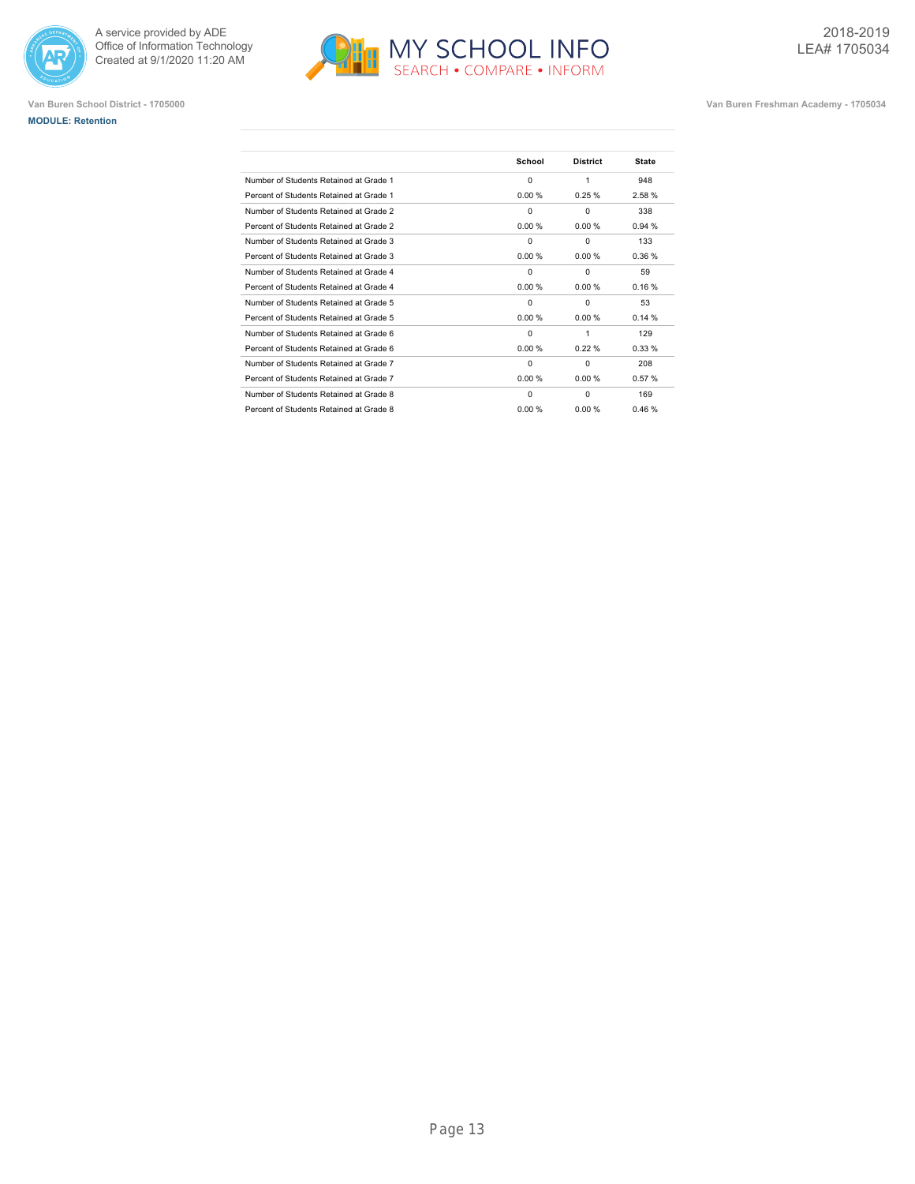





|                                         | School   | <b>District</b> | <b>State</b> |
|-----------------------------------------|----------|-----------------|--------------|
| Number of Students Retained at Grade 1  | $\Omega$ | 1               | 948          |
| Percent of Students Retained at Grade 1 | 0.00 %   | 0.25%           | 2.58%        |
| Number of Students Retained at Grade 2  | $\Omega$ | $\Omega$        | 338          |
| Percent of Students Retained at Grade 2 | 0.00 %   | 0.00%           | 0.94%        |
| Number of Students Retained at Grade 3  | $\Omega$ | $\Omega$        | 133          |
| Percent of Students Retained at Grade 3 | 0.00 %   | 0.00%           | 0.36%        |
| Number of Students Retained at Grade 4  | $\Omega$ | $\Omega$        | 59           |
| Percent of Students Retained at Grade 4 | 0.00 %   | 0.00%           | 0.16%        |
| Number of Students Retained at Grade 5  | $\Omega$ | $\Omega$        | 53           |
| Percent of Students Retained at Grade 5 | 0.00%    | 0.00%           | 0.14%        |
| Number of Students Retained at Grade 6  | $\Omega$ | 1               | 129          |
| Percent of Students Retained at Grade 6 | 0.00 %   | 0.22%           | 0.33%        |
| Number of Students Retained at Grade 7  | $\Omega$ | $\Omega$        | 208          |
| Percent of Students Retained at Grade 7 | 0.00 %   | 0.00%           | 0.57%        |
| Number of Students Retained at Grade 8  | $\Omega$ | $\Omega$        | 169          |
| Percent of Students Retained at Grade 8 | 0.00 %   | 0.00%           | 0.46%        |
|                                         |          |                 |              |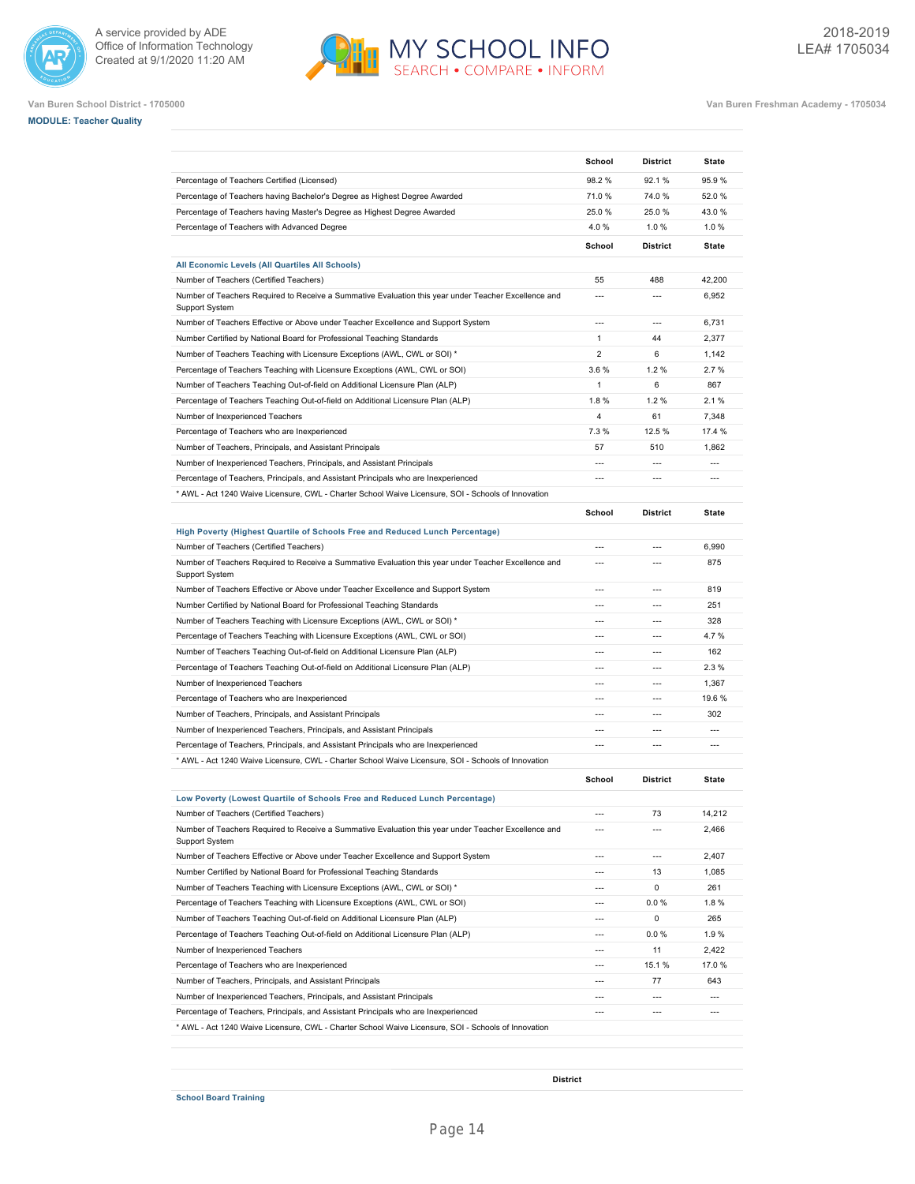







|                                                                                                                                              | School         | <b>District</b> | <b>State</b>   |
|----------------------------------------------------------------------------------------------------------------------------------------------|----------------|-----------------|----------------|
| Percentage of Teachers Certified (Licensed)                                                                                                  | 98.2%          | 92.1%           | 95.9%          |
| Percentage of Teachers having Bachelor's Degree as Highest Degree Awarded                                                                    | 71.0%          | 74.0%           | 52.0%          |
| Percentage of Teachers having Master's Degree as Highest Degree Awarded                                                                      | 25.0%          | 25.0 %          | 43.0%          |
| Percentage of Teachers with Advanced Degree                                                                                                  | 4.0%           | 1.0%            | 1.0%           |
|                                                                                                                                              | School         | <b>District</b> | <b>State</b>   |
| All Economic Levels (All Quartiles All Schools)                                                                                              |                |                 |                |
| Number of Teachers (Certified Teachers)                                                                                                      | 55             | 488             | 42,200         |
| Number of Teachers Required to Receive a Summative Evaluation this year under Teacher Excellence and<br>Support System                       | $\overline{a}$ | $\overline{a}$  | 6,952          |
| Number of Teachers Effective or Above under Teacher Excellence and Support System                                                            | $\overline{a}$ | $\overline{a}$  | 6,731          |
| Number Certified by National Board for Professional Teaching Standards                                                                       | 1              | 44              | 2,377          |
| Number of Teachers Teaching with Licensure Exceptions (AWL, CWL or SOI) *                                                                    | $\overline{2}$ | 6               | 1.142          |
| Percentage of Teachers Teaching with Licensure Exceptions (AWL, CWL or SOI)                                                                  | 3.6%           | 1.2%            | 2.7%           |
| Number of Teachers Teaching Out-of-field on Additional Licensure Plan (ALP)                                                                  | $\mathbf{1}$   | 6               | 867            |
| Percentage of Teachers Teaching Out-of-field on Additional Licensure Plan (ALP)                                                              | 1.8%           | 1.2%            | 2.1%           |
| Number of Inexperienced Teachers                                                                                                             | 4              | 61              | 7,348          |
| Percentage of Teachers who are Inexperienced                                                                                                 | 7.3%           | 12.5 %          | 17.4 %         |
| Number of Teachers, Principals, and Assistant Principals                                                                                     | 57             | 510             | 1,862          |
| Number of Inexperienced Teachers, Principals, and Assistant Principals                                                                       | $\overline{a}$ | $\overline{a}$  | $\overline{a}$ |
| Percentage of Teachers, Principals, and Assistant Principals who are Inexperienced                                                           | $\overline{a}$ | $\overline{a}$  | $\overline{a}$ |
| * AWL - Act 1240 Waive Licensure, CWL - Charter School Waive Licensure, SOI - Schools of Innovation                                          |                |                 |                |
|                                                                                                                                              | School         | <b>District</b> | <b>State</b>   |
| High Poverty (Highest Quartile of Schools Free and Reduced Lunch Percentage)                                                                 |                |                 |                |
| Number of Teachers (Certified Teachers)                                                                                                      | $\overline{a}$ | $\overline{a}$  | 6,990          |
| Number of Teachers Required to Receive a Summative Evaluation this year under Teacher Excellence and<br>Support System                       | $\overline{a}$ | $\overline{a}$  | 875            |
| Number of Teachers Effective or Above under Teacher Excellence and Support System                                                            | $\overline{a}$ | $\overline{a}$  | 819            |
| Number Certified by National Board for Professional Teaching Standards                                                                       | $\overline{a}$ | $\overline{a}$  | 251            |
| Number of Teachers Teaching with Licensure Exceptions (AWL, CWL or SOI) *                                                                    | $\overline{a}$ | $\overline{a}$  | 328            |
| Percentage of Teachers Teaching with Licensure Exceptions (AWL, CWL or SOI)                                                                  | $\overline{a}$ | $\overline{a}$  | 4.7%           |
| Number of Teachers Teaching Out-of-field on Additional Licensure Plan (ALP)                                                                  | $\overline{a}$ | $\overline{a}$  | 162            |
| Percentage of Teachers Teaching Out-of-field on Additional Licensure Plan (ALP)                                                              | $\overline{a}$ | $\overline{a}$  | 2.3%           |
| Number of Inexperienced Teachers                                                                                                             | $\overline{a}$ | $\overline{a}$  | 1,367          |
| Percentage of Teachers who are Inexperienced                                                                                                 | $\overline{a}$ | $\overline{a}$  | 19.6%          |
| Number of Teachers, Principals, and Assistant Principals                                                                                     | $\overline{a}$ | $\overline{a}$  | 302            |
| Number of Inexperienced Teachers, Principals, and Assistant Principals                                                                       | $\overline{a}$ | $\overline{a}$  |                |
| Percentage of Teachers, Principals, and Assistant Principals who are Inexperienced                                                           | $\overline{a}$ | $\overline{a}$  | $\overline{a}$ |
| * AWL - Act 1240 Waive Licensure, CWL - Charter School Waive Licensure, SOI - Schools of Innovation                                          |                |                 |                |
|                                                                                                                                              | School         | <b>District</b> | <b>State</b>   |
| Low Poverty (Lowest Quartile of Schools Free and Reduced Lunch Percentage)                                                                   |                |                 |                |
| Number of Teachers (Certified Teachers)                                                                                                      | ---            | 73              | 14,212         |
| Number of Teachers Required to Receive a Summative Evaluation this year under Teacher Excellence and<br>Support System                       | ---            | $---$           | 2,466          |
| Number of Teachers Effective or Above under Teacher Excellence and Support System                                                            | ---            | ---             | 2,407          |
| Number Certified by National Board for Professional Teaching Standards                                                                       | $\overline{a}$ | 13              | 1,085          |
| Number of Teachers Teaching with Licensure Exceptions (AWL, CWL or SOI) *                                                                    | $\overline{a}$ | 0               | 261            |
| Percentage of Teachers Teaching with Licensure Exceptions (AWL, CWL or SOI)                                                                  | $\overline{a}$ | $0.0 \%$        | 1.8%           |
| Number of Teachers Teaching Out-of-field on Additional Licensure Plan (ALP)                                                                  | $---$          | 0               | 265            |
| Percentage of Teachers Teaching Out-of-field on Additional Licensure Plan (ALP)                                                              | $\overline{a}$ | $0.0 \%$        | 1.9%           |
|                                                                                                                                              | $---$          | 11              | 2,422          |
|                                                                                                                                              | $---$          | 15.1 %          | 17.0%          |
|                                                                                                                                              |                |                 |                |
| Number of Inexperienced Teachers<br>Percentage of Teachers who are Inexperienced<br>Number of Teachers, Principals, and Assistant Principals | $---$          | 77              | 643            |
| Number of Inexperienced Teachers, Principals, and Assistant Principals                                                                       | $\overline{a}$ | ---             | ---            |

**District**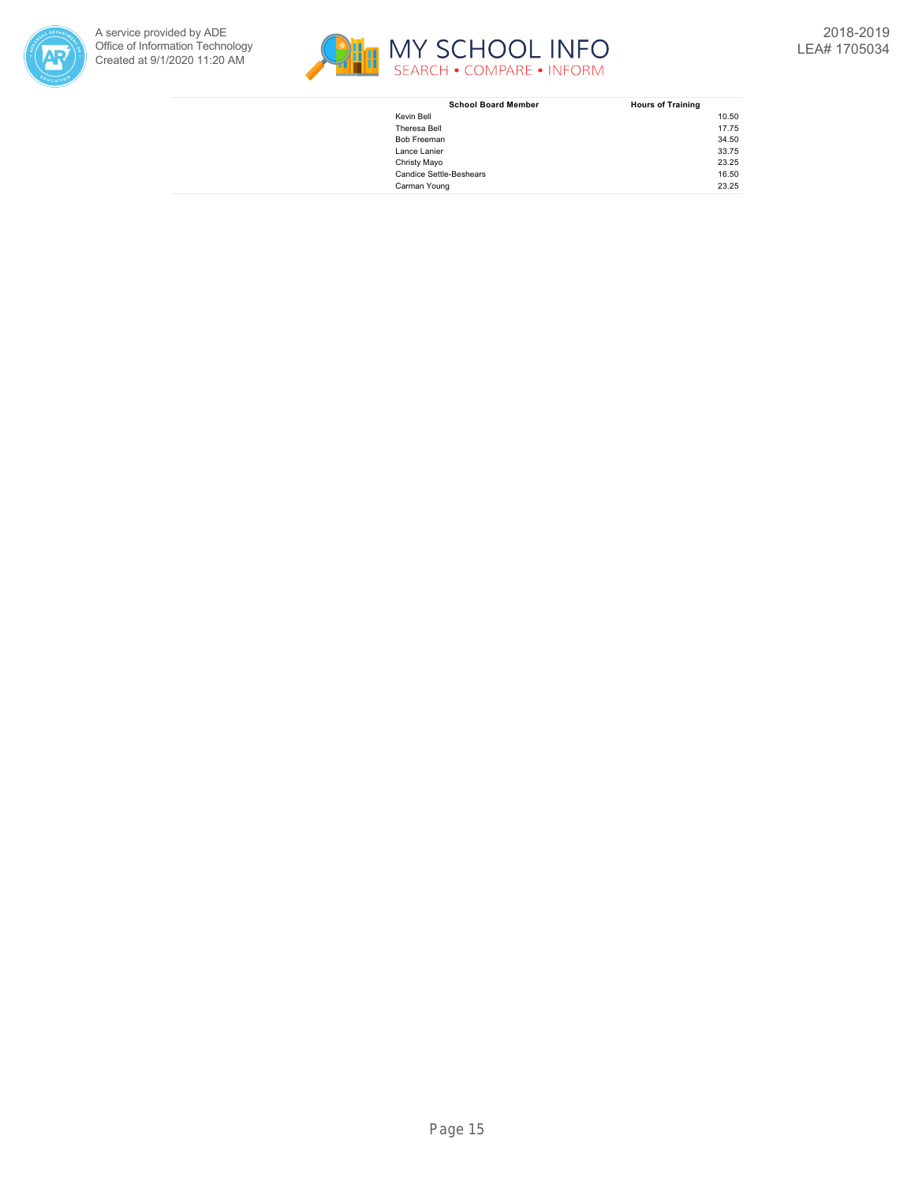



| <b>School Board Member</b>     | <b>Hours of Training</b> |
|--------------------------------|--------------------------|
| Kevin Bell                     | 10.50                    |
| Theresa Bell                   | 17.75                    |
| Bob Freeman                    | 34.50                    |
| Lance Lanier                   | 33.75                    |
| Christy Mayo                   | 23.25                    |
| <b>Candice Settle-Beshears</b> | 16.50                    |
| Carman Young                   | 23.25                    |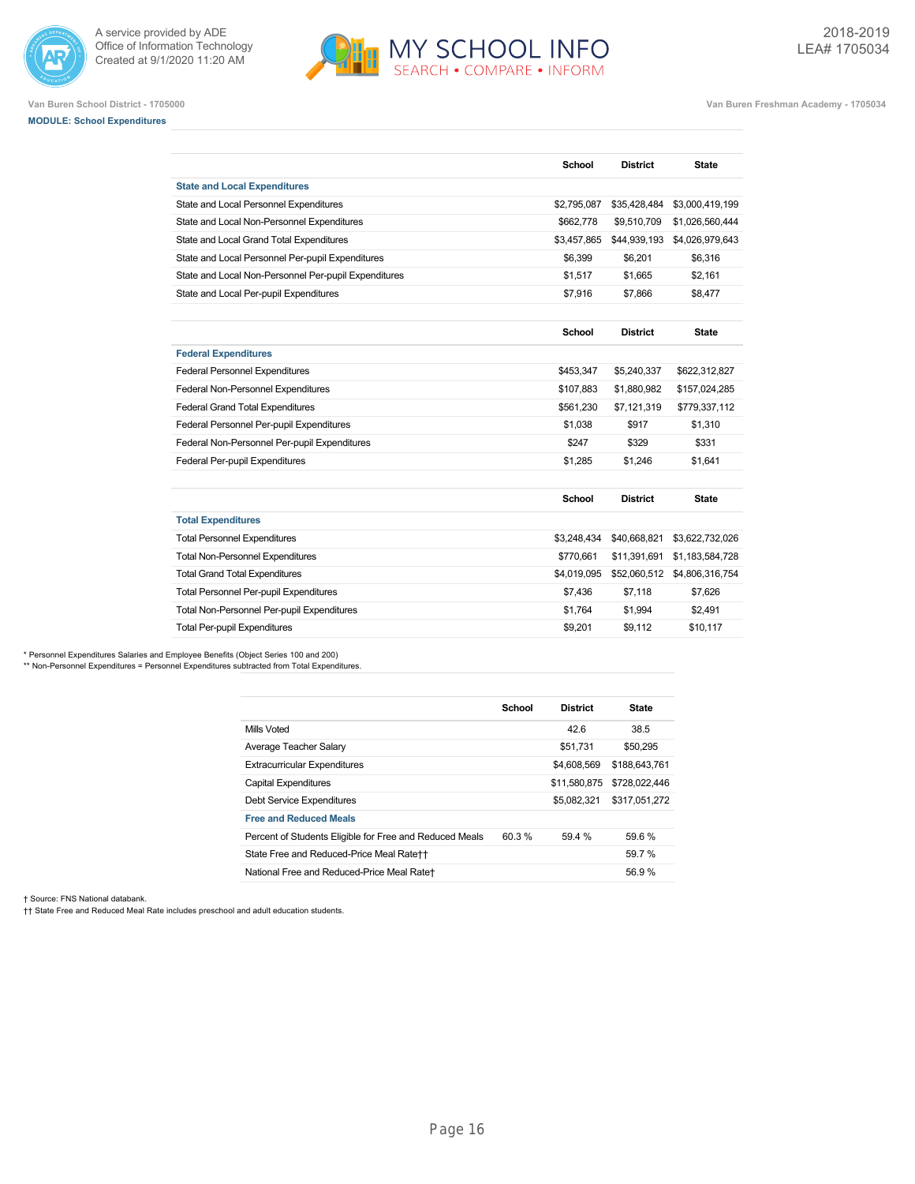



**Van Buren School District - 1705000 Van Buren Freshman Academy - 1705034**

**School District State**

# **MODULE: School Expenditures**

| <b>State and Local Expenditures</b>                  |               |                 |                 |
|------------------------------------------------------|---------------|-----------------|-----------------|
| State and Local Personnel Expenditures               | \$2,795,087   | \$35,428,484    | \$3,000,419,199 |
| State and Local Non-Personnel Expenditures           | \$662,778     | \$9,510,709     | \$1,026,560,444 |
| State and Local Grand Total Expenditures             | \$3,457,865   | \$44,939,193    | \$4,026,979,643 |
| State and Local Personnel Per-pupil Expenditures     | \$6,399       | \$6,201         | \$6,316         |
| State and Local Non-Personnel Per-pupil Expenditures | \$1,517       | \$1,665         | \$2,161         |
| State and Local Per-pupil Expenditures               | \$7,916       | \$7,866         | \$8,477         |
|                                                      | <b>School</b> | <b>District</b> | <b>State</b>    |
| <b>Federal Expenditures</b>                          |               |                 |                 |
| <b>Federal Personnel Expenditures</b>                | \$453,347     | \$5,240,337     | \$622,312,827   |
| Federal Non-Personnel Expenditures                   | \$107,883     | \$1,880,982     | \$157,024,285   |
| <b>Federal Grand Total Expenditures</b>              | \$561,230     | \$7,121,319     | \$779,337,112   |
| Federal Personnel Per-pupil Expenditures             | \$1,038       | \$917           | \$1,310         |
| Federal Non-Personnel Per-pupil Expenditures         | \$247         | \$329           | \$331           |
| Federal Per-pupil Expenditures                       | \$1,285       | \$1,246         | \$1,641         |
|                                                      | <b>School</b> | <b>District</b> | <b>State</b>    |
| <b>Total Expenditures</b>                            |               |                 |                 |
| <b>Total Personnel Expenditures</b>                  | \$3,248,434   | \$40,668,821    | \$3,622,732,026 |
| <b>Total Non-Personnel Expenditures</b>              | \$770,661     | \$11,391,691    | \$1,183,584,728 |
| <b>Total Grand Total Expenditures</b>                | \$4,019,095   | \$52,060,512    | \$4,806,316,754 |
| <b>Total Personnel Per-pupil Expenditures</b>        | \$7,436       | \$7,118         | \$7,626         |
| Total Non-Personnel Per-pupil Expenditures           | \$1,764       | \$1,994         | \$2,491         |
| <b>Total Per-pupil Expenditures</b>                  | \$9.201       | \$9.112         | \$10.117        |

\* Personnel Expenditures Salaries and Employee Benefits (Object Series 100 and 200)

\*\* Non-Personnel Expenditures = Personnel Expenditures subtracted from Total Expenditures.

|                                                         | School | <b>District</b> | <b>State</b>  |
|---------------------------------------------------------|--------|-----------------|---------------|
| Mills Voted                                             |        | 42.6            | 38.5          |
| Average Teacher Salary                                  |        | \$51.731        | \$50,295      |
| <b>Extracurricular Expenditures</b>                     |        | \$4,608,569     | \$188,643,761 |
| Capital Expenditures                                    |        | \$11.580.875    | \$728,022,446 |
| Debt Service Expenditures                               |        | \$5,082,321     | \$317.051.272 |
| <b>Free and Reduced Meals</b>                           |        |                 |               |
| Percent of Students Eligible for Free and Reduced Meals | 60.3%  | 59.4 %          | 59.6 %        |
| State Free and Reduced-Price Meal Rate++                |        |                 | 59.7 %        |
| National Free and Reduced-Price Meal Rate+              |        |                 | 56.9%         |

† Source: FNS National databank.

†† State Free and Reduced Meal Rate includes preschool and adult education students.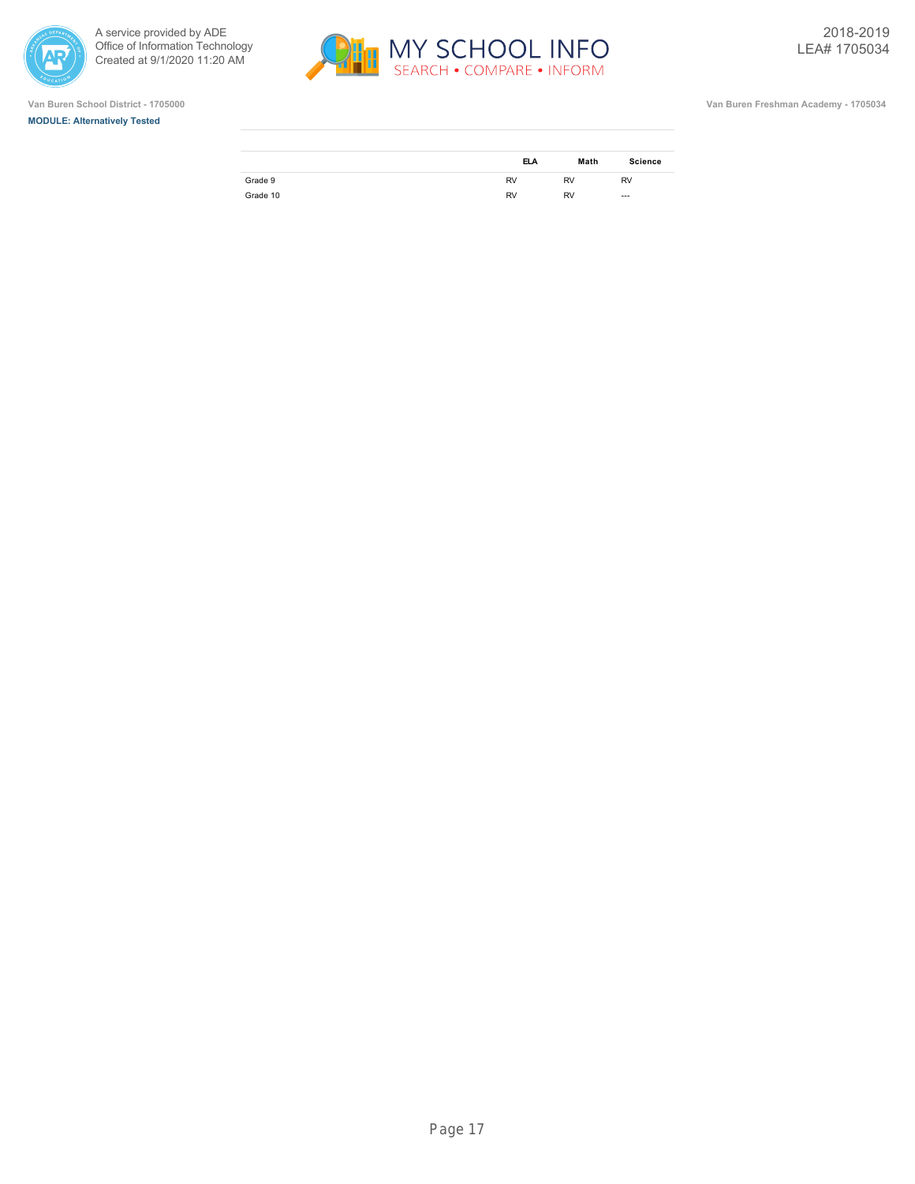







|          | <b>ELA</b> | Math      | Science   |
|----------|------------|-----------|-----------|
| Grade 9  | <b>RV</b>  | RV        | <b>RV</b> |
| Grade 10 | <b>RV</b>  | <b>RV</b> | $---$     |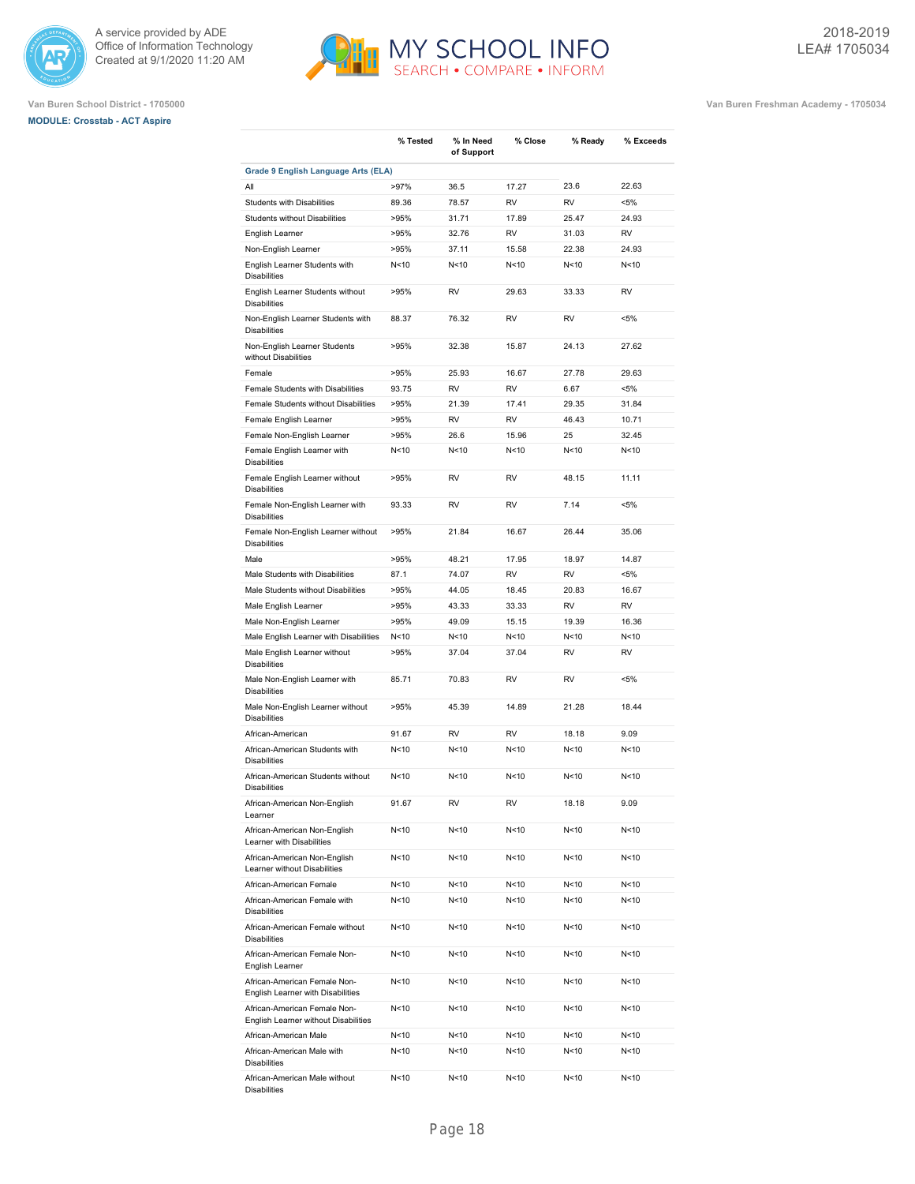





|                                                                      | % Tested        | % In Need<br>of Support | % Close   | % Ready         | % Exceeds |
|----------------------------------------------------------------------|-----------------|-------------------------|-----------|-----------------|-----------|
| Grade 9 English Language Arts (ELA)                                  |                 |                         |           |                 |           |
| All                                                                  | >97%            | 36.5                    | 17.27     | 23.6            | 22.63     |
| <b>Students with Disabilities</b>                                    | 89.36           | 78.57                   | <b>RV</b> | <b>RV</b>       | $< 5\%$   |
| Students without Disabilities                                        | >95%            | 31.71                   | 17.89     | 25.47           | 24.93     |
| English Learner                                                      | >95%            | 32.76                   | <b>RV</b> | 31.03           | <b>RV</b> |
| Non-English Learner                                                  | >95%            | 37.11                   | 15.58     | 22.38           | 24.93     |
| English Learner Students with<br><b>Disabilities</b>                 | N<10            | N<10                    | N<10      | N <sub>10</sub> | N<10      |
| English Learner Students without<br><b>Disabilities</b>              | >95%            | <b>RV</b>               | 29.63     | 33.33           | <b>RV</b> |
| Non-English Learner Students with<br><b>Disabilities</b>             | 88.37           | 76.32                   | <b>RV</b> | <b>RV</b>       | $< 5\%$   |
| Non-English Learner Students<br>without Disabilities                 | >95%            | 32.38                   | 15.87     | 24.13           | 27.62     |
| Female                                                               | >95%            | 25.93                   | 16.67     | 27.78           | 29.63     |
| Female Students with Disabilities                                    | 93.75           | <b>RV</b>               | <b>RV</b> | 6.67            | $< 5\%$   |
| Female Students without Disabilities                                 | >95%            | 21.39                   | 17.41     | 29.35           | 31.84     |
| Female English Learner                                               | >95%            | <b>RV</b>               | <b>RV</b> | 46.43           | 10.71     |
| Female Non-English Learner                                           | >95%            | 26.6                    | 15.96     | 25              | 32.45     |
| Female English Learner with<br><b>Disabilities</b>                   | N<10            | N<10                    | N<10      | N <sub>10</sub> | N<10      |
| Female English Learner without<br><b>Disabilities</b>                | >95%            | <b>RV</b>               | <b>RV</b> | 48.15           | 11.11     |
| Female Non-English Learner with<br><b>Disabilities</b>               | 93.33           | <b>RV</b>               | <b>RV</b> | 7.14            | $< 5\%$   |
| Female Non-English Learner without<br><b>Disabilities</b>            | >95%            | 21.84                   | 16.67     | 26.44           | 35.06     |
| Male                                                                 | >95%            | 48.21                   | 17.95     | 18.97           | 14.87     |
| Male Students with Disabilities                                      | 87.1            | 74.07                   | <b>RV</b> | <b>RV</b>       | $< 5\%$   |
| Male Students without Disabilities                                   | >95%            | 44.05                   | 18.45     | 20.83           | 16.67     |
| Male English Learner                                                 | >95%            | 43.33                   | 33.33     | <b>RV</b>       | <b>RV</b> |
| Male Non-English Learner                                             | >95%            | 49.09                   | 15.15     | 19.39           | 16.36     |
| Male English Learner with Disabilities                               | N<10            | N < 10                  | N < 10    | N <sub>10</sub> | N<10      |
| Male English Learner without<br><b>Disabilities</b>                  | >95%            | 37.04                   | 37.04     | <b>RV</b>       | <b>RV</b> |
| Male Non-English Learner with<br><b>Disabilities</b>                 | 85.71           | 70.83                   | <b>RV</b> | <b>RV</b>       | $< 5\%$   |
| Male Non-English Learner without<br><b>Disabilities</b>              | >95%            | 45.39                   | 14.89     | 21.28           | 18.44     |
| African-American                                                     | 91.67           | <b>RV</b>               | <b>RV</b> | 18.18           | 9.09      |
| African-American Students with<br><b>Disabilities</b>                | N <sub>10</sub> | N<10                    | N < 10    | N <sub>10</sub> | N<10      |
| African-American Students without<br><b>Disabilities</b>             | N <sub>10</sub> | N<10                    | N < 10    | N <sub>10</sub> | N<10      |
| African-American Non-English<br>Learner                              | 91.67           | RV                      | RV        | 18.18           | 9.09      |
| African-American Non-English<br>Learner with Disabilities            | N <sub>10</sub> | N<10                    | N<10      | N<10            | N<10      |
| African-American Non-English<br>Learner without Disabilities         | N <sub>10</sub> | N<10                    | N<10      | N<10            | N<10      |
| African-American Female                                              | N<10            | N<10                    | N<10      | N <sub>10</sub> | N<10      |
| African-American Female with<br><b>Disabilities</b>                  | N<10            | N<10                    | N<10      | N<10            | N<10      |
| African-American Female without<br><b>Disabilities</b>               | N <sub>10</sub> | N<10                    | N<10      | N <sub>10</sub> | N<10      |
| African-American Female Non-<br>English Learner                      | N <sub>10</sub> | N<10                    | N<10      | N<10            | N<10      |
| African-American Female Non-<br>English Learner with Disabilities    | N<10            | N<10                    | N<10      | N<10            | N<10      |
| African-American Female Non-<br>English Learner without Disabilities | N <sub>10</sub> | N<10                    | N<10      | N<10            | N<10      |
| African-American Male                                                | N<10            | N<10                    | N<10      | N<10            | N<10      |
| African-American Male with<br><b>Disabilities</b>                    | N<10            | N<10                    | N<10      | N<10            | N<10      |
| African-American Male without<br><b>Disabilities</b>                 | N<10            | N<10                    | N < 10    | N<10            | N<10      |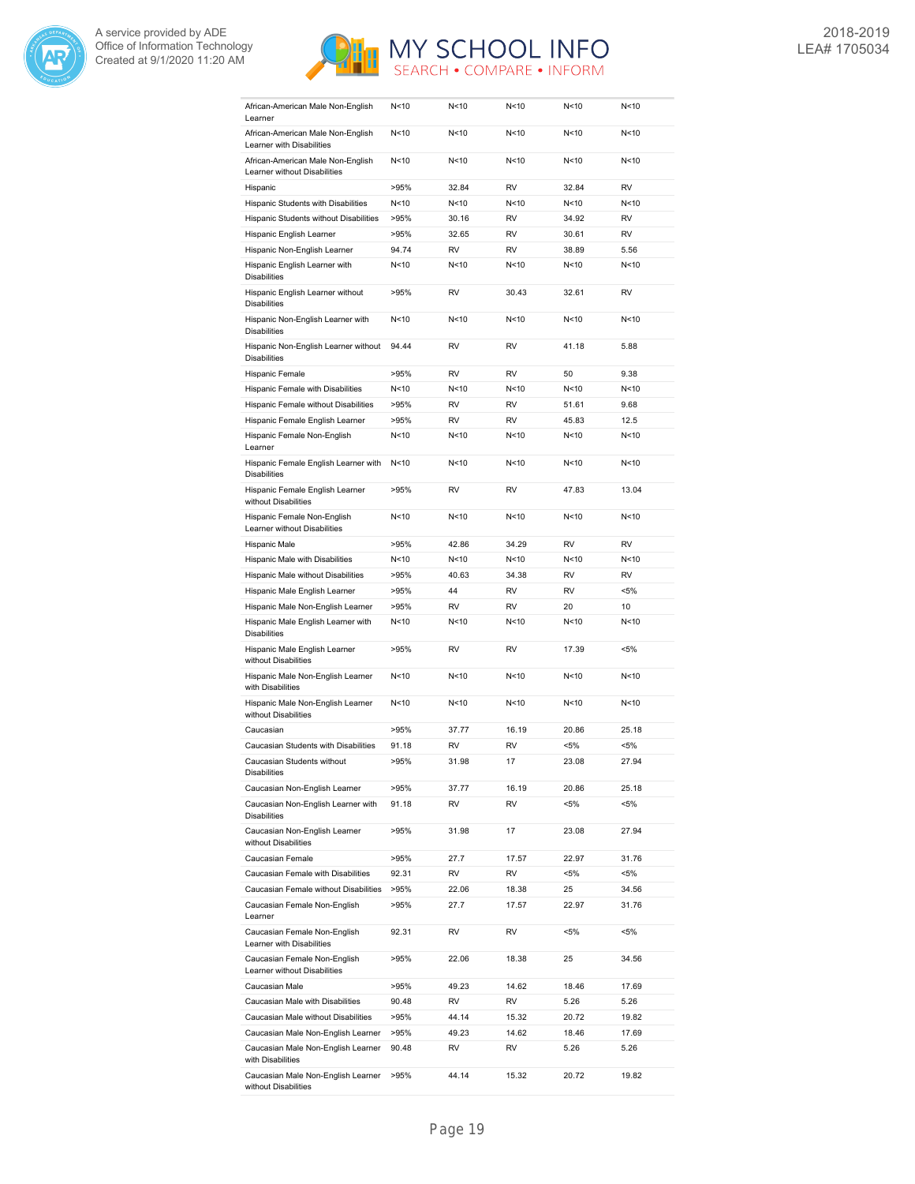



| African-American Male Non-English<br>Learner                      | N<10            | N<10      | N<10            | N <sub>10</sub> | N<10      |
|-------------------------------------------------------------------|-----------------|-----------|-----------------|-----------------|-----------|
| African-American Male Non-English<br>Learner with Disabilities    | N<10            | N<10      | N <sub>10</sub> | N <sub>10</sub> | N<10      |
| African-American Male Non-English<br>Learner without Disabilities | N <sub>10</sub> | N<10      | N <sub>10</sub> | N<10            | N<10      |
| Hispanic                                                          | >95%            | 32.84     | <b>RV</b>       | 32.84           | <b>RV</b> |
| Hispanic Students with Disabilities                               | N<10            | N<10      | N <sub>10</sub> | N <sub>10</sub> | N<10      |
| Hispanic Students without Disabilities                            | >95%            | 30.16     | <b>RV</b>       | 34.92           | <b>RV</b> |
| Hispanic English Learner                                          | >95%            | 32.65     | <b>RV</b>       | 30.61           | <b>RV</b> |
| Hispanic Non-English Learner                                      | 94.74           | <b>RV</b> | <b>RV</b>       | 38.89           | 5.56      |
| Hispanic English Learner with                                     | N<10            | N<10      | N <sub>10</sub> | N <sub>10</sub> | N<10      |
| <b>Disabilities</b><br>Hispanic English Learner without           | >95%            | <b>RV</b> | 30.43           | 32.61           | <b>RV</b> |
| <b>Disabilities</b>                                               | N <sub>10</sub> | N<10      | N <sub>10</sub> | N <sub>10</sub> | N<10      |
| Hispanic Non-English Learner with<br><b>Disabilities</b>          |                 |           |                 |                 |           |
| Hispanic Non-English Learner without<br><b>Disabilities</b>       | 94.44           | <b>RV</b> | <b>RV</b>       | 41.18           | 5.88      |
| Hispanic Female                                                   | >95%            | <b>RV</b> | <b>RV</b>       | 50              | 9.38      |
| Hispanic Female with Disabilities                                 | N<10            | N<10      | N <sub>10</sub> | N <sub>10</sub> | N<10      |
| Hispanic Female without Disabilities                              | >95%            | <b>RV</b> | <b>RV</b>       | 51.61           | 9.68      |
| Hispanic Female English Learner                                   | >95%            | <b>RV</b> | <b>RV</b>       | 45.83           | 12.5      |
| Hispanic Female Non-English<br>Learner                            | N<10            | N<10      | N <sub>10</sub> | N <sub>10</sub> | N<10      |
| Hispanic Female English Learner with<br><b>Disabilities</b>       | N<10            | N<10      | N <sub>10</sub> | N <sub>10</sub> | N<10      |
| Hispanic Female English Learner<br>without Disabilities           | >95%            | <b>RV</b> | <b>RV</b>       | 47.83           | 13.04     |
| Hispanic Female Non-English<br>Learner without Disabilities       | N<10            | N < 10    | N<10            | N <sub>10</sub> | N<10      |
| Hispanic Male                                                     | >95%            | 42.86     | 34.29           | <b>RV</b>       | <b>RV</b> |
| Hispanic Male with Disabilities                                   | N<10            | N<10      | N<10            | N <sub>10</sub> | N<10      |
| Hispanic Male without Disabilities                                | >95%            | 40.63     | 34.38           | <b>RV</b>       | <b>RV</b> |
| Hispanic Male English Learner                                     | >95%            | 44        | <b>RV</b>       | <b>RV</b>       | $< 5\%$   |
| Hispanic Male Non-English Learner                                 | >95%            | <b>RV</b> | <b>RV</b>       | 20              | 10        |
| Hispanic Male English Learner with<br><b>Disabilities</b>         | N<10            | N<10      | N <sub>10</sub> | N <sub>10</sub> | N<10      |
| Hispanic Male English Learner<br>without Disabilities             | >95%            | RV        | <b>RV</b>       | 17.39           | $< 5\%$   |
| Hispanic Male Non-English Learner<br>with Disabilities            | N <sub>10</sub> | N<10      | N <sub>10</sub> | N <sub>10</sub> | N<10      |
| Hispanic Male Non-English Learner<br>without Disabilities         | N<10            | N<10      | N<10            | N<10            | N<10      |
| Caucasian                                                         | >95%            | 37.77     | 16.19           | 20.86           | 25.18     |
| Caucasian Students with Disabilities                              | 91.18           | RV        | <b>RV</b>       | $< 5\%$         | $< 5\%$   |
| Caucasian Students without                                        | >95%            | 31.98     | 17              | 23.08           | 27.94     |
| <b>Disabilities</b>                                               |                 |           |                 |                 |           |
| Caucasian Non-English Learner                                     | >95%            | 37.77     | 16.19           | 20.86           | 25.18     |
| Caucasian Non-English Learner with<br><b>Disabilities</b>         | 91.18           | RV        | RV              | <5%             | <5%       |
| Caucasian Non-English Learner<br>without Disabilities             | >95%            | 31.98     | 17              | 23.08           | 27.94     |
| Caucasian Female                                                  | >95%            | 27.7      | 17.57           | 22.97           | 31.76     |
| Caucasian Female with Disabilities                                | 92.31           | RV        | RV              | $< 5\%$         | <5%       |
| Caucasian Female without Disabilities                             | >95%            | 22.06     | 18.38           | 25              | 34.56     |
| Caucasian Female Non-English<br>Learner                           | >95%            | 27.7      | 17.57           | 22.97           | 31.76     |
| Caucasian Female Non-English<br>Learner with Disabilities         | 92.31           | RV        | RV              | $< 5\%$         | $< 5\%$   |
| Caucasian Female Non-English<br>Learner without Disabilities      | >95%            | 22.06     | 18.38           | 25              | 34.56     |
| Caucasian Male                                                    | >95%            | 49.23     | 14.62           | 18.46           | 17.69     |
| Caucasian Male with Disabilities                                  | 90.48           | RV        | RV              | 5.26            | 5.26      |
| Caucasian Male without Disabilities                               | >95%            | 44.14     | 15.32           | 20.72           | 19.82     |
| Caucasian Male Non-English Learner                                | >95%            | 49.23     | 14.62           | 18.46           | 17.69     |
| Caucasian Male Non-English Learner                                | 90.48           | RV        | RV              | 5.26            | 5.26      |
| with Disabilities<br>Caucasian Male Non-English Learner           | >95%            | 44.14     | 15.32           | 20.72           | 19.82     |
| without Disabilities                                              |                 |           |                 |                 |           |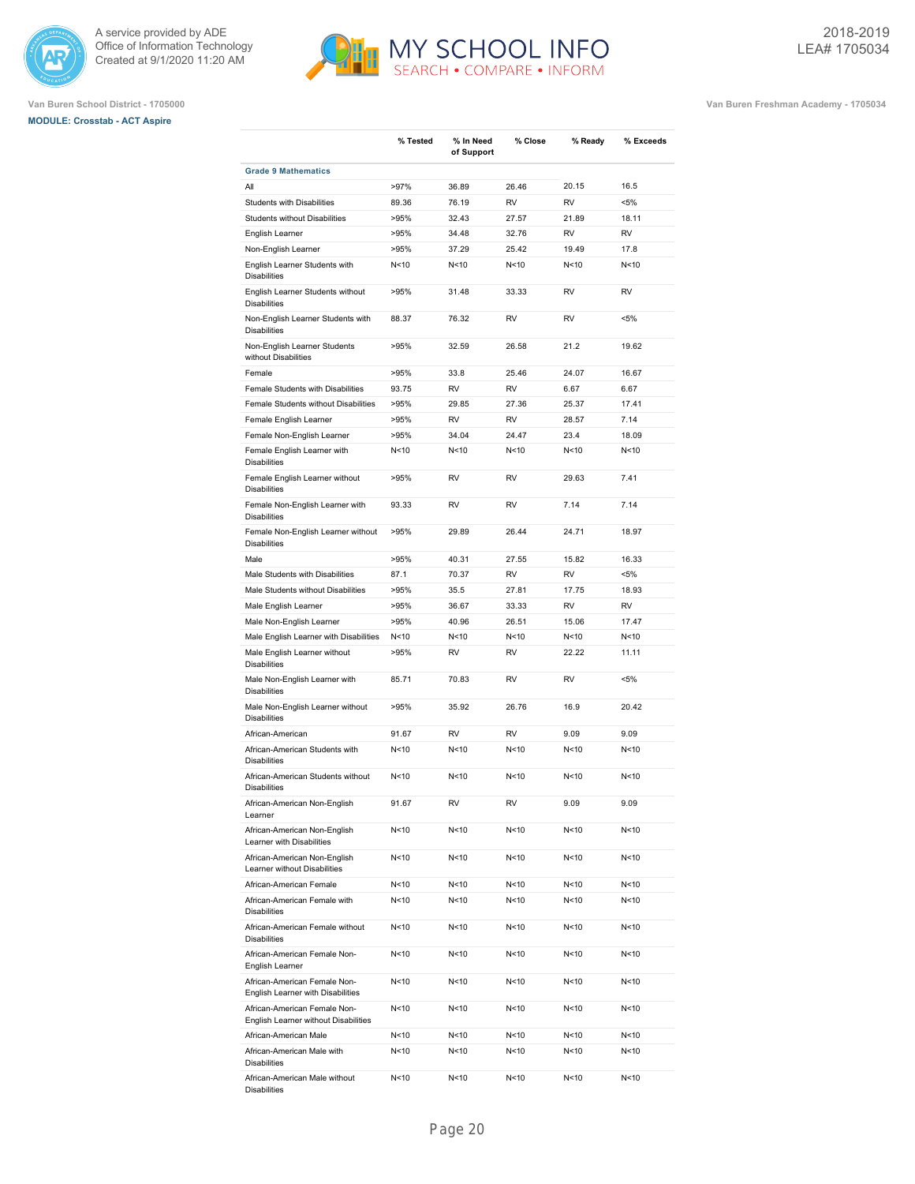





|                                                                      | % Tested        | % In Need<br>of Support | % Close         | % Ready         | % Exceeds |
|----------------------------------------------------------------------|-----------------|-------------------------|-----------------|-----------------|-----------|
| <b>Grade 9 Mathematics</b>                                           |                 |                         |                 |                 |           |
| All                                                                  | >97%            | 36.89                   | 26.46           | 20.15           | 16.5      |
| <b>Students with Disabilities</b>                                    | 89.36           | 76.19                   | <b>RV</b>       | <b>RV</b>       | $< 5\%$   |
| <b>Students without Disabilities</b>                                 | >95%            | 32.43                   | 27.57           | 21.89           | 18.11     |
| English Learner                                                      | >95%            | 34.48                   | 32.76           | <b>RV</b>       | <b>RV</b> |
| Non-English Learner                                                  | >95%            | 37.29                   | 25.42           | 19.49           | 17.8      |
| English Learner Students with<br><b>Disabilities</b>                 | N<10            | N<10                    | N<10            | N<10            | N<10      |
| English Learner Students without<br><b>Disabilities</b>              | >95%            | 31.48                   | 33.33           | <b>RV</b>       | <b>RV</b> |
| Non-English Learner Students with<br><b>Disabilities</b>             | 88.37           | 76.32                   | <b>RV</b>       | <b>RV</b>       | <5%       |
| Non-English Learner Students<br>without Disabilities                 | >95%            | 32.59                   | 26.58           | 21.2            | 19.62     |
| Female                                                               | >95%            | 33.8                    | 25.46           | 24.07           | 16.67     |
| Female Students with Disabilities                                    | 93.75           | <b>RV</b>               | <b>RV</b>       | 6.67            | 6.67      |
| Female Students without Disabilities                                 | >95%            | 29.85                   | 27.36           | 25.37           | 17.41     |
| Female English Learner                                               | >95%            | <b>RV</b>               | <b>RV</b>       | 28.57           | 7.14      |
| Female Non-English Learner                                           | >95%            | 34.04                   | 24.47           | 23.4            | 18.09     |
| Female English Learner with<br><b>Disabilities</b>                   | N<10            | N<10                    | N<10            | N<10            | N<10      |
| Female English Learner without<br><b>Disabilities</b>                | >95%            | RV                      | RV              | 29.63           | 7.41      |
| Female Non-English Learner with<br><b>Disabilities</b>               | 93.33           | RV                      | RV              | 7.14            | 7.14      |
| Female Non-English Learner without<br><b>Disabilities</b>            | >95%            | 29.89                   | 26.44           | 24.71           | 18.97     |
| Male                                                                 | >95%            | 40.31                   | 27.55           | 15.82           | 16.33     |
| Male Students with Disabilities                                      | 87.1            | 70.37                   | RV              | <b>RV</b>       | <5%       |
| Male Students without Disabilities                                   | >95%            | 35.5                    | 27.81           | 17.75           | 18.93     |
| Male English Learner                                                 | >95%            | 36.67                   | 33.33           | <b>RV</b>       | <b>RV</b> |
| Male Non-English Learner                                             | >95%            | 40.96                   | 26.51           | 15.06           | 17.47     |
| Male English Learner with Disabilities                               | N<10            | N<10                    | N <sub>10</sub> | N <sub>10</sub> | N<10      |
| Male English Learner without<br><b>Disabilities</b>                  | >95%            | <b>RV</b>               | <b>RV</b>       | 22.22           | 11.11     |
| Male Non-English Learner with<br><b>Disabilities</b>                 | 85.71           | 70.83                   | <b>RV</b>       | <b>RV</b>       | $< 5\%$   |
| Male Non-English Learner without<br><b>Disabilities</b>              | >95%            | 35.92                   | 26.76           | 16.9            | 20.42     |
| African-American                                                     | 91.67           | <b>RV</b>               | <b>RV</b>       | 9.09            | 9.09      |
| African-American Students with<br><b>Disabilities</b>                | N<10            | N<10                    | N<10            | N<10            | N<10      |
| African-American Students without<br><b>Disabilities</b>             | N <sub>10</sub> | N<10                    | N<10            | N<10            | N<10      |
| African-American Non-English<br>Learner                              | 91.67           | RV                      | RV              | 9.09            | 9.09      |
| African-American Non-English<br>Learner with Disabilities            | N<10            | N<10                    | N<10            | N<10            | N<10      |
| African-American Non-English<br>Learner without Disabilities         | N<10            | N<10                    | N<10            | N<10            | N<10      |
| African-American Female                                              | N<10            | N<10                    | N<10            | N<10            | N<10      |
| African-American Female with<br><b>Disabilities</b>                  | N<10            | N<10                    | N<10            | N<10            | N<10      |
| African-American Female without<br><b>Disabilities</b>               | N<10            | N<10                    | N<10            | N<10            | N<10      |
| African-American Female Non-<br>English Learner                      | N<10            | N <sub>10</sub>         | N<10            | N<10            | N<10      |
| African-American Female Non-<br>English Learner with Disabilities    | N<10            | N <sub>10</sub>         | N<10            | N<10            | N<10      |
| African-American Female Non-<br>English Learner without Disabilities | N<10            | N <sub>10</sub>         | N<10            | N<10            | N<10      |
| African-American Male                                                | N <sub>10</sub> | N <sub>10</sub>         | N<10            | N<10            | N<10      |
| African-American Male with<br><b>Disabilities</b>                    | N<10            | N<10                    | N<10            | N<10            | N<10      |
| African-American Male without<br><b>Disabilities</b>                 | N <sub>10</sub> | N <sub>10</sub>         | N <sub>10</sub> | N<10            | N<10      |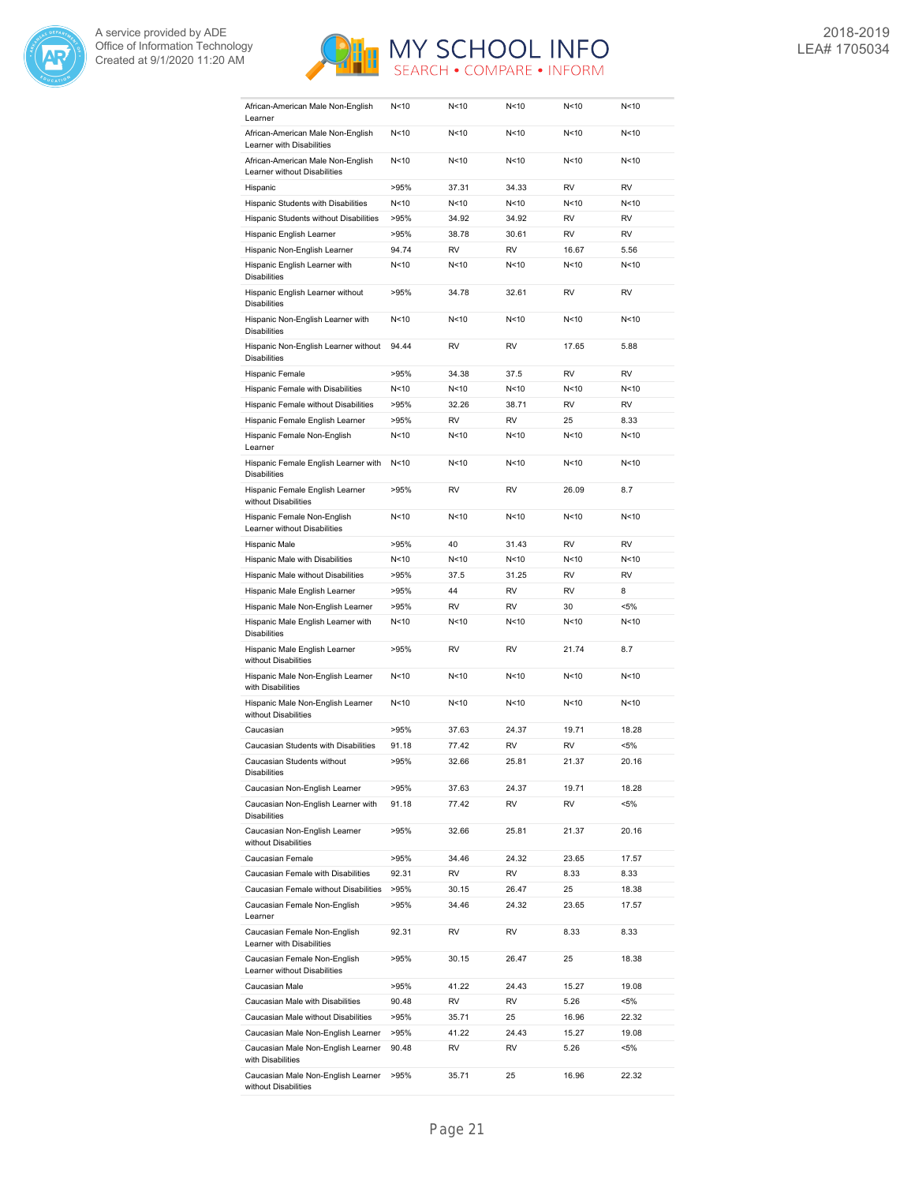



| African-American Male Non-English<br>Learner                      | N<10            | N<10      | N<10            | N <sub>10</sub> | N<10      |
|-------------------------------------------------------------------|-----------------|-----------|-----------------|-----------------|-----------|
| African-American Male Non-English<br>Learner with Disabilities    | N<10            | N<10      | N<10            | N<10            | N<10      |
| African-American Male Non-English<br>Learner without Disabilities | N <sub>10</sub> | N<10      | N<10            | N <sub>10</sub> | N<10      |
| Hispanic                                                          | >95%            | 37.31     | 34.33           | <b>RV</b>       | <b>RV</b> |
| Hispanic Students with Disabilities                               | N <sub>10</sub> | N<10      | N <sub>10</sub> | N <sub>10</sub> | N<10      |
| Hispanic Students without Disabilities                            | >95%            | 34.92     | 34.92           | <b>RV</b>       | <b>RV</b> |
| Hispanic English Learner                                          | >95%            | 38.78     | 30.61           | <b>RV</b>       | <b>RV</b> |
| Hispanic Non-English Learner                                      | 94.74           | <b>RV</b> | <b>RV</b>       | 16.67           | 5.56      |
| Hispanic English Learner with                                     | N <sub>10</sub> | N<10      | N <sub>10</sub> | N<10            | N<10      |
| <b>Disabilities</b>                                               |                 |           |                 |                 |           |
| Hispanic English Learner without<br><b>Disabilities</b>           | >95%            | 34.78     | 32.61           | <b>RV</b>       | <b>RV</b> |
| Hispanic Non-English Learner with<br><b>Disabilities</b>          | N <sub>10</sub> | N<10      | N <sub>10</sub> | N <sub>10</sub> | N<10      |
| Hispanic Non-English Learner without<br><b>Disabilities</b>       | 94.44           | <b>RV</b> | <b>RV</b>       | 17.65           | 5.88      |
| Hispanic Female                                                   | >95%            | 34.38     | 37.5            | <b>RV</b>       | <b>RV</b> |
| Hispanic Female with Disabilities                                 | N <sub>10</sub> | N<10      | N<10            | N <sub>10</sub> | N<10      |
| Hispanic Female without Disabilities                              | >95%            | 32.26     | 38.71           | <b>RV</b>       | <b>RV</b> |
| Hispanic Female English Learner                                   | >95%            | <b>RV</b> | <b>RV</b>       | 25              | 8.33      |
| Hispanic Female Non-English<br>Learner                            | N <sub>10</sub> | N<10      | N <sub>10</sub> | N <sub>10</sub> | N<10      |
| Hispanic Female English Learner with<br><b>Disabilities</b>       | N < 10          | N<10      | N <sub>10</sub> | N <sub>10</sub> | N<10      |
| Hispanic Female English Learner<br>without Disabilities           | >95%            | <b>RV</b> | <b>RV</b>       | 26.09           | 8.7       |
| Hispanic Female Non-English<br>Learner without Disabilities       | N <sub>10</sub> | N<10      | N <sub>10</sub> | N <sub>10</sub> | N<10      |
| Hispanic Male                                                     | >95%            | 40        | 31.43           | <b>RV</b>       | <b>RV</b> |
|                                                                   |                 |           |                 |                 |           |
| Hispanic Male with Disabilities                                   | N<10            | N<10      | N <sub>10</sub> | N <sub>10</sub> | N<10      |
| Hispanic Male without Disabilities                                | >95%            | 37.5      | 31.25           | <b>RV</b>       | <b>RV</b> |
| Hispanic Male English Learner                                     | >95%            | 44        | <b>RV</b>       | <b>RV</b>       | 8         |
| Hispanic Male Non-English Learner                                 | >95%            | <b>RV</b> | <b>RV</b>       | 30              | $< 5\%$   |
| Hispanic Male English Learner with<br><b>Disabilities</b>         | N <sub>10</sub> | N<10      | N <sub>10</sub> | N <sub>10</sub> | N<10      |
| Hispanic Male English Learner<br>without Disabilities             | >95%            | <b>RV</b> | <b>RV</b>       | 21.74           | 8.7       |
| Hispanic Male Non-English Learner<br>with Disabilities            | N<10            | N<10      | N <sub>10</sub> | N <sub>10</sub> | N<10      |
| Hispanic Male Non-English Learner<br>without Disabilities         | N <sub>10</sub> | N<10      | N<10            | N <sub>10</sub> | N<10      |
| Caucasian                                                         | >95%            | 37.63     | 24.37           | 19.71           | 18.28     |
| Caucasian Students with Disabilities                              | 91.18           | 77.42     | <b>RV</b>       | <b>RV</b>       | $< 5\%$   |
| Caucasian Students without<br><b>Disabilities</b>                 | >95%            | 32.66     | 25.81           | 21.37           | 20.16     |
| Caucasian Non-English Learner                                     | >95%            | 37.63     | 24.37           | 19.71           | 18.28     |
| Caucasian Non-English Learner with<br><b>Disabilities</b>         | 91.18           | 77.42     | RV              | RV              | <5%       |
| Caucasian Non-English Learner<br>without Disabilities             | >95%            | 32.66     | 25.81           | 21.37           | 20.16     |
| Caucasian Female                                                  | >95%            | 34.46     | 24.32           | 23.65           | 17.57     |
| Caucasian Female with Disabilities                                | 92.31           | RV        | RV              | 8.33            | 8.33      |
| Caucasian Female without Disabilities                             | >95%            | 30.15     | 26.47           | 25              | 18.38     |
| Caucasian Female Non-English                                      | >95%            | 34.46     | 24.32           | 23.65           | 17.57     |
| Learner<br>Caucasian Female Non-English                           | 92.31           | RV        | RV              | 8.33            | 8.33      |
| Learner with Disabilities<br>Caucasian Female Non-English         | >95%            | 30.15     | 26.47           | 25              | 18.38     |
| Learner without Disabilities                                      |                 |           |                 |                 |           |
| Caucasian Male                                                    | >95%            | 41.22     | 24.43           | 15.27           | 19.08     |
| Caucasian Male with Disabilities                                  | 90.48           | RV        | RV              | 5.26            | <5%       |
| Caucasian Male without Disabilities                               | >95%            | 35.71     | 25              | 16.96           | 22.32     |
| Caucasian Male Non-English Learner                                | >95%            | 41.22     | 24.43           | 15.27           | 19.08     |
| Caucasian Male Non-English Learner<br>with Disabilities           | 90.48           | RV        | RV              | 5.26            | <5%       |
| Caucasian Male Non-English Learner<br>without Disabilities        | >95%            | 35.71     | 25              | 16.96           | 22.32     |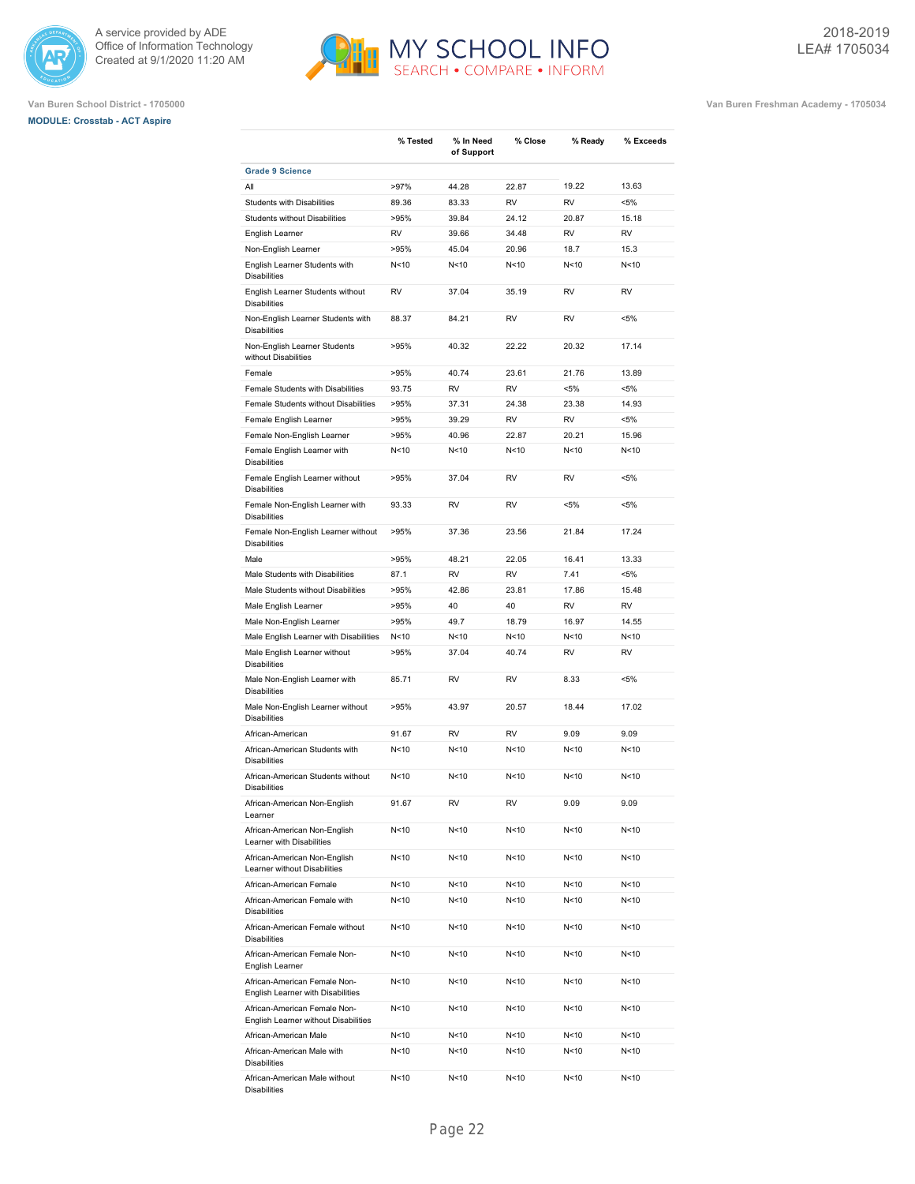





|                                                                      | % Tested        | % In Need<br>of Support | % Close         | % Ready         | % Exceeds |
|----------------------------------------------------------------------|-----------------|-------------------------|-----------------|-----------------|-----------|
| <b>Grade 9 Science</b>                                               |                 |                         |                 |                 |           |
| All                                                                  | >97%            | 44.28                   | 22.87           | 19.22           | 13.63     |
| <b>Students with Disabilities</b>                                    | 89.36           | 83.33                   | <b>RV</b>       | <b>RV</b>       | $< 5\%$   |
| <b>Students without Disabilities</b>                                 | >95%            | 39.84                   | 24.12           | 20.87           | 15.18     |
| English Learner                                                      | <b>RV</b>       | 39.66                   | 34.48           | <b>RV</b>       | <b>RV</b> |
| Non-English Learner                                                  | >95%            | 45.04                   | 20.96           | 18.7            | 15.3      |
| English Learner Students with<br><b>Disabilities</b>                 | N<10            | N<10                    | N<10            | N <sub>10</sub> | N<10      |
| English Learner Students without<br><b>Disabilities</b>              | <b>RV</b>       | 37.04                   | 35.19           | <b>RV</b>       | <b>RV</b> |
| Non-English Learner Students with<br><b>Disabilities</b>             | 88.37           | 84.21                   | <b>RV</b>       | RV              | $< 5\%$   |
| Non-English Learner Students<br>without Disabilities                 | >95%            | 40.32                   | 22.22           | 20.32           | 17.14     |
| Female                                                               | >95%            | 40.74                   | 23.61           | 21.76           | 13.89     |
| Female Students with Disabilities                                    | 93.75           | RV                      | RV              | $< 5\%$         | <5%       |
| Female Students without Disabilities                                 | >95%            | 37.31                   | 24.38           | 23.38           | 14.93     |
| Female English Learner                                               | >95%            | 39.29                   | RV              | RV              | $< 5\%$   |
| Female Non-English Learner                                           | >95%            | 40.96                   | 22.87           | 20.21           | 15.96     |
| Female English Learner with<br><b>Disabilities</b>                   | N<10            | N<10                    | N<10            | N<10            | N<10      |
| Female English Learner without<br><b>Disabilities</b>                | >95%            | 37.04                   | <b>RV</b>       | RV              | $< 5\%$   |
| Female Non-English Learner with<br><b>Disabilities</b>               | 93.33           | RV                      | RV              | $< 5\%$         | <5%       |
| Female Non-English Learner without<br><b>Disabilities</b>            | >95%            | 37.36                   | 23.56           | 21.84           | 17.24     |
| Male                                                                 | >95%            | 48.21                   | 22.05           | 16.41           | 13.33     |
| Male Students with Disabilities                                      | 87.1            | <b>RV</b>               | <b>RV</b>       | 7.41            | <5%       |
| Male Students without Disabilities                                   | >95%            | 42.86                   | 23.81           | 17.86           | 15.48     |
| Male English Learner                                                 | >95%            | 40                      | 40              | <b>RV</b>       | <b>RV</b> |
| Male Non-English Learner                                             | >95%            | 49.7                    | 18.79           | 16.97           | 14.55     |
| Male English Learner with Disabilities                               | N<10            | N<10                    | N < 10          | N <sub>10</sub> | N<10      |
| Male English Learner without<br><b>Disabilities</b>                  | >95%            | 37.04                   | 40.74           | <b>RV</b>       | <b>RV</b> |
| Male Non-English Learner with<br><b>Disabilities</b>                 | 85.71           | <b>RV</b>               | RV              | 8.33            | <5%       |
| Male Non-English Learner without<br><b>Disabilities</b>              | >95%            | 43.97                   | 20.57           | 18.44           | 17.02     |
| African-American                                                     | 91.67           | <b>RV</b>               | <b>RV</b>       | 9.09            | 9.09      |
| African-American Students with<br><b>Disabilities</b>                | N<10            | N<10                    | N<10            | N<10            | N<10      |
| African-American Students without<br><b>Disabilities</b>             | N <sub>10</sub> | N<10                    | N<10            | N <sub>10</sub> | N<10      |
| African-American Non-English<br>Learner                              | 91.67           | RV                      | RV              | 9.09            | 9.09      |
| African-American Non-English<br>Learner with Disabilities            | N<10            | N<10                    | N<10            | N<10            | N<10      |
| African-American Non-English<br>Learner without Disabilities         | N<10            | N<10                    | N<10            | N<10            | N<10      |
| African-American Female                                              | N <sub>10</sub> | N<10                    | N<10            | N<10            | N<10      |
| African-American Female with<br><b>Disabilities</b>                  | N <sub>10</sub> | N<10                    | N<10            | N<10            | N<10      |
| African-American Female without<br><b>Disabilities</b>               | N<10            | N<10                    | N<10            | N<10            | N<10      |
| African-American Female Non-<br>English Learner                      | N<10            | N<10                    | N <sub>10</sub> | N <sub>10</sub> | N<10      |
| African-American Female Non-<br>English Learner with Disabilities    | N<10            | N<10                    | N<10            | N <sub>10</sub> | N<10      |
| African-American Female Non-<br>English Learner without Disabilities | N<10            | N<10                    | N<10            | N<10            | N<10      |
| African-American Male                                                | N<10            | N<10                    | N<10            | N<10            | N<10      |
| African-American Male with<br><b>Disabilities</b>                    | N<10            | N<10                    | N<10            | N<10            | N<10      |
| African-American Male without<br><b>Disabilities</b>                 | N<10            | N<10                    | N<10            | N<10            | N<10      |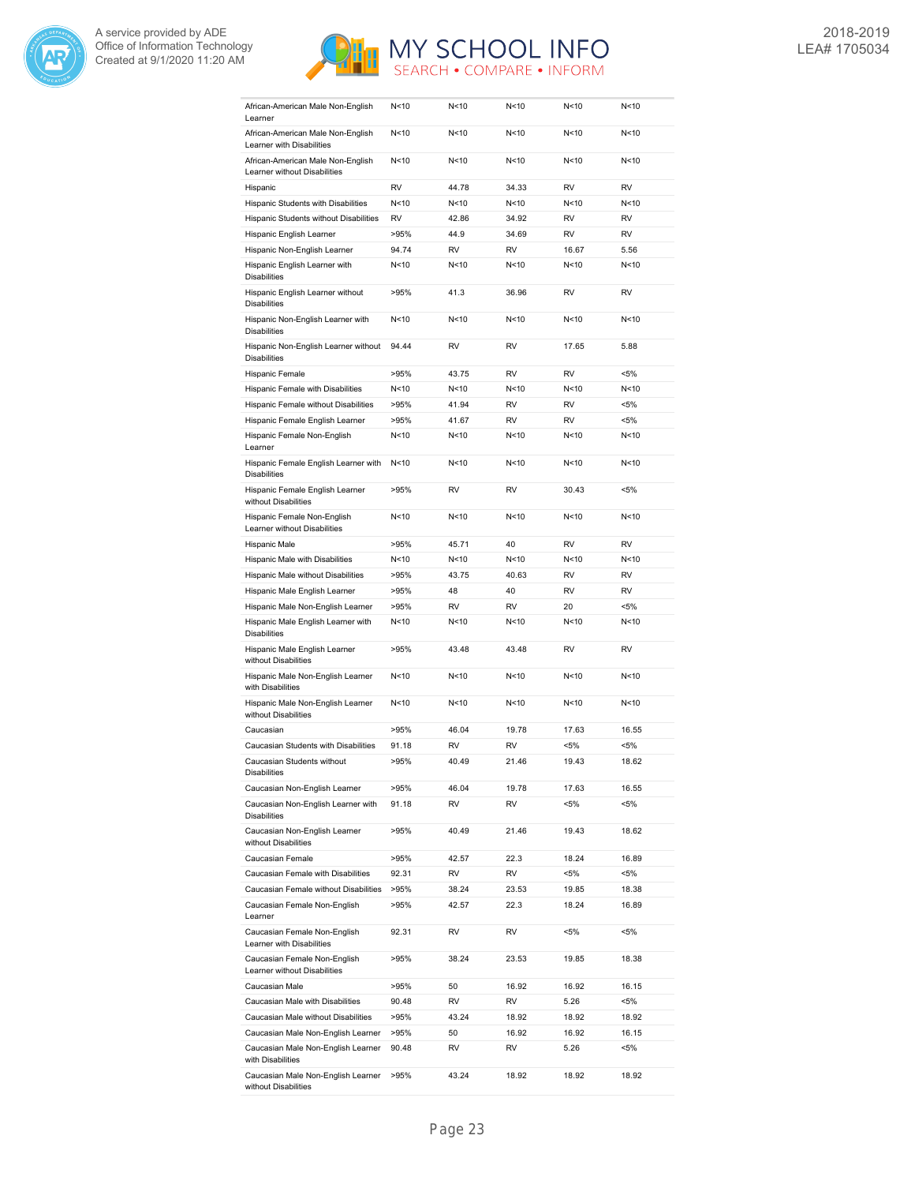



| African-American Male Non-English<br>Learner                      | N<10            | N < 10    | N<10            | N <sub>10</sub> | N<10      |
|-------------------------------------------------------------------|-----------------|-----------|-----------------|-----------------|-----------|
| African-American Male Non-English<br>Learner with Disabilities    | N<10            | N<10      | N<10            | N <sub>10</sub> | N<10      |
| African-American Male Non-English<br>Learner without Disabilities | N<10            | N<10      | N<10            | N <sub>10</sub> | N<10      |
| Hispanic                                                          | <b>RV</b>       | 44.78     | 34.33           | <b>RV</b>       | <b>RV</b> |
| Hispanic Students with Disabilities                               | N <sub>10</sub> | N<10      | N <sub>10</sub> | N <sub>10</sub> | N<10      |
| Hispanic Students without Disabilities                            | <b>RV</b>       | 42.86     | 34.92           | <b>RV</b>       | <b>RV</b> |
| Hispanic English Learner                                          | >95%            | 44.9      | 34.69           | <b>RV</b>       | <b>RV</b> |
| Hispanic Non-English Learner                                      | 94.74           | <b>RV</b> | <b>RV</b>       | 16.67           | 5.56      |
| Hispanic English Learner with                                     | N <sub>10</sub> | N<10      | N <sub>10</sub> | N<10            | N<10      |
| <b>Disabilities</b><br>Hispanic English Learner without           | >95%            | 41.3      | 36.96           | <b>RV</b>       | <b>RV</b> |
| <b>Disabilities</b>                                               |                 |           |                 |                 |           |
| Hispanic Non-English Learner with<br><b>Disabilities</b>          | N <sub>10</sub> | N<10      | N <sub>10</sub> | N <sub>10</sub> | N<10      |
| Hispanic Non-English Learner without<br><b>Disabilities</b>       | 94.44           | <b>RV</b> | <b>RV</b>       | 17.65           | 5.88      |
| Hispanic Female                                                   | >95%            | 43.75     | <b>RV</b>       | <b>RV</b>       | $< 5\%$   |
| Hispanic Female with Disabilities                                 | N <sub>10</sub> | N<10      | N <sub>10</sub> | N <sub>10</sub> | N<10      |
| Hispanic Female without Disabilities                              | >95%            | 41.94     | <b>RV</b>       | <b>RV</b>       | $< 5\%$   |
| Hispanic Female English Learner                                   | >95%            | 41.67     | <b>RV</b>       | <b>RV</b>       | $< 5\%$   |
| Hispanic Female Non-English<br>Learner                            | N <sub>10</sub> | N<10      | N <sub>10</sub> | N <sub>10</sub> | N<10      |
| Hispanic Female English Learner with<br><b>Disabilities</b>       | N < 10          | N<10      | N <sub>10</sub> | N <sub>10</sub> | N<10      |
| Hispanic Female English Learner<br>without Disabilities           | >95%            | <b>RV</b> | <b>RV</b>       | 30.43           | $< 5\%$   |
| Hispanic Female Non-English<br>Learner without Disabilities       | N <sub>10</sub> | N<10      | N<10            | N <sub>10</sub> | N<10      |
| Hispanic Male                                                     | >95%            | 45.71     | 40              | <b>RV</b>       | <b>RV</b> |
| Hispanic Male with Disabilities                                   | N <sub>10</sub> | N<10      | N <sub>10</sub> | N <sub>10</sub> | N<10      |
| Hispanic Male without Disabilities                                | >95%            | 43.75     | 40.63           | <b>RV</b>       | <b>RV</b> |
| Hispanic Male English Learner                                     | >95%            | 48        | 40              | <b>RV</b>       | <b>RV</b> |
| Hispanic Male Non-English Learner                                 | >95%            | <b>RV</b> | <b>RV</b>       | 20              | $< 5\%$   |
| Hispanic Male English Learner with<br><b>Disabilities</b>         | N < 10          | N<10      | N <sub>10</sub> | N <sub>10</sub> | N<10      |
| Hispanic Male English Learner<br>without Disabilities             | >95%            | 43.48     | 43.48           | <b>RV</b>       | <b>RV</b> |
| Hispanic Male Non-English Learner<br>with Disabilities            | N<10            | N<10      | N <sub>10</sub> | N<10            | N<10      |
| Hispanic Male Non-English Learner<br>without Disabilities         | N <sub>10</sub> | N<10      | N<10            | N <sub>10</sub> | N<10      |
| Caucasian                                                         | >95%            | 46.04     | 19.78           | 17.63           | 16.55     |
| Caucasian Students with Disabilities                              | 91.18           | <b>RV</b> | <b>RV</b>       | $< 5\%$         | $< 5\%$   |
| Caucasian Students without<br><b>Disabilities</b>                 | >95%            | 40.49     | 21.46           | 19.43           | 18.62     |
| Caucasian Non-English Learner                                     | >95%            | 46.04     | 19.78           | 17.63           | 16.55     |
| Caucasian Non-English Learner with                                | 91.18           | RV        | RV              | <5%             | <5%       |
| <b>Disabilities</b><br>Caucasian Non-English Learner              | >95%            | 40.49     | 21.46           | 19.43           | 18.62     |
| without Disabilities                                              |                 |           |                 |                 |           |
| Caucasian Female                                                  | >95%            | 42.57     | 22.3            | 18.24           | 16.89     |
| Caucasian Female with Disabilities                                | 92.31           | RV        | RV              | <5%             | <5%       |
| Caucasian Female without Disabilities                             | >95%            | 38.24     | 23.53           | 19.85           | 18.38     |
| Caucasian Female Non-English<br>Learner                           | >95%            | 42.57     | 22.3            | 18.24           | 16.89     |
| Caucasian Female Non-English<br>Learner with Disabilities         | 92.31           | RV        | RV              | $< 5\%$         | $< 5\%$   |
| Caucasian Female Non-English<br>Learner without Disabilities      | >95%            | 38.24     | 23.53           | 19.85           | 18.38     |
| Caucasian Male                                                    | >95%            | 50        | 16.92           | 16.92           | 16.15     |
| Caucasian Male with Disabilities                                  | 90.48           | RV        | RV              | 5.26            | <5%       |
| Caucasian Male without Disabilities                               | >95%            | 43.24     | 18.92           | 18.92           | 18.92     |
| Caucasian Male Non-English Learner                                | >95%            | 50        | 16.92           | 16.92           | 16.15     |
| Caucasian Male Non-English Learner<br>with Disabilities           | 90.48           | RV        | RV              | 5.26            | <5%       |
| Caucasian Male Non-English Learner<br>without Disabilities        | >95%            | 43.24     | 18.92           | 18.92           | 18.92     |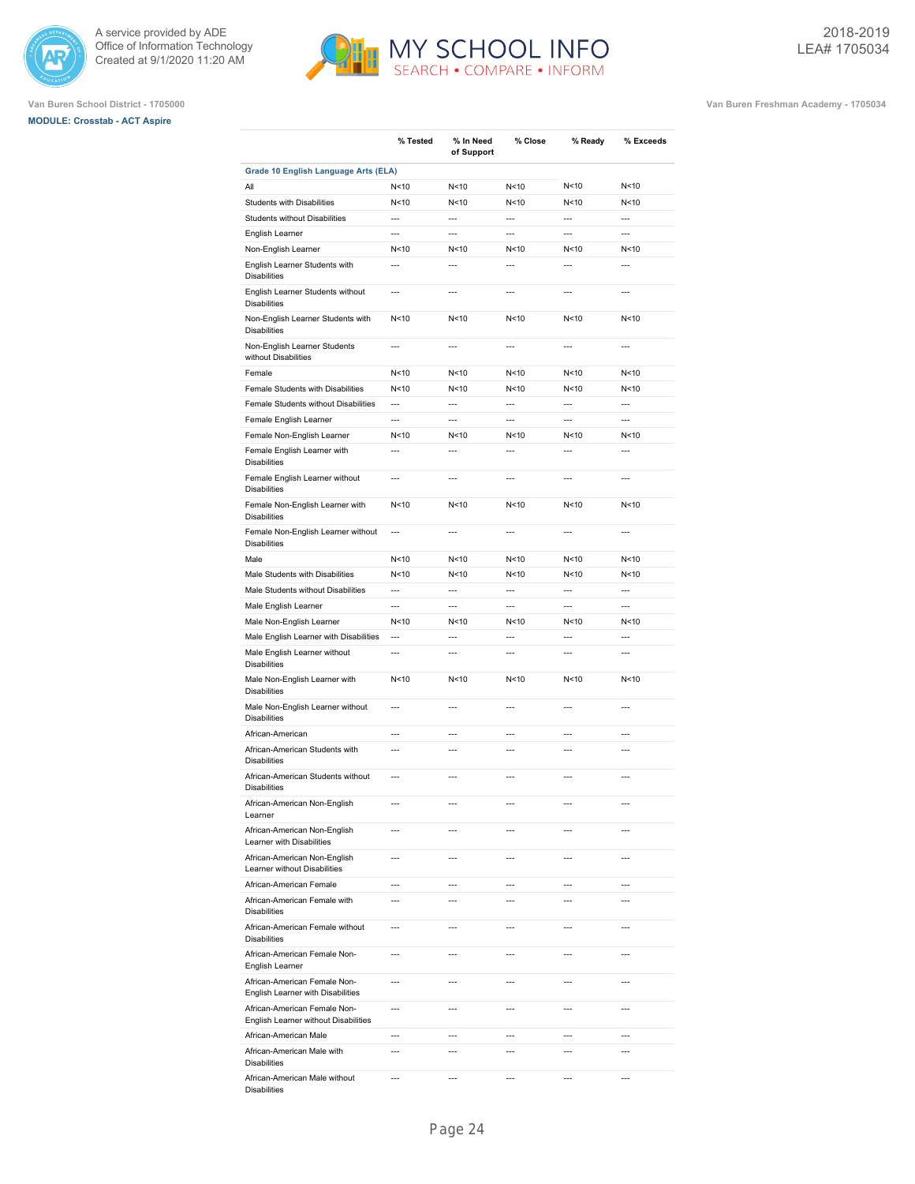

# **MODULE: Crosstab - ACT Aspire**



|                                                                      | % Tested        | % In Need<br>of Support  | % Close                  | % Ready         | % Exceeds       |
|----------------------------------------------------------------------|-----------------|--------------------------|--------------------------|-----------------|-----------------|
| Grade 10 English Language Arts (ELA)                                 |                 |                          |                          |                 |                 |
| All                                                                  | N <sub>10</sub> | N<10                     | N<10                     | N <sub>10</sub> | N <sub>10</sub> |
| <b>Students with Disabilities</b>                                    | N<10            | N<10                     | N<10                     | N<10            | N<10            |
| <b>Students without Disabilities</b>                                 | $\overline{a}$  | $\overline{a}$           | $\overline{a}$           | $\overline{a}$  | $\overline{a}$  |
| English Learner                                                      | $\overline{a}$  |                          | $\overline{\phantom{a}}$ | $\overline{a}$  | $\overline{a}$  |
| Non-English Learner                                                  | N <sub>10</sub> | N<10                     | N < 10                   | N <sub>10</sub> | N <sub>10</sub> |
| English Learner Students with<br><b>Disabilities</b>                 | $\overline{a}$  | $\overline{a}$           | $\overline{a}$           | $\overline{a}$  | $\overline{a}$  |
| English Learner Students without<br><b>Disabilities</b>              | $\overline{a}$  | $\overline{a}$           | $\overline{a}$           | $\overline{a}$  | $\overline{a}$  |
| Non-English Learner Students with<br><b>Disabilities</b>             | N<10            | N<10                     | N < 10                   | N <sub>10</sub> | N<10            |
| Non-English Learner Students<br>without Disabilities                 | $\overline{a}$  | $\overline{a}$           | $\overline{a}$           | $\overline{a}$  | $\overline{a}$  |
| Female                                                               | N <sub>10</sub> | N<10                     | N < 10                   | N <sub>10</sub> | N<10            |
| Female Students with Disabilities                                    | N <sub>10</sub> | N<10                     | N<10                     | N <sub>10</sub> | N<10            |
| Female Students without Disabilities                                 | $\overline{a}$  | $\overline{a}$           | $\overline{\phantom{a}}$ | $\overline{a}$  | $\overline{a}$  |
| Female English Learner                                               | $\overline{a}$  | $\overline{a}$           | $\overline{a}$           | $\overline{a}$  | $\overline{a}$  |
| Female Non-English Learner                                           | N <sub>10</sub> | N<10                     | N < 10                   | N <sub>10</sub> | N<10            |
| Female English Learner with<br><b>Disabilities</b>                   | $\overline{a}$  | $\overline{\phantom{a}}$ | $\overline{a}$           | $\overline{a}$  | $\overline{a}$  |
| Female English Learner without<br><b>Disabilities</b>                | $\overline{a}$  |                          | $\overline{\phantom{a}}$ | $\overline{a}$  | $\overline{a}$  |
| Female Non-English Learner with<br><b>Disabilities</b>               | N <sub>10</sub> | N<10                     | N<10                     | N <sub>10</sub> | N <sub>10</sub> |
| Female Non-English Learner without<br><b>Disabilities</b>            | $\overline{a}$  | $\overline{a}$           | $\overline{\phantom{a}}$ | $\overline{a}$  | $\overline{a}$  |
| Male                                                                 | N <sub>10</sub> | N<10                     | N<10                     | N <sub>10</sub> | N<10            |
| Male Students with Disabilities                                      | N <sub>10</sub> | N <sub>10</sub>          | N<10                     | N <sub>10</sub> | N<10            |
| Male Students without Disabilities                                   | $\overline{a}$  | $\overline{a}$           | $\overline{a}$           | $\overline{a}$  | $\overline{a}$  |
| Male English Learner                                                 | $\overline{a}$  | $\overline{a}$           | $\overline{a}$           | $\overline{a}$  | $\overline{a}$  |
| Male Non-English Learner                                             | N <sub>10</sub> | N <sub>10</sub>          | N<10                     | N <sub>10</sub> | N <sub>10</sub> |
| Male English Learner with Disabilities                               | $\overline{a}$  | $\overline{a}$           | $\overline{a}$           | $\overline{a}$  | $\overline{a}$  |
| Male English Learner without<br><b>Disabilities</b>                  | $\overline{a}$  | $\overline{a}$           | ---                      | ---             | ---             |
| Male Non-English Learner with<br><b>Disabilities</b>                 | N<10            | N<10                     | N < 10                   | N <sub>10</sub> | N<10            |
| Male Non-English Learner without<br><b>Disabilities</b>              | $\overline{a}$  | $\overline{a}$           | $\overline{a}$           | $\overline{a}$  | $\overline{a}$  |
| African-American                                                     | $\overline{a}$  | ---                      | $\overline{a}$           | $\overline{a}$  | $\overline{a}$  |
| African-American Students with<br><b>Disabilities</b>                | $\overline{a}$  | $\overline{a}$           | $\overline{a}$           | $\overline{a}$  | $\overline{a}$  |
| African-American Students without<br><b>Disabilities</b>             | $\overline{a}$  | $\overline{a}$           | $\overline{a}$           | $\overline{a}$  | $\overline{a}$  |
| African-American Non-English<br>Learner                              | ---             | ---                      | ---                      |                 |                 |
| African-American Non-English<br>Learner with Disabilities            | $\overline{a}$  | $\overline{a}$           | $\overline{a}$           | $\overline{a}$  | $\overline{a}$  |
| African-American Non-English<br>Learner without Disabilities         | $\overline{a}$  | $\overline{a}$           | $\overline{a}$           | $\overline{a}$  | $\overline{a}$  |
| African-American Female                                              | $\overline{a}$  | $\overline{a}$           | $\overline{a}$           | $\overline{a}$  | $---$           |
| African-American Female with<br><b>Disabilities</b>                  | $\overline{a}$  | ---                      | ---                      | $\overline{a}$  | $\overline{a}$  |
| African-American Female without<br><b>Disabilities</b>               | $\overline{a}$  | $\overline{a}$           | $\overline{a}$           | $\overline{a}$  | $\overline{a}$  |
| African-American Female Non-<br>English Learner                      | $\overline{a}$  | $\overline{a}$           | $\overline{a}$           | $\overline{a}$  | ---             |
| African-American Female Non-<br>English Learner with Disabilities    | $\overline{a}$  | $\overline{a}$           | $\overline{a}$           | $\overline{a}$  | $\overline{a}$  |
| African-American Female Non-<br>English Learner without Disabilities | $\overline{a}$  | $\overline{a}$           | $\overline{a}$           | ---             | ---             |
| African-American Male                                                | ---             | ---                      | ---                      | ---             | ---             |
| African-American Male with<br><b>Disabilities</b>                    | $\overline{a}$  | $\overline{\phantom{a}}$ | ---                      | $\overline{a}$  | $\overline{a}$  |
| African-American Male without<br><b>Disabilities</b>                 | ---             | ---                      | ---                      | ---             | ---             |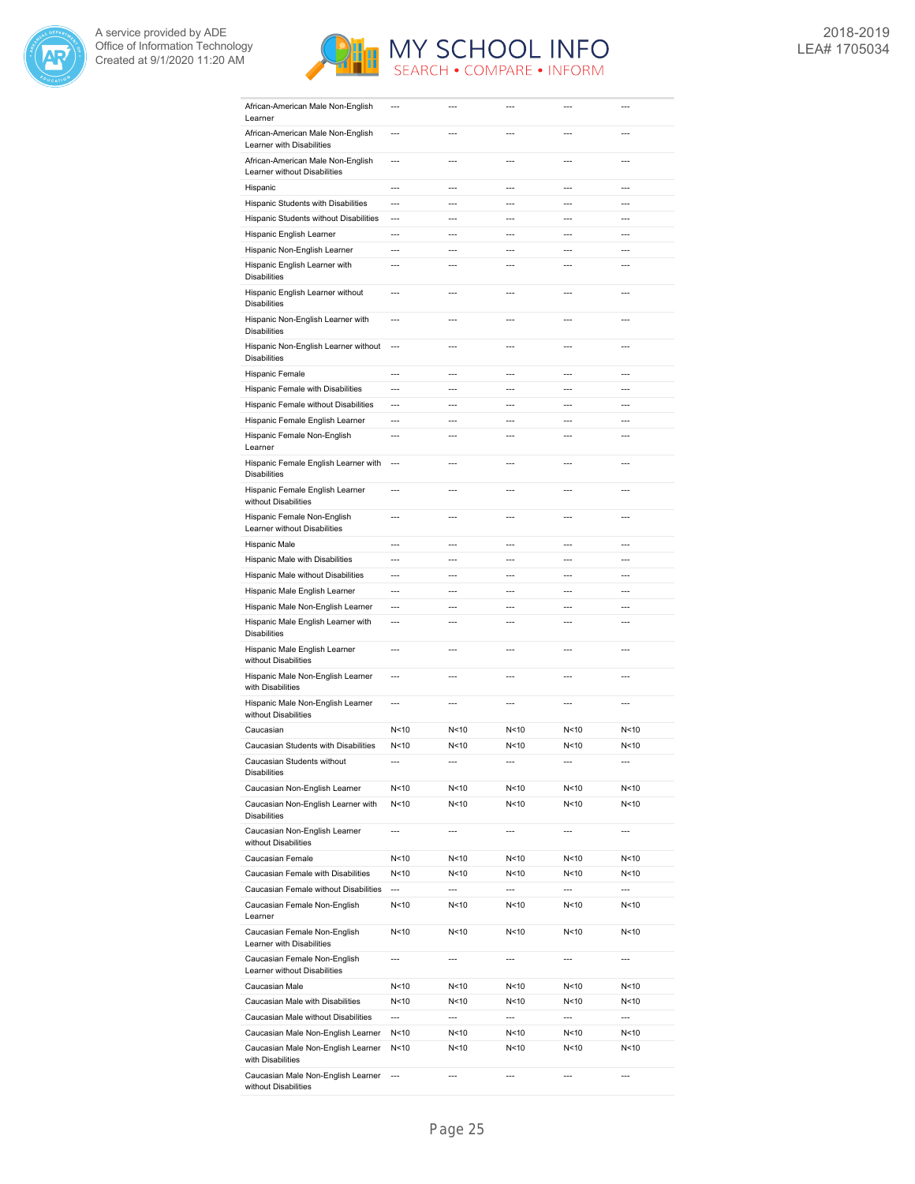



| African-American Male Non-English<br>Learner                                                  |                                    |                |                        |                 |                        |
|-----------------------------------------------------------------------------------------------|------------------------------------|----------------|------------------------|-----------------|------------------------|
| African-American Male Non-English                                                             | $\overline{a}$                     | $\overline{a}$ | $\overline{a}$         | ---             | $\overline{a}$         |
| Learner with Disabilities                                                                     |                                    |                |                        |                 |                        |
| African-American Male Non-English<br>Learner without Disabilities                             | $\overline{a}$                     | $\overline{a}$ | $\overline{a}$         | $\overline{a}$  | $\overline{a}$         |
| Hispanic                                                                                      | $\overline{a}$                     | $\overline{a}$ | $\overline{a}$         | $\overline{a}$  | $\overline{a}$         |
| Hispanic Students with Disabilities                                                           | $\overline{a}$                     | $\overline{a}$ | $\overline{a}$         | $\overline{a}$  | $\overline{a}$         |
| Hispanic Students without Disabilities                                                        | $\overline{a}$                     |                |                        | ---             | ---                    |
| Hispanic English Learner                                                                      | $\overline{a}$                     | ---            | ---                    | ---             | $\overline{a}$         |
| Hispanic Non-English Learner                                                                  |                                    |                |                        | ---             | $\overline{a}$         |
| Hispanic English Learner with<br><b>Disabilities</b>                                          |                                    |                |                        | ---             |                        |
| Hispanic English Learner without<br><b>Disabilities</b>                                       | ---                                | ---            |                        | ---             |                        |
| Hispanic Non-English Learner with                                                             | ---                                | ---            |                        | ---             |                        |
| <b>Disabilities</b><br>Hispanic Non-English Learner without                                   | $\overline{a}$                     | ---            | ---                    | ---             |                        |
| <b>Disabilities</b>                                                                           |                                    |                |                        |                 |                        |
| Hispanic Female                                                                               | $\overline{a}$                     | $\overline{a}$ | $\overline{a}$         | $\overline{a}$  | $\overline{a}$         |
| Hispanic Female with Disabilities                                                             | $\overline{a}$                     | $\overline{a}$ |                        | $\overline{a}$  | $\overline{a}$         |
| Hispanic Female without Disabilities                                                          | $\overline{a}$                     | ---            | $\overline{a}$         | ---             | $\overline{a}$         |
| Hispanic Female English Learner                                                               | $\overline{a}$                     |                |                        | ---             | $\overline{a}$         |
| Hispanic Female Non-English<br>Learner                                                        | ---                                | ---            | ---                    | ---             |                        |
| Hispanic Female English Learner with<br><b>Disabilities</b>                                   | $\overline{a}$                     |                |                        | ---             |                        |
| Hispanic Female English Learner<br>without Disabilities                                       | ---                                | ---            |                        | ---             |                        |
| Hispanic Female Non-English<br>Learner without Disabilities                                   | $\overline{a}$                     | $\overline{a}$ | $\overline{a}$         | $\overline{a}$  | $\overline{a}$         |
| Hispanic Male                                                                                 | $\overline{a}$                     | $\overline{a}$ | $\overline{a}$         | $\overline{a}$  | $\overline{a}$         |
| Hispanic Male with Disabilities                                                               | $\overline{a}$                     | $\overline{a}$ | $\overline{a}$         | $\overline{a}$  | $\overline{a}$         |
| Hispanic Male without Disabilities                                                            | $\overline{a}$                     | $\overline{a}$ | $\overline{a}$         | $\overline{a}$  | $\overline{a}$         |
|                                                                                               |                                    |                |                        |                 |                        |
|                                                                                               | $\overline{a}$                     |                |                        | ---             | $\overline{a}$         |
| Hispanic Male English Learner                                                                 |                                    |                |                        |                 |                        |
| Hispanic Male Non-English Learner                                                             | $\overline{a}$                     | ---            | ---                    | ---             | ---                    |
| Hispanic Male English Learner with<br><b>Disabilities</b>                                     | $\overline{a}$                     |                | $\overline{a}$         |                 | ---                    |
| Hispanic Male English Learner<br>without Disabilities                                         | ---                                |                | $\overline{a}$         | $\overline{a}$  |                        |
| Hispanic Male Non-English Learner<br>with Disabilities                                        | $\overline{a}$                     |                | $\overline{a}$         |                 | ---                    |
| Hispanic Male Non-English Learner<br>without Disabilities                                     | $\overline{a}$                     | $\overline{a}$ | $\overline{a}$         | $\overline{a}$  | $\overline{a}$         |
| Caucasian                                                                                     | N<10                               | N<10           | N <sub>10</sub>        | N <sub>10</sub> | N <sub>10</sub>        |
| Caucasian Students with Disabilities                                                          | N<10                               | N<10           | N<10                   | N <sub>10</sub> | N<10                   |
| Caucasian Students without<br><b>Disabilities</b>                                             |                                    |                |                        |                 |                        |
| Caucasian Non-English Learner                                                                 | N < 10                             | N<10           | N<10                   | N<10            | N < 10                 |
| Caucasian Non-English Learner with<br><b>Disabilities</b>                                     | N<10                               | N<10           | N<10                   | N<10            | N<10                   |
| Caucasian Non-English Learner<br>without Disabilities                                         | ---                                | ---            | ---                    | ---             | ---                    |
| Caucasian Female                                                                              | N < 10                             | N<10           | N<10                   | N<10            | N<10                   |
| Caucasian Female with Disabilities                                                            | N < 10                             | N<10           | N<10                   | N<10            | N<10                   |
|                                                                                               | $\overline{a}$                     | ---            | ---                    | ---             | ---                    |
| Caucasian Female without Disabilities<br>Caucasian Female Non-English                         | N < 10                             | N<10           | N<10                   | N<10            | N<10                   |
| Learner<br>Caucasian Female Non-English                                                       | N < 10                             | N<10           | N<10                   | N<10            | N<10                   |
| Learner with Disabilities<br>Caucasian Female Non-English                                     | $\overline{a}$                     | $\overline{a}$ | $\overline{a}$         | ---             | $\overline{a}$         |
| Learner without Disabilities                                                                  |                                    |                |                        |                 |                        |
| Caucasian Male                                                                                | N<10                               | N<10           | N < 10                 | N<10            | N<10                   |
| Caucasian Male with Disabilities                                                              | N<10                               | N<10           | N<10                   | N<10            | N<10                   |
| Caucasian Male without Disabilities                                                           | $\overline{\phantom{a}}$           | $\overline{a}$ | $\overline{a}$         | $\overline{a}$  | $\overline{a}$         |
| Caucasian Male Non-English Learner                                                            | N <sub>10</sub>                    | N<10           | N<10                   | N<10            | N<10                   |
| Caucasian Male Non-English Learner<br>with Disabilities<br>Caucasian Male Non-English Learner | N < 10<br>$\overline{\phantom{a}}$ | N<10<br>---    | N<10<br>$\overline{a}$ | N<10<br>---     | N<10<br>$\overline{a}$ |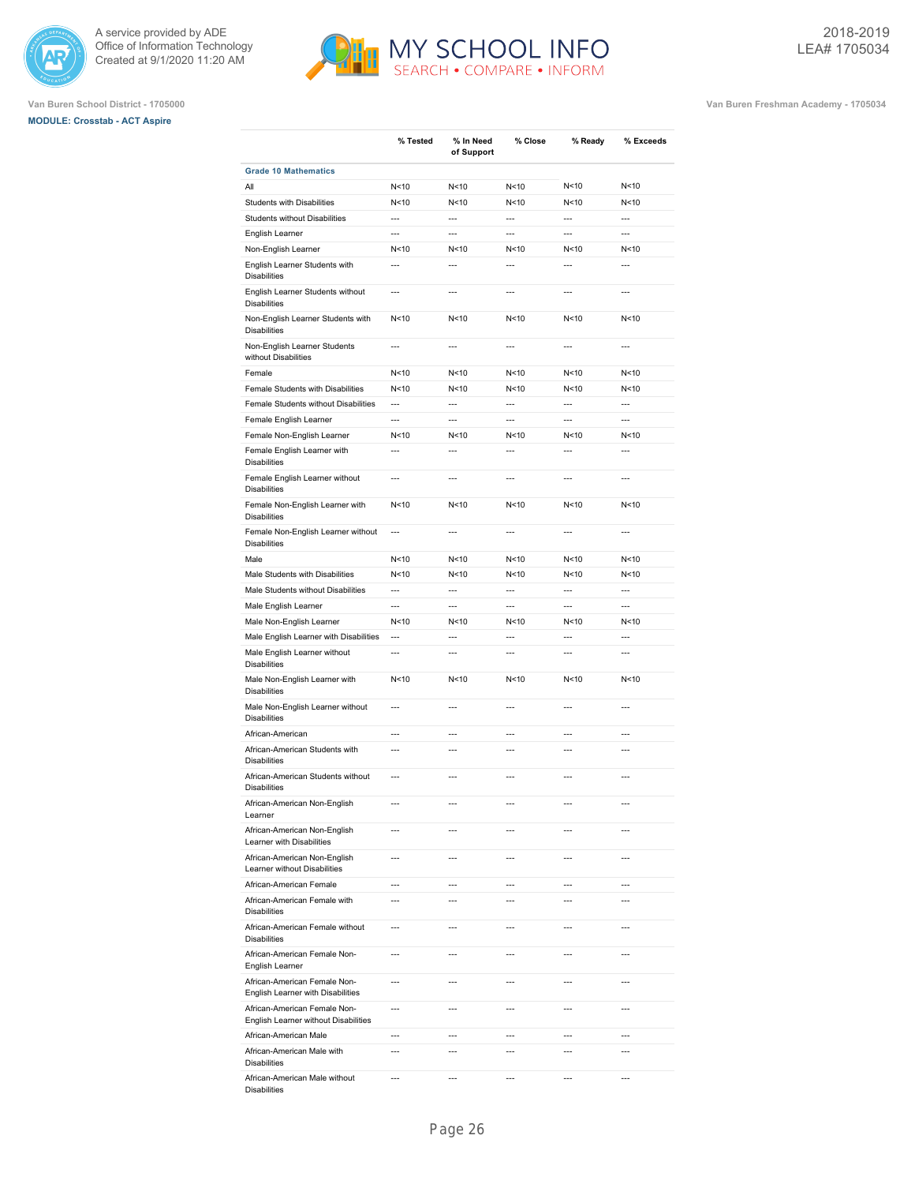





|                                                                      | % Tested        | % In Need<br>of Support | % Close         | % Ready        | % Exceeds       |
|----------------------------------------------------------------------|-----------------|-------------------------|-----------------|----------------|-----------------|
| <b>Grade 10 Mathematics</b>                                          |                 |                         |                 |                |                 |
| All                                                                  | N<10            | N < 10                  | N<10            | N<10           | N<10            |
| Students with Disabilities                                           | N <sub>10</sub> | N<10                    | N<10            | N < 10         | N<10            |
| Students without Disabilities                                        | $\overline{a}$  | $\overline{a}$          | $\overline{a}$  | $\overline{a}$ | $\overline{a}$  |
| English Learner                                                      | $\overline{a}$  | $\overline{a}$          | $\overline{a}$  | $\overline{a}$ | $\overline{a}$  |
| Non-English Learner                                                  | N<10            | N < 10                  | N < 10          | N < 10         | N<10            |
| English Learner Students with<br><b>Disabilities</b>                 | $\overline{a}$  | $\overline{a}$          | $\overline{a}$  | $\overline{a}$ | $\overline{a}$  |
| English Learner Students without<br><b>Disabilities</b>              | $\overline{a}$  | $\overline{a}$          | $\overline{a}$  | $\overline{a}$ | $\overline{a}$  |
| Non-English Learner Students with<br><b>Disabilities</b>             | N <sub>10</sub> | N<10                    | N <sub>10</sub> | N < 10         | N <sub>10</sub> |
| Non-English Learner Students<br>without Disabilities                 | $\overline{a}$  | $\overline{a}$          | $\overline{a}$  | $\overline{a}$ | $\overline{a}$  |
| Female                                                               | N<10            | N < 10                  | N < 10          | N < 10         | N < 10          |
| Female Students with Disabilities                                    | N<10            | N < 10                  | N<10            | N < 10         | N < 10          |
| Female Students without Disabilities                                 | $\overline{a}$  | $\overline{a}$          | $\overline{a}$  | $\overline{a}$ | $\overline{a}$  |
| Female English Learner                                               | $\overline{a}$  | $\overline{a}$          | $\overline{a}$  | $\overline{a}$ | $\overline{a}$  |
| Female Non-English Learner                                           | N<10            | N<10                    | N <sub>10</sub> | N < 10         | N<10            |
| Female English Learner with                                          | $\overline{a}$  | $\overline{a}$          | $\overline{a}$  | $\overline{a}$ | $\overline{a}$  |
| <b>Disabilities</b>                                                  |                 |                         |                 |                |                 |
| Female English Learner without<br><b>Disabilities</b>                | $\overline{a}$  | $\overline{a}$          | $\overline{a}$  | $\overline{a}$ | $\overline{a}$  |
| Female Non-English Learner with<br><b>Disabilities</b>               | N<10            | N < 10                  | N < 10          | N < 10         | N<10            |
| Female Non-English Learner without<br><b>Disabilities</b>            | $\overline{a}$  | $\overline{a}$          | $---$           | $\overline{a}$ | $\overline{a}$  |
| Male                                                                 | N<10            | N < 10                  | N < 10          | N < 10         | N<10            |
| Male Students with Disabilities                                      | N<10            | N<10                    | N<10            | N<10           | N<10            |
| Male Students without Disabilities                                   | $\overline{a}$  | $\overline{a}$          | $\overline{a}$  | $\overline{a}$ | $\overline{a}$  |
| Male English Learner                                                 | $\overline{a}$  | $\overline{a}$          | $\overline{a}$  | $\overline{a}$ | $\overline{a}$  |
| Male Non-English Learner                                             | N<10            | N < 10                  | N < 10          | N < 10         | N<10            |
| Male English Learner with Disabilities                               | $\overline{a}$  | $\overline{a}$          | $\overline{a}$  | $\overline{a}$ | $\overline{a}$  |
| Male English Learner without<br><b>Disabilities</b>                  | $\overline{a}$  | $---$                   | $\overline{a}$  | ---            | $\overline{a}$  |
| Male Non-English Learner with<br><b>Disabilities</b>                 | N <sub>10</sub> | N < 10                  | N < 10          | N < 10         | N<10            |
| Male Non-English Learner without<br><b>Disabilities</b>              | $\overline{a}$  | $\overline{a}$          | $---$           | $\overline{a}$ | $\overline{a}$  |
| African-American                                                     | $\overline{a}$  | $\overline{a}$          | $---$           | $\overline{a}$ | $\overline{a}$  |
| African-American Students with<br><b>Disabilities</b>                | $\overline{a}$  | $\overline{a}$          | $\overline{a}$  | $\overline{a}$ | $\overline{a}$  |
| African-American Students without<br><b>Disabilities</b>             | $\overline{a}$  | $\overline{a}$          | $\overline{a}$  | $\overline{a}$ | $\overline{a}$  |
| African-American Non-English<br>Learner                              |                 |                         |                 | ---            |                 |
| African-American Non-English<br>Learner with Disabilities            | $\overline{a}$  | ---                     | ---             | ---            | $\overline{a}$  |
| African-American Non-English<br>Learner without Disabilities         | $\overline{a}$  | ---                     | ---             | ---            | $\overline{a}$  |
| African-American Female                                              | $\overline{a}$  | ---                     | ---             | ---            | ---             |
| African-American Female with<br><b>Disabilities</b>                  | ---             | ---                     | ---             | ---            | ---             |
| African-American Female without<br><b>Disabilities</b>               | ---             | ---                     | ---             | ---            | ---             |
| African-American Female Non-<br>English Learner                      | $\overline{a}$  | $\overline{a}$          | ---             | $\overline{a}$ | $\overline{a}$  |
| African-American Female Non-<br>English Learner with Disabilities    | $\overline{a}$  | $\overline{a}$          | $\overline{a}$  | $\overline{a}$ | $\overline{a}$  |
| African-American Female Non-<br>English Learner without Disabilities | $\overline{a}$  | $\overline{a}$          | $\overline{a}$  | $\overline{a}$ | $\overline{a}$  |
| African-American Male                                                | $\overline{a}$  | $---$                   | $\overline{a}$  | $\overline{a}$ | $\overline{a}$  |
| African-American Male with<br><b>Disabilities</b>                    | $\overline{a}$  | $\overline{a}$          | $\overline{a}$  | $\overline{a}$ | $\overline{a}$  |
| African-American Male without<br><b>Disabilities</b>                 | $---$           | $\overline{a}$          | $\overline{a}$  | ---            | ---             |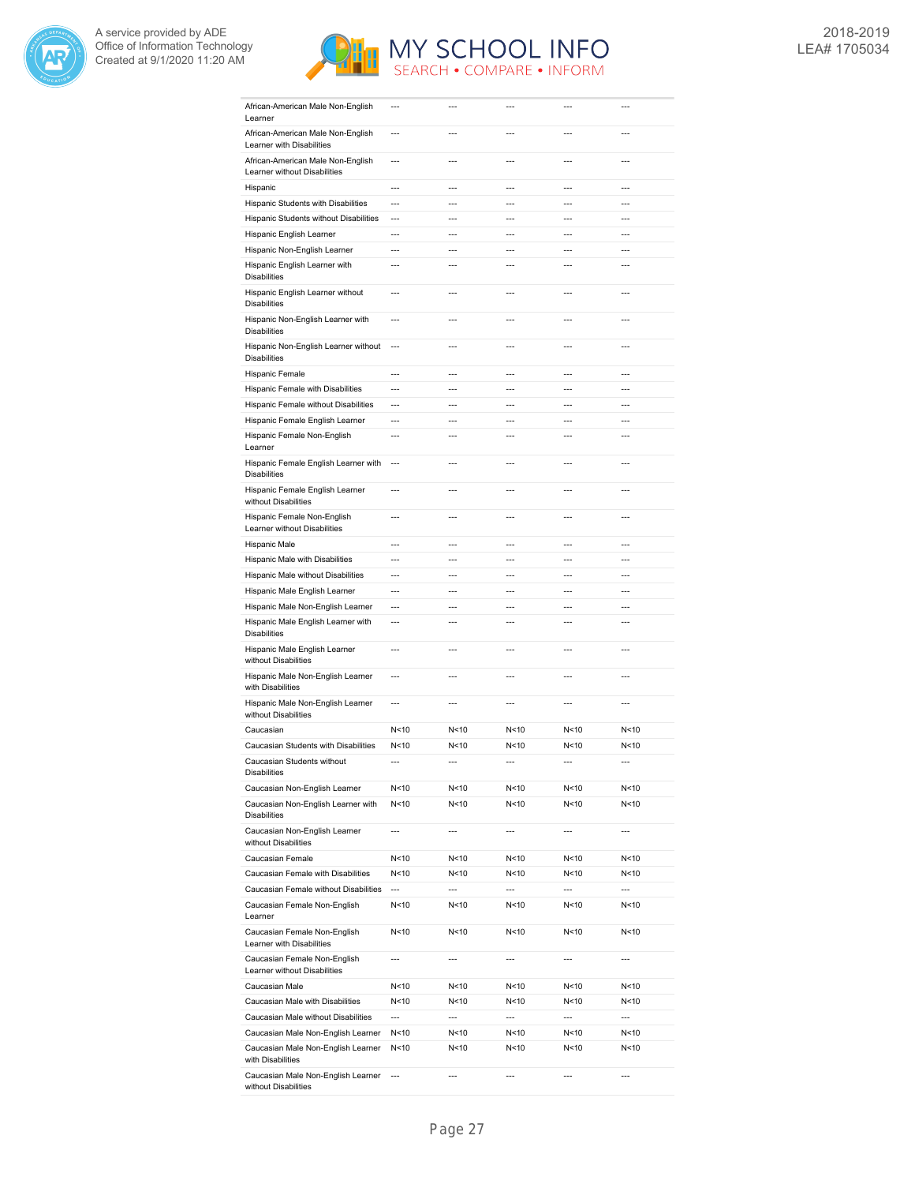



| African-American Male Non-English<br>Learner                   | $\overline{a}$           |                 |                 |                 | ---                      |
|----------------------------------------------------------------|--------------------------|-----------------|-----------------|-----------------|--------------------------|
| African-American Male Non-English                              | $\overline{a}$           | $\overline{a}$  | $\overline{a}$  | $\overline{a}$  | $\overline{a}$           |
| Learner with Disabilities<br>African-American Male Non-English | $\overline{a}$           | $\overline{a}$  | $\overline{a}$  | $\overline{a}$  | ---                      |
| Learner without Disabilities                                   |                          |                 |                 |                 |                          |
| Hispanic                                                       | $---$                    | $\overline{a}$  | $\overline{a}$  | $\overline{a}$  | $\overline{a}$           |
| Hispanic Students with Disabilities                            | $\overline{a}$           | $\overline{a}$  | $\overline{a}$  | $\overline{a}$  | $\overline{a}$           |
| Hispanic Students without Disabilities                         | $\overline{a}$           | $\overline{a}$  | $\overline{a}$  | $\overline{a}$  | $\overline{a}$           |
| Hispanic English Learner                                       | $\overline{a}$           | $\overline{a}$  | $\overline{a}$  | $\overline{a}$  | $\overline{a}$           |
| Hispanic Non-English Learner                                   | $\overline{a}$           | $\overline{a}$  | $\overline{a}$  | $\overline{a}$  | $\overline{a}$           |
| Hispanic English Learner with<br><b>Disabilities</b>           | $\overline{a}$           | $\overline{a}$  | $\overline{a}$  | $\overline{a}$  | $\overline{a}$           |
| Hispanic English Learner without<br><b>Disabilities</b>        | $\overline{a}$           | $\overline{a}$  | $\overline{a}$  | $\overline{a}$  | ---                      |
| Hispanic Non-English Learner with<br><b>Disabilities</b>       | $\overline{a}$           | $\overline{a}$  | $\overline{a}$  | $\overline{a}$  | $\overline{a}$           |
| Hispanic Non-English Learner without<br><b>Disabilities</b>    | $\overline{a}$           | $\overline{a}$  | $\overline{a}$  | $\overline{a}$  | $\overline{a}$           |
| Hispanic Female                                                | $---$                    | $\overline{a}$  | $\overline{a}$  | $\overline{a}$  | $---$                    |
| Hispanic Female with Disabilities                              | $---$                    | $\overline{a}$  | $\overline{a}$  | $\overline{a}$  | ---                      |
| Hispanic Female without Disabilities                           | $\overline{\phantom{a}}$ | $\overline{a}$  | $\overline{a}$  | $\overline{a}$  | $\overline{a}$           |
| Hispanic Female English Learner                                | $\overline{a}$           | $\overline{a}$  | $\overline{a}$  | $\overline{a}$  | $\overline{a}$           |
| Hispanic Female Non-English<br>Learner                         | $\overline{a}$           | $\overline{a}$  | $\overline{a}$  | $\overline{a}$  | $\overline{a}$           |
| Hispanic Female English Learner with<br><b>Disabilities</b>    | $\overline{a}$           | $\overline{a}$  | $\overline{a}$  | $\overline{a}$  | $\overline{a}$           |
| Hispanic Female English Learner<br>without Disabilities        | $\overline{a}$           | $\overline{a}$  | $\overline{a}$  | $\overline{a}$  | ---                      |
| Hispanic Female Non-English<br>Learner without Disabilities    | $---$                    | $\overline{a}$  | $\overline{a}$  | $\overline{a}$  | $---$                    |
| Hispanic Male                                                  | $---$                    | $\overline{a}$  | $\overline{a}$  | $\overline{a}$  | $---$                    |
| Hispanic Male with Disabilities                                | $---$                    | $\overline{a}$  | $\overline{a}$  | $\overline{a}$  | ---                      |
| Hispanic Male without Disabilities                             | $\overline{a}$           | $\overline{a}$  | $\overline{a}$  | ---             | $\overline{a}$           |
| Hispanic Male English Learner                                  | $\overline{a}$           | $\overline{a}$  | $\overline{a}$  | $\overline{a}$  | $\overline{a}$           |
| Hispanic Male Non-English Learner                              | $\overline{a}$           | $\overline{a}$  | $\overline{a}$  | $\overline{a}$  | $\overline{a}$           |
| Hispanic Male English Learner with<br><b>Disabilities</b>      | $\overline{a}$           |                 |                 |                 | $\overline{a}$           |
| Hispanic Male English Learner<br>without Disabilities          | $\overline{a}$           | $\overline{a}$  |                 |                 |                          |
| Hispanic Male Non-English Learner<br>with Disabilities         | $\overline{a}$           |                 |                 |                 | $\overline{a}$           |
| Hispanic Male Non-English Learner<br>without Disabilities      | $\overline{a}$           | $\overline{a}$  | $\overline{a}$  | $\overline{a}$  | $\overline{a}$           |
| Caucasian                                                      | N <sub>10</sub>          | N<10            | N<10            | N <sub>10</sub> | N <sub>10</sub>          |
| Caucasian Students with Disabilities                           | N<10                     | N <sub>10</sub> | N <sub>10</sub> | N <sub>10</sub> | N<10                     |
| Caucasian Students without<br><b>Disabilities</b>              |                          |                 |                 |                 |                          |
| Caucasian Non-English Learner                                  | N < 10                   | N<10            | N<10            | N<10            | N<10                     |
| Caucasian Non-English Learner with<br><b>Disabilities</b>      | N<10                     | N<10            | N<10            | N<10            | N<10                     |
| Caucasian Non-English Learner<br>without Disabilities          | $\overline{\phantom{a}}$ | ---             | ---             | ---             | $\overline{\phantom{a}}$ |
| Caucasian Female                                               | N < 10                   | N<10            | N <sub>10</sub> | N<10            | N<10                     |
| Caucasian Female with Disabilities                             | N < 10                   | N<10            | N<10            | N <sub>10</sub> | N<10                     |
| Caucasian Female without Disabilities                          | $\overline{\phantom{a}}$ | $\overline{a}$  | $\overline{a}$  | ---             | ---                      |
| Caucasian Female Non-English<br>Learner                        | N<10                     | N<10            | N<10            | N<10            | N<10                     |
| Caucasian Female Non-English<br>Learner with Disabilities      | N < 10                   | N<10            | N<10            | N<10            | N < 10                   |
| Caucasian Female Non-English<br>Learner without Disabilities   | ---                      | ---             | ---             | ---             | ---                      |
| Caucasian Male                                                 | N < 10                   | N<10            | N<10            | N<10            | N<10                     |
| Caucasian Male with Disabilities                               | N < 10                   | N<10            | N<10            | N<10            | N<10                     |
| Caucasian Male without Disabilities                            | $---$                    | $\overline{a}$  | $\overline{a}$  | ---             | ---                      |
| Caucasian Male Non-English Learner                             | N<10                     | N<10            | N<10            | N<10            | N<10                     |
| Caucasian Male Non-English Learner                             | N<10                     | N<10            | N<10            | N<10            | N<10                     |
| with Disabilities<br>Caucasian Male Non-English Learner        |                          |                 |                 |                 |                          |
|                                                                | $\overline{\phantom{a}}$ | ---             | $---$           | ---             | $---$                    |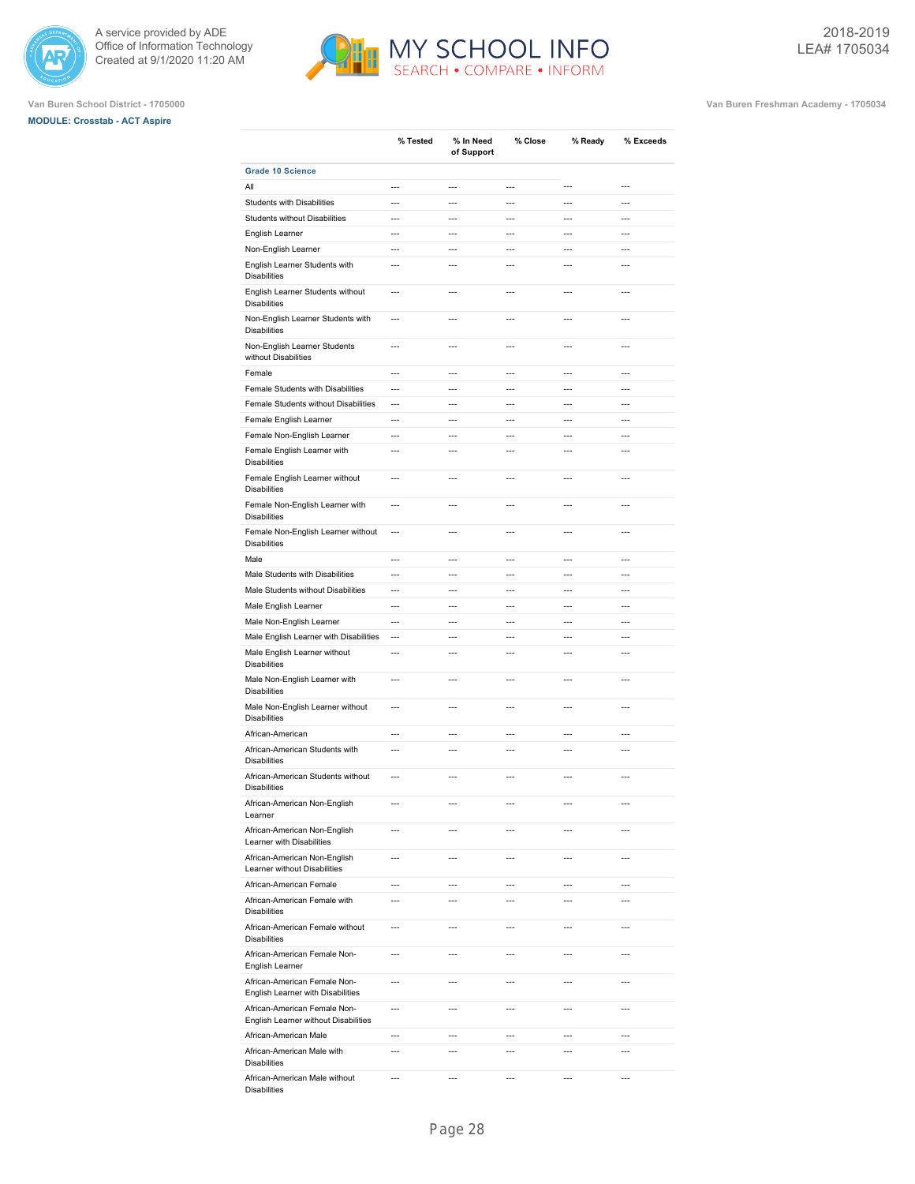







|                                                                      | % Tested       | % In Need<br>of Support  | % Close        | % Ready        | % Exceeds      |
|----------------------------------------------------------------------|----------------|--------------------------|----------------|----------------|----------------|
| <b>Grade 10 Science</b>                                              |                |                          |                |                |                |
| All                                                                  | $\overline{a}$ | $\overline{a}$           | $\overline{a}$ | ---            | $---$          |
| <b>Students with Disabilities</b>                                    | $\overline{a}$ | $\overline{a}$           | $\overline{a}$ | $\overline{a}$ | $\overline{a}$ |
| Students without Disabilities                                        | $\overline{a}$ | $\overline{a}$           | $\overline{a}$ | $\overline{a}$ | $\overline{a}$ |
| English Learner                                                      | $---$          | $---$                    | $\overline{a}$ | $\overline{a}$ | $\overline{a}$ |
| Non-English Learner                                                  | $\overline{a}$ | $\overline{a}$           | $\overline{a}$ | $\overline{a}$ | $\overline{a}$ |
| English Learner Students with<br><b>Disabilities</b>                 | $\overline{a}$ | $\overline{a}$           | $\overline{a}$ | $\overline{a}$ | $\overline{a}$ |
| English Learner Students without<br><b>Disabilities</b>              | $\overline{a}$ | $\overline{a}$           | $\overline{a}$ | ---            | $\overline{a}$ |
| Non-English Learner Students with<br><b>Disabilities</b>             | $\overline{a}$ | $\overline{a}$           | $\overline{a}$ | ---            | $\overline{a}$ |
| Non-English Learner Students<br>without Disabilities                 | $\overline{a}$ | $\overline{a}$           | $\overline{a}$ | ---            | $\overline{a}$ |
| Female                                                               | $\overline{a}$ | $---$                    | $\overline{a}$ | $\overline{a}$ | $\overline{a}$ |
| Female Students with Disabilities                                    | $\overline{a}$ | $\overline{a}$           | $\overline{a}$ | $\overline{a}$ | $\overline{a}$ |
| Female Students without Disabilities                                 | $\overline{a}$ | $\overline{a}$           | $\overline{a}$ | $\overline{a}$ | $\overline{a}$ |
| Female English Learner                                               | $\overline{a}$ | $\overline{a}$           | $\overline{a}$ | $\overline{a}$ | $\overline{a}$ |
| Female Non-English Learner                                           | $\overline{a}$ | $\overline{a}$           | $\overline{a}$ | ---            | $\overline{a}$ |
| Female English Learner with<br><b>Disabilities</b>                   | $\overline{a}$ | $\overline{a}$           | $\overline{a}$ | $\overline{a}$ | $\overline{a}$ |
| Female English Learner without<br><b>Disabilities</b>                | $\overline{a}$ | $\overline{a}$           | $\overline{a}$ | ---            | $\overline{a}$ |
| Female Non-English Learner with<br><b>Disabilities</b>               | $\overline{a}$ | $\overline{a}$           | $\overline{a}$ | ---            | $\overline{a}$ |
| Female Non-English Learner without<br><b>Disabilities</b>            | $\overline{a}$ | $\overline{a}$           | $\overline{a}$ | ---            | $\overline{a}$ |
| Male                                                                 | $\overline{a}$ | $---$                    | $\overline{a}$ | $\overline{a}$ | $---$          |
| Male Students with Disabilities                                      | $\overline{a}$ | $\overline{a}$           | $\overline{a}$ | ---            | $\overline{a}$ |
| Male Students without Disabilities                                   | $\overline{a}$ | $\overline{a}$           | $\overline{a}$ | $\overline{a}$ | $\overline{a}$ |
| Male English Learner                                                 | $---$          | $---$                    | $\overline{a}$ | $\overline{a}$ | $\overline{a}$ |
| Male Non-English Learner                                             | $\overline{a}$ | $\overline{a}$           | $\overline{a}$ | $\overline{a}$ | $\overline{a}$ |
| Male English Learner with Disabilities                               | $\overline{a}$ | $\overline{a}$           | $\overline{a}$ | $\overline{a}$ | $\overline{a}$ |
| Male English Learner without<br><b>Disabilities</b>                  | $\overline{a}$ | $\overline{a}$           | $\overline{a}$ | $\overline{a}$ | $\overline{a}$ |
| Male Non-English Learner with<br><b>Disabilities</b>                 | $\overline{a}$ | $\overline{a}$           | $\overline{a}$ | $\overline{a}$ | $\overline{a}$ |
| Male Non-English Learner without<br><b>Disabilities</b>              | $\overline{a}$ | $\overline{a}$           | $\overline{a}$ | $\overline{a}$ | $\overline{a}$ |
| African-American                                                     | $\overline{a}$ | $\overline{a}$           | $\overline{a}$ | $\overline{a}$ | $---$          |
| African-American Students with<br><b>Disabilities</b>                | $\overline{a}$ | $\overline{a}$           | $\overline{a}$ | ---            | $\overline{a}$ |
| African-American Students without<br><b>Disabilities</b>             | $---$          | $---$                    | $\overline{a}$ | ---            | $\overline{a}$ |
| African-American Non-English<br>Learner                              |                |                          |                |                |                |
| African-American Non-English<br>Learner with Disabilities            | $\overline{a}$ | $\overline{a}$           | $\overline{a}$ | $\overline{a}$ | $---$          |
| African-American Non-English<br>Learner without Disabilities         | $\overline{a}$ | $---$                    | $\overline{a}$ | $\overline{a}$ | $---$          |
| African-American Female                                              | $\overline{a}$ | $\overline{a}$           | $\overline{a}$ | ---            | $\overline{a}$ |
| African-American Female with<br><b>Disabilities</b>                  | $\overline{a}$ | $\overline{a}$           | $\overline{a}$ | $\overline{a}$ | $\overline{a}$ |
| African-American Female without<br><b>Disabilities</b>               | $\overline{a}$ | $\overline{a}$           | $\overline{a}$ | $\overline{a}$ | $\overline{a}$ |
| African-American Female Non-<br>English Learner                      | $\overline{a}$ | ---                      | $\overline{a}$ | ---            | ---            |
| African-American Female Non-<br>English Learner with Disabilities    | ---            | ---                      | $\overline{a}$ | ---            | ---            |
| African-American Female Non-<br>English Learner without Disabilities | ---            | $\overline{a}$           | $\overline{a}$ | ---            | ---            |
| African-American Male                                                | $\overline{a}$ | $\overline{\phantom{a}}$ | $\overline{a}$ | $\overline{a}$ | $\overline{a}$ |
| African-American Male with<br><b>Disabilities</b>                    | ---            | $\overline{a}$           | ---            | ---            | ---            |
| African-American Male without<br>Disabilities                        | $\overline{a}$ | $\overline{a}$           | $\overline{a}$ | $\overline{a}$ | $\overline{a}$ |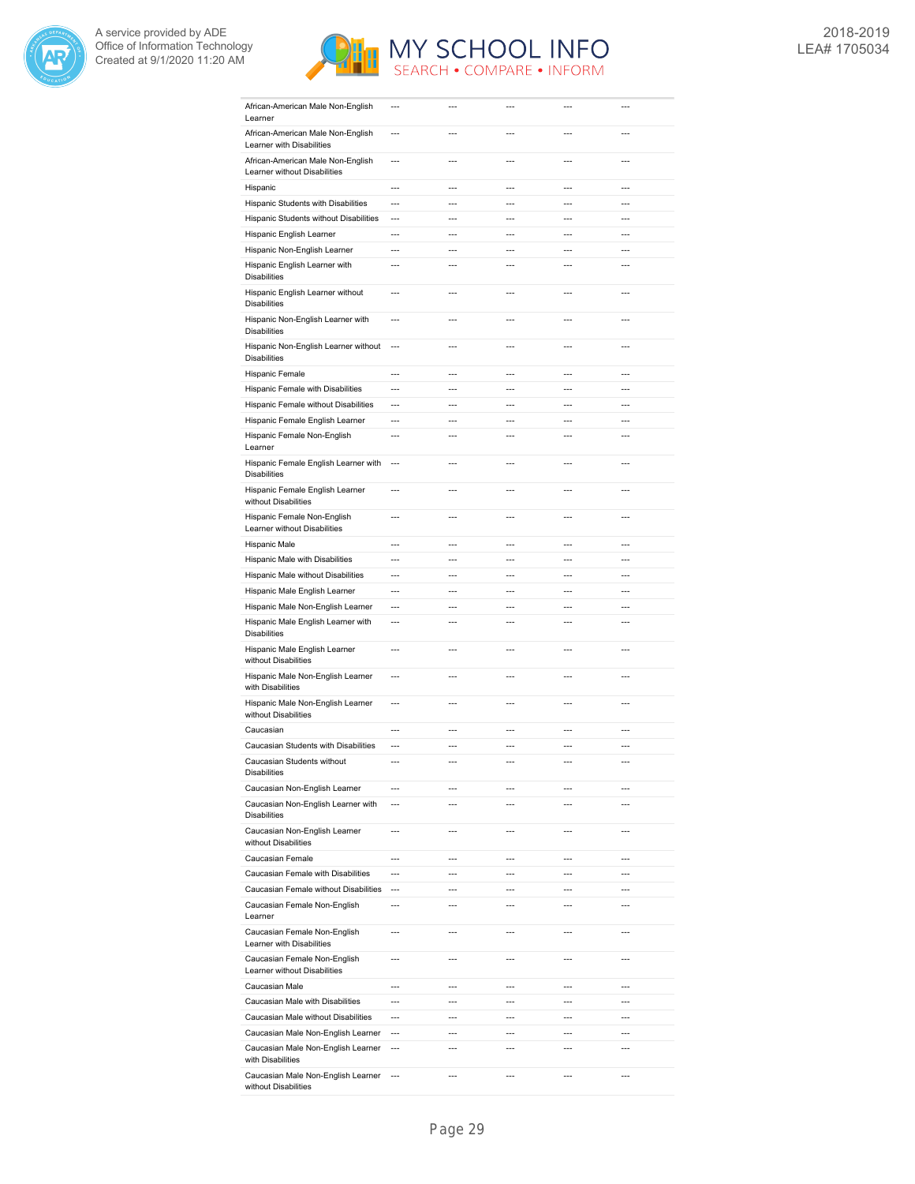



| African-American Male Non-English<br>Learner                            | $\overline{a}$ | $\overline{a}$ |                | $\overline{a}$ | $\overline{a}$ |
|-------------------------------------------------------------------------|----------------|----------------|----------------|----------------|----------------|
| African-American Male Non-English                                       | $\overline{a}$ | $\overline{a}$ | $\overline{a}$ | $\overline{a}$ | $\overline{a}$ |
| Learner with Disabilities<br>African-American Male Non-English          | $\overline{a}$ | $---$          | $\overline{a}$ | $---$          | $\overline{a}$ |
| Learner without Disabilities                                            |                |                |                |                |                |
| Hispanic                                                                | $\overline{a}$ | $---$          | $\overline{a}$ | $---$          | $\overline{a}$ |
| Hispanic Students with Disabilities                                     | $\overline{a}$ | $---$          | $\overline{a}$ | $---$          | $\overline{a}$ |
| Hispanic Students without Disabilities                                  | $\overline{a}$ | $\overline{a}$ | $\overline{a}$ | $\overline{a}$ | $\overline{a}$ |
| Hispanic English Learner                                                | $\overline{a}$ | $\overline{a}$ | $\overline{a}$ | $\overline{a}$ | $\overline{a}$ |
| Hispanic Non-English Learner                                            | $\overline{a}$ | $\overline{a}$ | $\overline{a}$ | $\overline{a}$ | $\overline{a}$ |
| Hispanic English Learner with<br><b>Disabilities</b>                    | $\overline{a}$ | $\overline{a}$ | $\overline{a}$ | $\overline{a}$ | $\overline{a}$ |
| Hispanic English Learner without                                        | $\overline{a}$ | $\overline{a}$ | $\overline{a}$ | $\overline{a}$ | ---            |
| <b>Disabilities</b><br>Hispanic Non-English Learner with                | $\overline{a}$ | $\overline{a}$ | $\overline{a}$ | $\overline{a}$ | $\overline{a}$ |
| <b>Disabilities</b><br>Hispanic Non-English Learner without             | $\overline{a}$ | $\overline{a}$ | $\overline{a}$ | $\overline{a}$ | $\overline{a}$ |
| <b>Disabilities</b>                                                     |                |                |                |                |                |
| Hispanic Female                                                         | $\overline{a}$ | $---$          | $\overline{a}$ | $---$          | $---$          |
| Hispanic Female with Disabilities                                       | $\overline{a}$ | $\overline{a}$ | $\overline{a}$ | ---            | $\overline{a}$ |
| Hispanic Female without Disabilities                                    | $\overline{a}$ | $\overline{a}$ | $\overline{a}$ | $\overline{a}$ | $\overline{a}$ |
| Hispanic Female English Learner                                         | $\overline{a}$ | $\overline{a}$ | $\overline{a}$ | $\overline{a}$ | $\overline{a}$ |
| Hispanic Female Non-English                                             | $\overline{a}$ | $\overline{a}$ | $\overline{a}$ | $\overline{a}$ | $\overline{a}$ |
| Learner<br>Hispanic Female English Learner with                         | $\overline{a}$ | $\overline{a}$ | $\overline{a}$ | $\overline{a}$ | $\overline{a}$ |
| <b>Disabilities</b>                                                     |                |                |                |                |                |
| Hispanic Female English Learner<br>without Disabilities                 | $\overline{a}$ | $\overline{a}$ | $\overline{a}$ | $\overline{a}$ | ---            |
| Hispanic Female Non-English<br>Learner without Disabilities             | ---            | $---$          | $\overline{a}$ | $---$          | $---$          |
| Hispanic Male                                                           | $\overline{a}$ | $---$          | $\overline{a}$ | $---$          | $---$          |
| Hispanic Male with Disabilities                                         | $\overline{a}$ | $\overline{a}$ | $\overline{a}$ | ---            | $\overline{a}$ |
| Hispanic Male without Disabilities                                      | $\overline{a}$ | $---$          | $\overline{a}$ | $\overline{a}$ | $\overline{a}$ |
| Hispanic Male English Learner                                           | $\overline{a}$ | $\overline{a}$ | $\overline{a}$ | $\overline{a}$ | $\overline{a}$ |
|                                                                         |                |                |                |                |                |
|                                                                         | $\overline{a}$ | $\overline{a}$ | $\overline{a}$ | $\overline{a}$ | $\overline{a}$ |
| Hispanic Male Non-English Learner<br>Hispanic Male English Learner with | $\overline{a}$ | $\overline{a}$ |                | $\overline{a}$ | $\overline{a}$ |
| <b>Disabilities</b>                                                     |                |                |                |                |                |
| Hispanic Male English Learner<br>without Disabilities                   | $\overline{a}$ | $\overline{a}$ | $\overline{a}$ | $\overline{a}$ |                |
| Hispanic Male Non-English Learner<br>with Disabilities                  | $\overline{a}$ |                |                | $\overline{a}$ | $\overline{a}$ |
| Hispanic Male Non-English Learner<br>without Disabilities               | $\overline{a}$ | $-$ --         | $\overline{a}$ | $---$          | $\overline{a}$ |
| Caucasian                                                               | $\overline{a}$ | $\overline{a}$ | $\overline{a}$ | $\overline{a}$ | $\overline{a}$ |
| Caucasian Students with Disabilities                                    | $\overline{a}$ | $\overline{a}$ | $\overline{a}$ | $\overline{a}$ | $\overline{a}$ |
| Caucasian Students without<br><b>Disabilities</b>                       |                |                |                |                |                |
|                                                                         | $\overline{a}$ | $---$          | ---            | $---$          | $---$          |
| Caucasian Non-English Learner<br>Caucasian Non-English Learner with     | $\overline{a}$ | $---$          | $\overline{a}$ | $---$          | $---$          |
| Disabilities<br>Caucasian Non-English Learner                           | $\overline{a}$ | $---$          | $\overline{a}$ | $---$          | $---$          |
| without Disabilities                                                    |                |                |                |                |                |
| Caucasian Female                                                        | $---$          | $---$          | $\overline{a}$ | $---$          | $---$          |
| Caucasian Female with Disabilities                                      | $\overline{a}$ | $---$          | $\overline{a}$ | ---            | $---$          |
| Caucasian Female without Disabilities                                   | $---$          | $---$          | $\overline{a}$ | $---$          | $---$          |
| Caucasian Female Non-English<br>Learner                                 | $\overline{a}$ | $\overline{a}$ | $\overline{a}$ | $\overline{a}$ | $\overline{a}$ |
| Caucasian Female Non-English<br>Learner with Disabilities               | $\overline{a}$ | $---$          | $\overline{a}$ | $---$          | $---$          |
| Caucasian Female Non-English<br>Learner without Disabilities            | $\overline{a}$ | $---$          | $---$          | $---$          | $---$          |
| Caucasian Male                                                          | $\overline{a}$ | $---$          | $---$          | $---$          | $---$          |
| Caucasian Male with Disabilities                                        | $\overline{a}$ | $---$          | $\overline{a}$ | $---$          | $---$          |
|                                                                         | $\overline{a}$ | $---$          | $\overline{a}$ | ---            | $---$          |
| Caucasian Male without Disabilities                                     |                |                |                |                |                |
| Caucasian Male Non-English Learner                                      | $---$          | $---$          | $\overline{a}$ | $---$          | $---$          |
| Caucasian Male Non-English Learner<br>with Disabilities                 | $\overline{a}$ | $\overline{a}$ | $\overline{a}$ | $\overline{a}$ | $\overline{a}$ |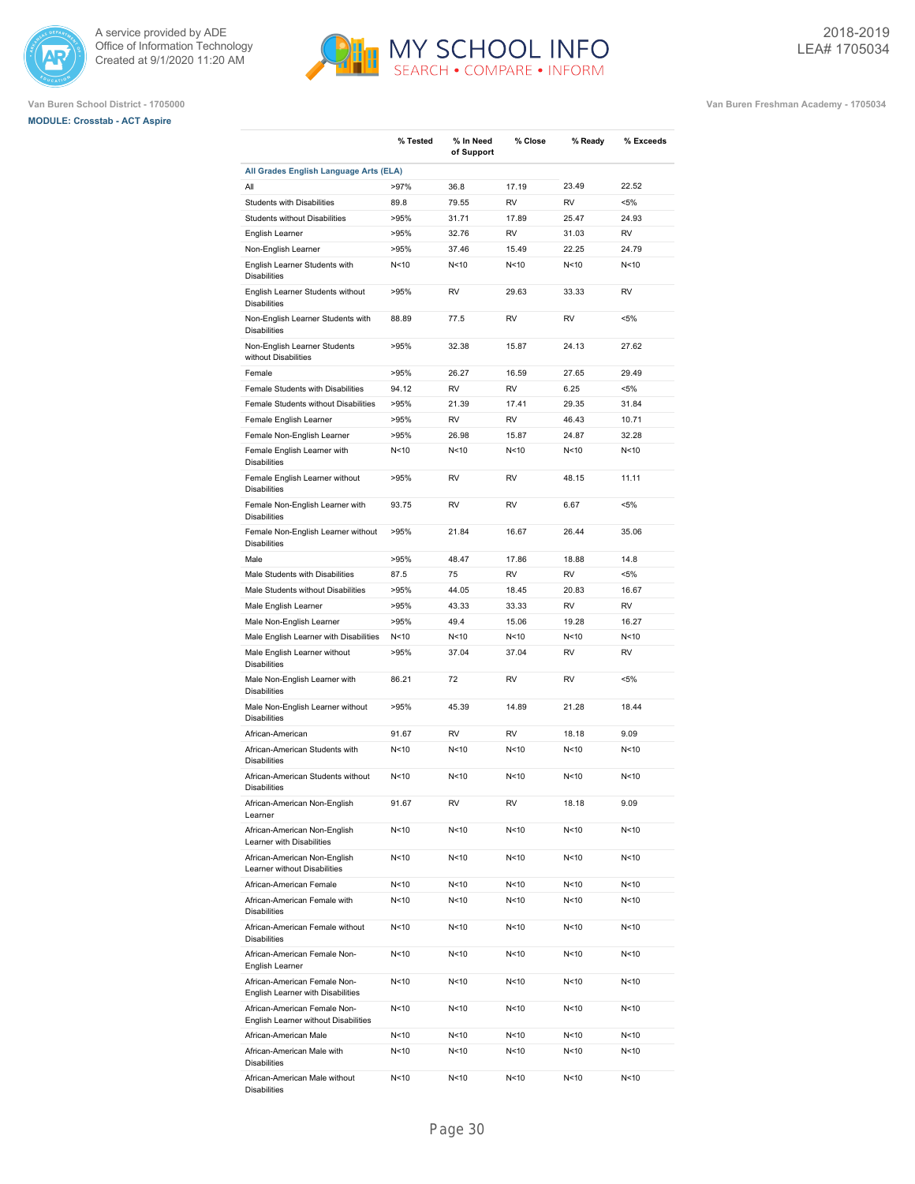





**Van Buren School District - 1705000 Van Buren Freshman Academy - 1705034**

|                                                                      | % Tested        | % In Need<br>of Support | % Close         | % Ready         | % Exceeds |
|----------------------------------------------------------------------|-----------------|-------------------------|-----------------|-----------------|-----------|
| All Grades English Language Arts (ELA)                               |                 |                         |                 |                 |           |
| All                                                                  | >97%            | 36.8                    | 17.19           | 23.49           | 22.52     |
| <b>Students with Disabilities</b>                                    | 89.8            | 79.55                   | <b>RV</b>       | <b>RV</b>       | $< 5\%$   |
| <b>Students without Disabilities</b>                                 | >95%            | 31.71                   | 17.89           | 25.47           | 24.93     |
| English Learner                                                      | >95%            | 32.76                   | <b>RV</b>       | 31.03           | <b>RV</b> |
| Non-English Learner                                                  | >95%            | 37.46                   | 15.49           | 22.25           | 24.79     |
| English Learner Students with<br><b>Disabilities</b>                 | N<10            | N<10                    | N <sub>10</sub> | N <sub>10</sub> | N<10      |
| English Learner Students without<br><b>Disabilities</b>              | >95%            | <b>RV</b>               | 29.63           | 33.33           | <b>RV</b> |
| Non-English Learner Students with<br><b>Disabilities</b>             | 88.89           | 77.5                    | <b>RV</b>       | <b>RV</b>       | $< 5\%$   |
| Non-English Learner Students<br>without Disabilities                 | >95%            | 32.38                   | 15.87           | 24.13           | 27.62     |
| Female                                                               | >95%            | 26.27                   | 16.59           | 27.65           | 29.49     |
| Female Students with Disabilities                                    | 94.12           | <b>RV</b>               | <b>RV</b>       | 6.25            | $< 5\%$   |
| Female Students without Disabilities                                 | >95%            | 21.39                   | 17.41           | 29.35           | 31.84     |
| Female English Learner                                               | >95%            | <b>RV</b>               | <b>RV</b>       | 46.43           | 10.71     |
| Female Non-English Learner                                           | >95%            | 26.98                   | 15.87           | 24.87           | 32.28     |
| Female English Learner with<br><b>Disabilities</b>                   | N<10            | N<10                    | N <sub>10</sub> | N <sub>10</sub> | N<10      |
| Female English Learner without<br><b>Disabilities</b>                | >95%            | <b>RV</b>               | <b>RV</b>       | 48.15           | 11.11     |
| Female Non-English Learner with<br><b>Disabilities</b>               | 93.75           | <b>RV</b>               | <b>RV</b>       | 6.67            | $< 5\%$   |
| Female Non-English Learner without<br><b>Disabilities</b>            | >95%            | 21.84                   | 16.67           | 26.44           | 35.06     |
| Male                                                                 | >95%            | 48.47                   | 17.86           | 18.88           | 14.8      |
| Male Students with Disabilities                                      | 87.5            | 75                      | <b>RV</b>       | <b>RV</b>       | $< 5\%$   |
| Male Students without Disabilities                                   | >95%            | 44.05                   | 18.45           | 20.83           | 16.67     |
| Male English Learner                                                 | >95%            | 43.33                   | 33.33           | <b>RV</b>       | <b>RV</b> |
| Male Non-English Learner                                             | >95%            | 49.4                    | 15.06           | 19.28           | 16.27     |
| Male English Learner with Disabilities                               | N<10            | N<10                    | N < 10          | N<10            | N<10      |
| Male English Learner without<br><b>Disabilities</b>                  | >95%            | 37.04                   | 37.04           | RV              | <b>RV</b> |
| Male Non-English Learner with<br><b>Disabilities</b>                 | 86.21           | 72                      | <b>RV</b>       | <b>RV</b>       | $< 5\%$   |
| Male Non-English Learner without<br><b>Disabilities</b>              | >95%            | 45.39                   | 14.89           | 21.28           | 18.44     |
| African-American                                                     | 91.67           | <b>RV</b>               | <b>RV</b>       | 18.18           | 9.09      |
| African-American Students with<br><b>Disabilities</b>                | N<10            | N<10                    | N <sub>10</sub> | N <sub>10</sub> | N<10      |
| African-American Students without<br><b>Disabilities</b>             | N <sub>10</sub> | N <sub>10</sub>         | N < 10          | N <sub>10</sub> | N<10      |
| African-American Non-English<br>Learner                              | 91.67           | RV                      | RV              | 18.18           | 9.09      |
| African-American Non-English<br>Learner with Disabilities            | N<10            | N<10                    | N<10            | N<10            | N<10      |
| African-American Non-English<br>Learner without Disabilities         | N<10            | N<10                    | N<10            | N <sub>10</sub> | N<10      |
| African-American Female                                              | N<10            | N<10                    | N<10            | N<10            | N<10      |
| African-American Female with<br><b>Disabilities</b>                  | N <sub>10</sub> | N <sub>10</sub>         | N<10            | N<10            | N<10      |
| African-American Female without<br><b>Disabilities</b>               | N<10            | N<10                    | N<10            | N <sub>10</sub> | N<10      |
| African-American Female Non-<br>English Learner                      | N<10            | N<10                    | N<10            | N<10            | N<10      |
| African-American Female Non-<br>English Learner with Disabilities    | N<10            | N<10                    | N<10            | N<10            | N<10      |
| African-American Female Non-<br>English Learner without Disabilities | N<10            | N<10                    | N<10            | N<10            | N<10      |
| African-American Male                                                | N<10            | N<10                    | N<10            | N<10            | N<10      |
| African-American Male with<br><b>Disabilities</b>                    | N<10            | N<10                    | N<10            | N<10            | N<10      |
| African-American Male without                                        | N<10            | N<10                    | N<10            | N<10            | N<10      |

Disabilities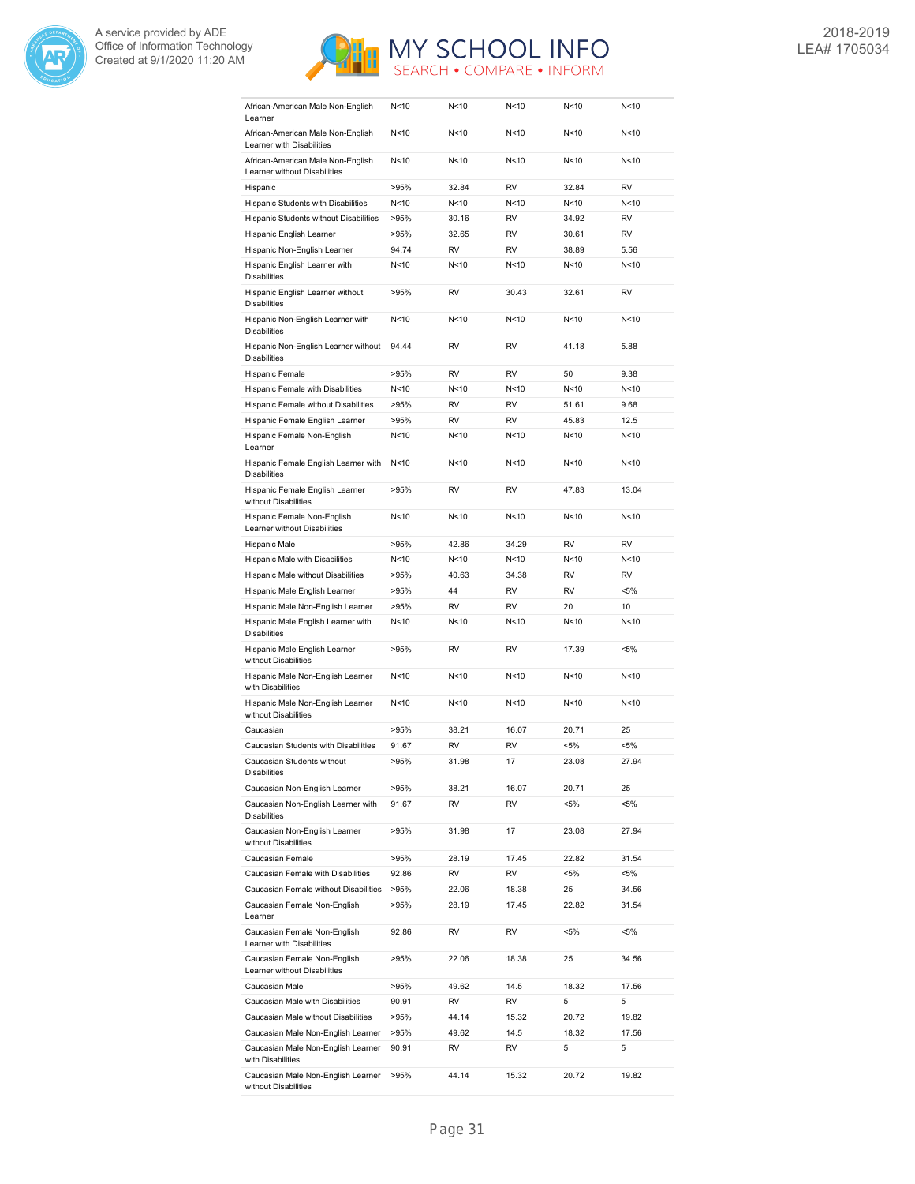



| African-American Male Non-English<br>Learner                      | N<10            | N<10      | N<10            | N<10            | N<10      |
|-------------------------------------------------------------------|-----------------|-----------|-----------------|-----------------|-----------|
| African-American Male Non-English<br>Learner with Disabilities    | N<10            | N<10      | N<10            | N <sub>10</sub> | N<10      |
| African-American Male Non-English<br>Learner without Disabilities | N < 10          | N<10      | N <sub>10</sub> | N <sub>10</sub> | N<10      |
| Hispanic                                                          | >95%            | 32.84     | <b>RV</b>       | 32.84           | <b>RV</b> |
| Hispanic Students with Disabilities                               | N<10            | N<10      | N<10            | N <sub>10</sub> | N<10      |
| Hispanic Students without Disabilities                            | >95%            | 30.16     | <b>RV</b>       | 34.92           | <b>RV</b> |
| Hispanic English Learner                                          | >95%            | 32.65     | <b>RV</b>       | 30.61           | <b>RV</b> |
| Hispanic Non-English Learner                                      | 94.74           | <b>RV</b> | <b>RV</b>       | 38.89           | 5.56      |
| Hispanic English Learner with<br><b>Disabilities</b>              | N <sub>10</sub> | N<10      | N <sub>10</sub> | N<10            | N<10      |
| Hispanic English Learner without<br><b>Disabilities</b>           | >95%            | RV        | 30.43           | 32.61           | <b>RV</b> |
| Hispanic Non-English Learner with<br><b>Disabilities</b>          | N<10            | N<10      | N<10            | N<10            | N<10      |
| Hispanic Non-English Learner without<br><b>Disabilities</b>       | 94.44           | RV        | <b>RV</b>       | 41.18           | 5.88      |
| Hispanic Female                                                   | >95%            | <b>RV</b> | <b>RV</b>       | 50              | 9.38      |
| Hispanic Female with Disabilities                                 | N<10            | N<10      | N<10            | N <sub>10</sub> | N<10      |
| Hispanic Female without Disabilities                              | >95%            | <b>RV</b> | <b>RV</b>       | 51.61           | 9.68      |
| Hispanic Female English Learner                                   | >95%            | <b>RV</b> | <b>RV</b>       | 45.83           | 12.5      |
| Hispanic Female Non-English                                       | N<10            | N<10      | N<10            | N<10            | N<10      |
| Learner<br>Hispanic Female English Learner with                   | N <sub>10</sub> | N<10      | N <sub>10</sub> | N<10            | N<10      |
| <b>Disabilities</b><br>Hispanic Female English Learner            | >95%            | RV        | RV              | 47.83           | 13.04     |
| without Disabilities<br>Hispanic Female Non-English               | N < 10          | N<10      | N<10            | N<10            | N<10      |
| Learner without Disabilities<br>Hispanic Male                     | >95%            | 42.86     | 34.29           | <b>RV</b>       | <b>RV</b> |
| Hispanic Male with Disabilities                                   | N<10            | N<10      | N<10            | N <sub>10</sub> | N<10      |
| Hispanic Male without Disabilities                                | >95%            | 40.63     | 34.38           | <b>RV</b>       | <b>RV</b> |
| Hispanic Male English Learner                                     | >95%            | 44        | <b>RV</b>       | <b>RV</b>       | $< 5\%$   |
| Hispanic Male Non-English Learner                                 | >95%            | RV        | <b>RV</b>       | 20              | 10        |
| Hispanic Male English Learner with<br><b>Disabilities</b>         | N<10            | N<10      | N<10            | N<10            | N<10      |
| Hispanic Male English Learner                                     |                 |           |                 |                 |           |
| without Disabilities                                              | >95%            | RV        | RV              | 17.39           | $< 5\%$   |
| Hispanic Male Non-English Learner<br>with Disabilities            | N<10            | N<10      | N<10            | N<10            | N<10      |
| Hispanic Male Non-English Learner<br>without Disabilities         | N<10            | N<10      | N<10            | N <sub>10</sub> | N<10      |
| Caucasian                                                         | >95%            | 38.21     | 16.07           | 20.71           | 25        |
| Caucasian Students with Disabilities                              | 91.67           | <b>RV</b> | RV              | $< 5\%$         | $< 5\%$   |
| Caucasian Students without<br><b>Disabilities</b>                 | >95%            | 31.98     | 17              | 23.08           | 27.94     |
| Caucasian Non-English Learner                                     | >95%            | 38.21     | 16.07           | 20.71           | 25        |
| Caucasian Non-English Learner with<br><b>Disabilities</b>         | 91.67           | RV        | RV              | <5%             | <5%       |
| Caucasian Non-English Learner<br>without Disabilities             | >95%            | 31.98     | 17              | 23.08           | 27.94     |
| Caucasian Female                                                  | >95%            | 28.19     | 17.45           | 22.82           | 31.54     |
| Caucasian Female with Disabilities                                | 92.86           | RV        | RV              | $< 5\%$         | <5%       |
| Caucasian Female without Disabilities                             | >95%            | 22.06     | 18.38           | 25              | 34.56     |
| Caucasian Female Non-English<br>Learner                           | >95%            | 28.19     | 17.45           | 22.82           | 31.54     |
| Caucasian Female Non-English<br>Learner with Disabilities         | 92.86           | RV        | RV              | $< 5\%$         | <5%       |
| Caucasian Female Non-English<br>Learner without Disabilities      | >95%            | 22.06     | 18.38           | 25              | 34.56     |
| Caucasian Male                                                    | >95%            | 49.62     | 14.5            | 18.32           | 17.56     |
| Caucasian Male with Disabilities                                  | 90.91           | RV        | RV              | 5               | 5         |
| Caucasian Male without Disabilities                               | >95%            | 44.14     | 15.32           | 20.72           | 19.82     |
| Caucasian Male Non-English Learner                                | >95%            | 49.62     | 14.5            | 18.32           | 17.56     |
| Caucasian Male Non-English Learner<br>with Disabilities           | 90.91           | RV        | RV              | 5               | 5         |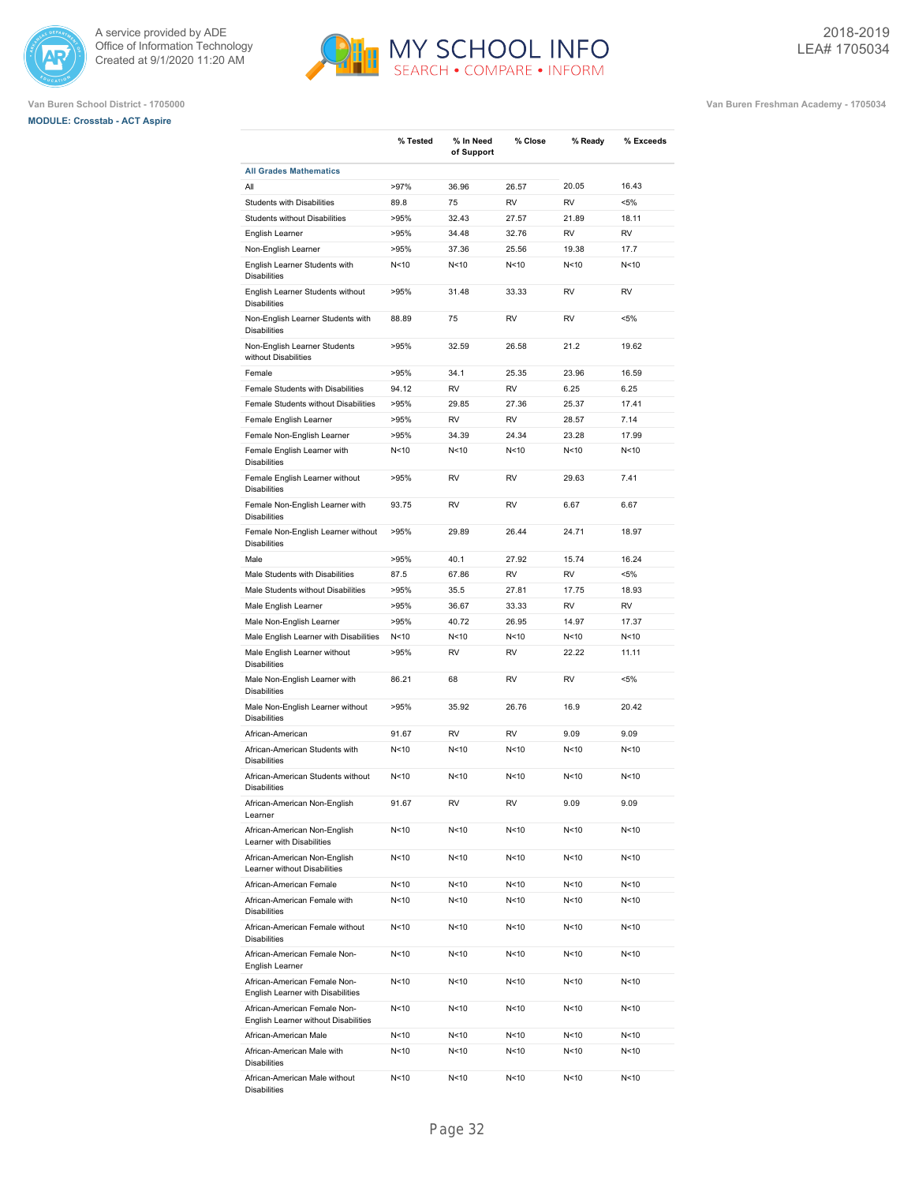





|                                                                      | % Tested        | % In Need<br>of Support | % Close         | % Ready         | % Exceeds |
|----------------------------------------------------------------------|-----------------|-------------------------|-----------------|-----------------|-----------|
| <b>All Grades Mathematics</b>                                        |                 |                         |                 |                 |           |
| All                                                                  | >97%            | 36.96                   | 26.57           | 20.05           | 16.43     |
| Students with Disabilities                                           | 89.8            | 75                      | <b>RV</b>       | <b>RV</b>       | $< 5\%$   |
| Students without Disabilities                                        | >95%            | 32.43                   | 27.57           | 21.89           | 18.11     |
| English Learner                                                      | >95%            | 34.48                   | 32.76           | <b>RV</b>       | <b>RV</b> |
| Non-English Learner                                                  | >95%            | 37.36                   | 25.56           | 19.38           | 17.7      |
| English Learner Students with<br><b>Disabilities</b>                 | N <sub>10</sub> | N<10                    | N <sub>10</sub> | N <sub>10</sub> | N<10      |
| English Learner Students without<br><b>Disabilities</b>              | >95%            | 31.48                   | 33.33           | <b>RV</b>       | <b>RV</b> |
| Non-English Learner Students with<br><b>Disabilities</b>             | 88.89           | 75                      | <b>RV</b>       | <b>RV</b>       | $< 5\%$   |
| Non-English Learner Students<br>without Disabilities                 | >95%            | 32.59                   | 26.58           | 21.2            | 19.62     |
| Female                                                               | >95%            | 34.1                    | 25.35           | 23.96           | 16.59     |
| Female Students with Disabilities                                    | 94.12           | <b>RV</b>               | <b>RV</b>       | 6.25            | 6.25      |
| Female Students without Disabilities                                 | >95%            | 29.85                   | 27.36           | 25.37           | 17.41     |
| Female English Learner                                               | >95%            | <b>RV</b>               | <b>RV</b>       | 28.57           | 7.14      |
| Female Non-English Learner                                           | >95%            | 34.39                   | 24.34           | 23.28           | 17.99     |
| Female English Learner with<br><b>Disabilities</b>                   | N <sub>10</sub> | N<10                    | N <sub>10</sub> | N <sub>10</sub> | N<10      |
| Female English Learner without<br><b>Disabilities</b>                | >95%            | <b>RV</b>               | <b>RV</b>       | 29.63           | 7.41      |
| Female Non-English Learner with<br><b>Disabilities</b>               | 93.75           | <b>RV</b>               | <b>RV</b>       | 6.67            | 6.67      |
| Female Non-English Learner without<br><b>Disabilities</b>            | >95%            | 29.89                   | 26.44           | 24.71           | 18.97     |
| Male                                                                 | >95%            | 40.1                    | 27.92           | 15.74           | 16.24     |
| Male Students with Disabilities                                      | 87.5            | 67.86                   | <b>RV</b>       | <b>RV</b>       | $< 5\%$   |
| Male Students without Disabilities                                   | >95%            | 35.5                    | 27.81           | 17.75           | 18.93     |
| Male English Learner                                                 | >95%            | 36.67                   | 33.33           | <b>RV</b>       | <b>RV</b> |
| Male Non-English Learner                                             | >95%            | 40.72                   | 26.95           | 14.97           | 17.37     |
| Male English Learner with Disabilities                               | N <sub>10</sub> | N<10                    | N<10            | N <sub>10</sub> | N<10      |
| Male English Learner without<br><b>Disabilities</b>                  | >95%            | <b>RV</b>               | <b>RV</b>       | 22.22           | 11.11     |
| Male Non-English Learner with<br><b>Disabilities</b>                 | 86.21           | 68                      | <b>RV</b>       | <b>RV</b>       | $< 5\%$   |
| Male Non-English Learner without<br><b>Disabilities</b>              | >95%            | 35.92                   | 26.76           | 16.9            | 20.42     |
| African-American                                                     | 91.67           | <b>RV</b>               | <b>RV</b>       | 9.09            | 9.09      |
| African-American Students with<br><b>Disabilities</b>                | N <sub>10</sub> | N<10                    | N <sub>10</sub> | N <sub>10</sub> | N<10      |
| African-American Students without<br><b>Disabilities</b>             | N<10            | N<10                    | N<10            | N<10            | N<10      |
| African-American Non-English<br>Learner                              | 91.67           | RV                      | RV              | 9.09            | 9.09      |
| African-American Non-English<br>Learner with Disabilities            | N<10            | N<10                    | N<10            | N<10            | N<10      |
| African-American Non-English<br>Learner without Disabilities         | N<10            | N<10                    | N<10            | N<10            | N<10      |
| African-American Female                                              | N<10            | N<10                    | N<10            | N<10            | N<10      |
| African-American Female with<br><b>Disabilities</b>                  | N<10            | N<10                    | N<10            | N<10            | N<10      |
| African-American Female without<br><b>Disabilities</b>               | N<10            | N<10                    | N<10            | N<10            | N<10      |
| African-American Female Non-<br>English Learner                      | N<10            | N<10                    | N<10            | N<10            | N<10      |
| African-American Female Non-<br>English Learner with Disabilities    | N<10            | N<10                    | N<10            | N<10            | N<10      |
| African-American Female Non-<br>English Learner without Disabilities | N<10            | N<10                    | N<10            | N<10            | N<10      |
| African-American Male                                                | N <sub>10</sub> | N<10                    | N<10            | N <sub>10</sub> | N<10      |
| African-American Male with<br><b>Disabilities</b>                    | N<10            | N<10                    | N<10            | N<10            | N<10      |
| African-American Male without<br>Disabilities                        | N <sub>10</sub> | N<10                    | N<10            | N<10            | N<10      |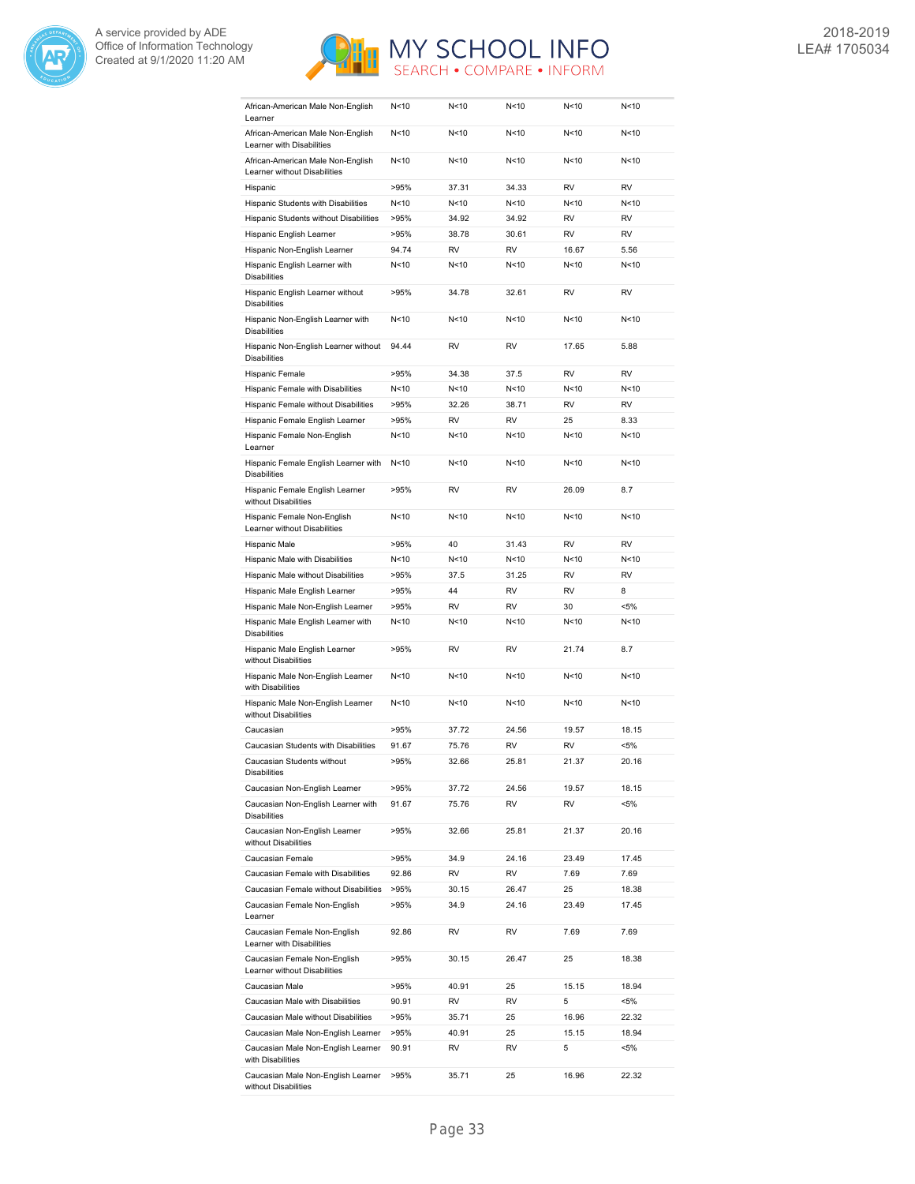



| African-American Male Non-English<br>Learner                          | N <sub>10</sub> | N<10           | N<10               | N < 10             | N<10             |
|-----------------------------------------------------------------------|-----------------|----------------|--------------------|--------------------|------------------|
| African-American Male Non-English<br>Learner with Disabilities        | N<10            | N<10           | N<10               | N <sub>10</sub>    | N<10             |
| African-American Male Non-English<br>Learner without Disabilities     | N <sub>10</sub> | N<10           | N <sub>10</sub>    | N <sub>10</sub>    | N<10             |
| Hispanic                                                              | >95%            | 37.31          | 34.33              | <b>RV</b>          | <b>RV</b>        |
| Hispanic Students with Disabilities                                   | N <sub>10</sub> | N<10           | N <sub>10</sub>    | N <sub>10</sub>    | N<10             |
| Hispanic Students without Disabilities                                | >95%            | 34.92          | 34.92              | <b>RV</b>          | <b>RV</b>        |
| Hispanic English Learner                                              | >95%            | 38.78          | 30.61              | <b>RV</b>          | <b>RV</b>        |
| Hispanic Non-English Learner                                          | 94.74           | <b>RV</b>      | <b>RV</b>          | 16.67              | 5.56             |
| Hispanic English Learner with                                         | N<10            | N<10           | N<10               | N<10               | N<10             |
| <b>Disabilities</b><br>Hispanic English Learner without               | >95%            | 34.78          | 32.61              | <b>RV</b>          | <b>RV</b>        |
| <b>Disabilities</b><br>Hispanic Non-English Learner with              | N < 10          | N<10           | N<10               | N <sub>10</sub>    | N<10             |
| <b>Disabilities</b>                                                   |                 |                |                    |                    |                  |
| Hispanic Non-English Learner without<br><b>Disabilities</b>           | 94.44           | <b>RV</b>      | <b>RV</b>          | 17.65              | 5.88             |
| Hispanic Female                                                       | >95%            | 34.38          | 37.5               | <b>RV</b>          | <b>RV</b>        |
| Hispanic Female with Disabilities                                     | N <sub>10</sub> | N<10           | N <sub>10</sub>    | N <sub>10</sub>    | N<10             |
| Hispanic Female without Disabilities                                  | >95%            | 32.26          | 38.71              | <b>RV</b>          | <b>RV</b>        |
| Hispanic Female English Learner                                       | >95%            | <b>RV</b>      | <b>RV</b>          | 25                 | 8.33             |
| Hispanic Female Non-English<br>Learner                                | N<10            | N<10           | N <sub>10</sub>    | N <sub>10</sub>    | N<10             |
| Hispanic Female English Learner with<br><b>Disabilities</b>           | N < 10          | N<10           | N<10               | N <sub>10</sub>    | N<10             |
| Hispanic Female English Learner<br>without Disabilities               | >95%            | <b>RV</b>      | <b>RV</b>          | 26.09              | 8.7              |
| Hispanic Female Non-English<br>Learner without Disabilities           | N <sub>10</sub> | N<10           | N <sub>10</sub>    | N <sub>10</sub>    | N<10             |
| Hispanic Male                                                         | >95%            | 40             | 31.43              | <b>RV</b>          | <b>RV</b>        |
| Hispanic Male with Disabilities                                       | N <sub>10</sub> | N<10           | N <sub>10</sub>    | N <sub>10</sub>    | N<10             |
| Hispanic Male without Disabilities                                    | >95%            | 37.5           | 31.25              | <b>RV</b>          | <b>RV</b>        |
| Hispanic Male English Learner                                         | >95%            | 44             | <b>RV</b>          | <b>RV</b>          | 8                |
| Hispanic Male Non-English Learner                                     | >95%            | <b>RV</b>      | RV                 | 30                 | <5%              |
| Hispanic Male English Learner with<br><b>Disabilities</b>             | N<10            | N<10           | N < 10             | N < 10             | N<10             |
|                                                                       |                 |                |                    |                    |                  |
| Hispanic Male English Learner<br>without Disabilities                 | >95%            | RV             | RV                 | 21.74              | 8.7              |
| Hispanic Male Non-English Learner<br>with Disabilities                | N < 10          | N<10           | N < 10             | N <sub>10</sub>    | N<10             |
| Hispanic Male Non-English Learner<br>without Disabilities             | N <sub>10</sub> | N<10           | N <sub>10</sub>    | N <sub>10</sub>    | N<10             |
| Caucasian                                                             | >95%            | 37.72          | 24.56              | 19.57              | 18.15            |
|                                                                       |                 |                |                    |                    |                  |
| Caucasian Students with Disabilities<br>Caucasian Students without    | 91.67<br>>95%   | 75.76<br>32.66 | <b>RV</b><br>25.81 | <b>RV</b><br>21.37 | $< 5\%$<br>20.16 |
| <b>Disabilities</b>                                                   |                 |                |                    |                    |                  |
| Caucasian Non-English Learner<br>Caucasian Non-English Learner with   | >95%<br>91.67   | 37.72<br>75.76 | 24.56<br>RV        | 19.57<br>RV        | 18.15<br><5%     |
| <b>Disabilities</b><br>Caucasian Non-English Learner                  | >95%            | 32.66          | 25.81              | 21.37              | 20.16            |
| without Disabilities                                                  |                 |                |                    |                    |                  |
| Caucasian Female                                                      | >95%            | 34.9           | 24.16              | 23.49              | 17.45            |
| Caucasian Female with Disabilities                                    | 92.86           | RV             | RV                 | 7.69               | 7.69             |
| Caucasian Female without Disabilities<br>Caucasian Female Non-English | >95%<br>>95%    | 30.15<br>34.9  | 26.47<br>24.16     | 25<br>23.49        | 18.38<br>17.45   |
| Learner<br>Caucasian Female Non-English                               | 92.86           | RV             | RV                 | 7.69               | 7.69             |
| Learner with Disabilities<br>Caucasian Female Non-English             | >95%            | 30.15          | 26.47              | 25                 | 18.38            |
| Learner without Disabilities                                          |                 |                |                    |                    |                  |
| Caucasian Male                                                        | >95%            | 40.91          | 25                 | 15.15              | 18.94            |
| Caucasian Male with Disabilities                                      | 90.91           | RV             | RV                 | 5                  | <5%              |
| Caucasian Male without Disabilities                                   | >95%            | 35.71          | 25                 | 16.96              | 22.32            |
| Caucasian Male Non-English Learner                                    | >95%            | 40.91          | 25                 | 15.15              | 18.94            |
| Caucasian Male Non-English Learner<br>with Disabilities               | 90.91           | RV             | RV                 | 5                  | <5%              |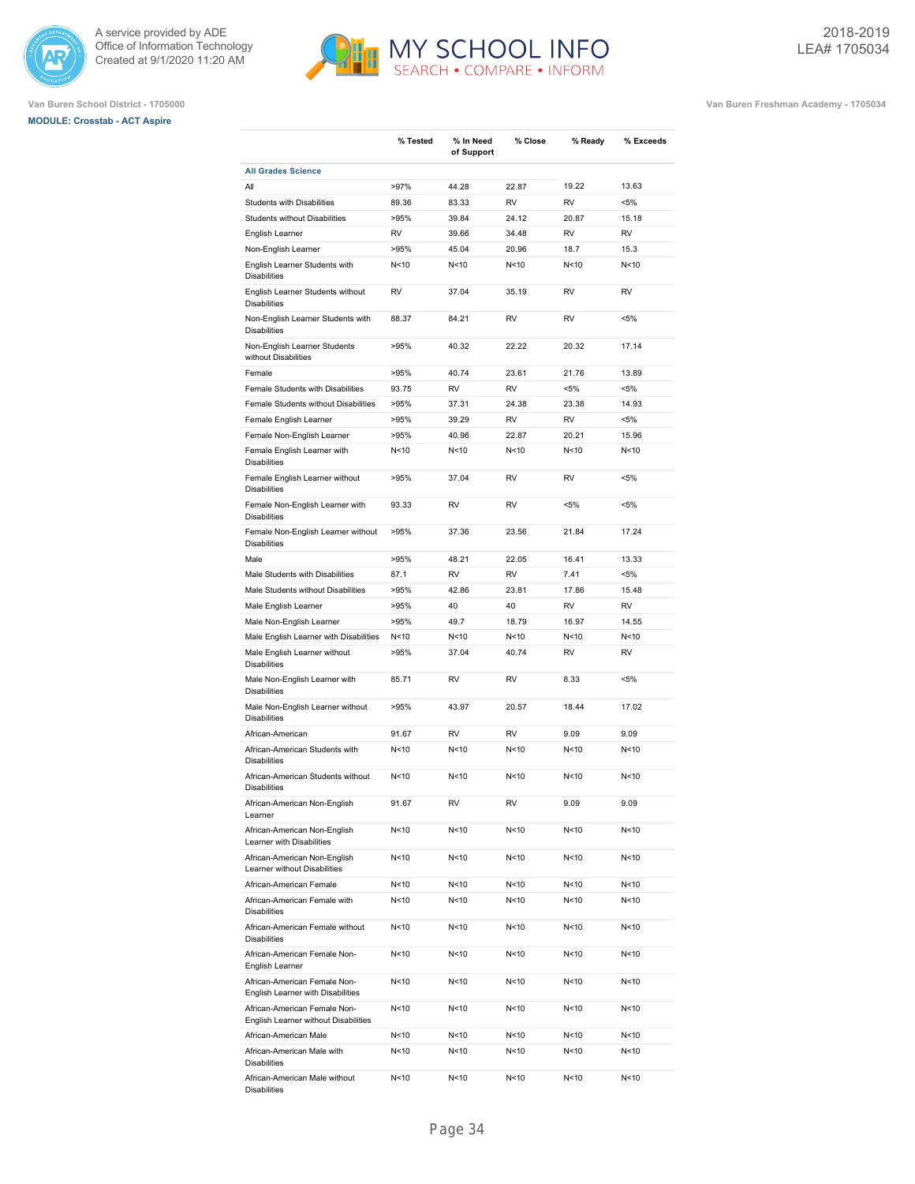





|                                                                      | % Tested        | % In Need<br>of Support | % Close   | % Ready         | % Exceeds |
|----------------------------------------------------------------------|-----------------|-------------------------|-----------|-----------------|-----------|
| <b>All Grades Science</b>                                            |                 |                         |           |                 |           |
| All                                                                  | >97%            | 44.28                   | 22.87     | 19.22           | 13.63     |
| <b>Students with Disabilities</b>                                    | 89.36           | 83.33                   | <b>RV</b> | <b>RV</b>       | $< 5\%$   |
| Students without Disabilities                                        | >95%            | 39.84                   | 24.12     | 20.87           | 15.18     |
| English Learner                                                      | <b>RV</b>       | 39.66                   | 34.48     | <b>RV</b>       | <b>RV</b> |
| Non-English Learner                                                  | >95%            | 45.04                   | 20.96     | 18.7            | 15.3      |
| English Learner Students with<br><b>Disabilities</b>                 | N<10            | N<10                    | N<10      | N <sub>10</sub> | N<10      |
| English Learner Students without<br><b>Disabilities</b>              | <b>RV</b>       | 37.04                   | 35.19     | <b>RV</b>       | <b>RV</b> |
| Non-English Learner Students with<br><b>Disabilities</b>             | 88.37           | 84.21                   | <b>RV</b> | <b>RV</b>       | $< 5\%$   |
| Non-English Learner Students<br>without Disabilities                 | >95%            | 40.32                   | 22.22     | 20.32           | 17.14     |
| Female                                                               | >95%            | 40.74                   | 23.61     | 21.76           | 13.89     |
| Female Students with Disabilities                                    | 93.75           | RV                      | <b>RV</b> | $< 5\%$         | <5%       |
| Female Students without Disabilities                                 | >95%            | 37.31                   | 24.38     | 23.38           | 14.93     |
| Female English Learner                                               | >95%            | 39.29                   | <b>RV</b> | <b>RV</b>       | $< 5\%$   |
| Female Non-English Learner                                           | >95%            | 40.96                   | 22.87     | 20.21           | 15.96     |
| Female English Learner with<br><b>Disabilities</b>                   | N<10            | N<10                    | N < 10    | N < 10          | N<10      |
| Female English Learner without<br><b>Disabilities</b>                | >95%            | 37.04                   | <b>RV</b> | <b>RV</b>       | $< 5\%$   |
| Female Non-English Learner with<br><b>Disabilities</b>               | 93.33           | RV                      | <b>RV</b> | $< 5\%$         | $< 5\%$   |
| Female Non-English Learner without<br><b>Disabilities</b>            | >95%            | 37.36                   | 23.56     | 21.84           | 17.24     |
| Male                                                                 | >95%            | 48.21                   | 22.05     | 16.41           | 13.33     |
| Male Students with Disabilities                                      | 87.1            | <b>RV</b>               | <b>RV</b> | 7.41            | $< 5\%$   |
| Male Students without Disabilities                                   | >95%            | 42.86                   | 23.81     | 17.86           | 15.48     |
| Male English Learner                                                 | >95%            | 40                      | 40        | <b>RV</b>       | <b>RV</b> |
| Male Non-English Learner                                             | >95%            | 49.7                    | 18.79     | 16.97           | 14.55     |
| Male English Learner with Disabilities                               | N<10            | N<10                    | N < 10    | N <sub>10</sub> | N<10      |
| Male English Learner without<br><b>Disabilities</b>                  | >95%            | 37.04                   | 40.74     | <b>RV</b>       | <b>RV</b> |
| Male Non-English Learner with<br><b>Disabilities</b>                 | 85.71           | <b>RV</b>               | <b>RV</b> | 8.33            | $< 5\%$   |
| Male Non-English Learner without<br><b>Disabilities</b>              | >95%            | 43.97                   | 20.57     | 18.44           | 17.02     |
| African-American                                                     | 91.67           | <b>RV</b>               | <b>RV</b> | 9.09            | 9.09      |
| African-American Students with<br><b>Disabilities</b>                | N<10            | N<10                    | N < 10    | N <sub>10</sub> | N<10      |
| African-American Students without<br><b>Disabilities</b>             | N <sub>10</sub> | N <sub>10</sub>         | N < 10    | N <sub>10</sub> | N<10      |
| African-American Non-English<br>Learner                              | 91.67           | RV                      | RV        | 9.09            | 9.09      |
| African-American Non-English<br>Learner with Disabilities            | N<10            | N<10                    | N<10      | N<10            | N<10      |
| African-American Non-English<br>Learner without Disabilities         | N<10            | N<10                    | N<10      | N<10            | N<10      |
| African-American Female                                              | N<10            | N<10                    | N<10      | N<10            | N<10      |
| African-American Female with<br><b>Disabilities</b>                  | N <sub>10</sub> | N<10                    | N<10      | N<10            | N<10      |
| African-American Female without<br><b>Disabilities</b>               | N<10            | N<10                    | N<10      | N<10            | N<10      |
| African-American Female Non-<br>English Learner                      | N<10            | N<10                    | N<10      | N<10            | N<10      |
| African-American Female Non-<br>English Learner with Disabilities    | N<10            | N<10                    | N<10      | N <sub>10</sub> | N<10      |
| African-American Female Non-<br>English Learner without Disabilities | N<10            | N<10                    | N<10      | N<10            | N<10      |
| African-American Male                                                | N<10            | N<10                    | N<10      | N<10            | N<10      |
| African-American Male with<br><b>Disabilities</b>                    | N<10            | N<10                    | N<10      | N<10            | N<10      |
| African-American Male without<br><b>Disabilities</b>                 | N<10            | N<10                    | N < 10    | N<10            | N<10      |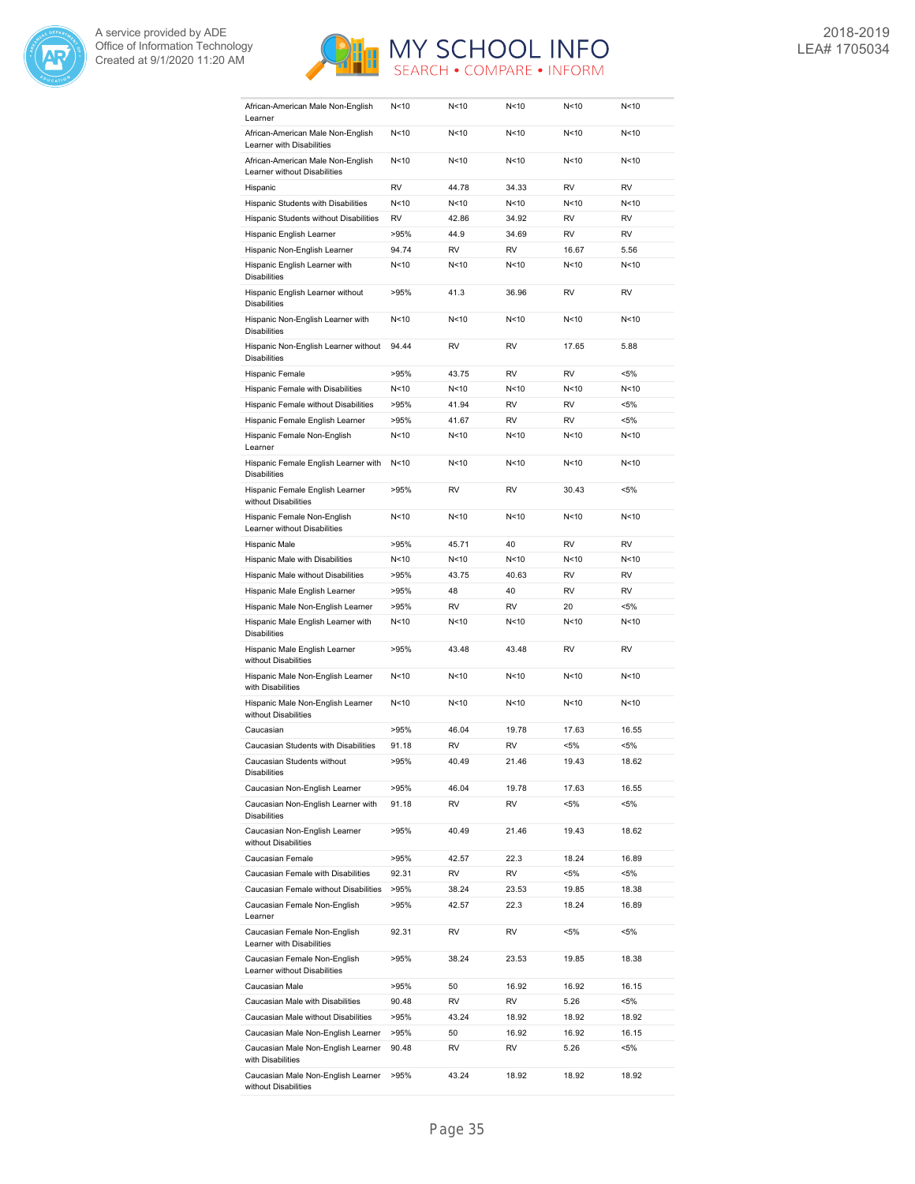



| African-American Male Non-English<br>Learner                      | N<10            | N < 10    | N<10            | N <sub>10</sub> | N<10      |
|-------------------------------------------------------------------|-----------------|-----------|-----------------|-----------------|-----------|
| African-American Male Non-English<br>Learner with Disabilities    | N<10            | N<10      | N<10            | N <sub>10</sub> | N<10      |
| African-American Male Non-English<br>Learner without Disabilities | N<10            | N<10      | N<10            | N <sub>10</sub> | N<10      |
| Hispanic                                                          | <b>RV</b>       | 44.78     | 34.33           | <b>RV</b>       | <b>RV</b> |
| Hispanic Students with Disabilities                               | N <sub>10</sub> | N<10      | N <sub>10</sub> | N <sub>10</sub> | N<10      |
| Hispanic Students without Disabilities                            | <b>RV</b>       | 42.86     | 34.92           | <b>RV</b>       | <b>RV</b> |
| Hispanic English Learner                                          | >95%            | 44.9      | 34.69           | <b>RV</b>       | <b>RV</b> |
| Hispanic Non-English Learner                                      | 94.74           | <b>RV</b> | <b>RV</b>       | 16.67           | 5.56      |
| Hispanic English Learner with                                     | N <sub>10</sub> | N<10      | N <sub>10</sub> | N<10            | N<10      |
| <b>Disabilities</b><br>Hispanic English Learner without           | >95%            | 41.3      | 36.96           | <b>RV</b>       | <b>RV</b> |
| <b>Disabilities</b>                                               |                 |           |                 |                 |           |
| Hispanic Non-English Learner with<br><b>Disabilities</b>          | N <sub>10</sub> | N<10      | N <sub>10</sub> | N <sub>10</sub> | N<10      |
| Hispanic Non-English Learner without<br><b>Disabilities</b>       | 94.44           | <b>RV</b> | <b>RV</b>       | 17.65           | 5.88      |
| Hispanic Female                                                   | >95%            | 43.75     | <b>RV</b>       | <b>RV</b>       | $< 5\%$   |
| Hispanic Female with Disabilities                                 | N <sub>10</sub> | N<10      | N <sub>10</sub> | N <sub>10</sub> | N<10      |
| Hispanic Female without Disabilities                              | >95%            | 41.94     | <b>RV</b>       | <b>RV</b>       | $< 5\%$   |
| Hispanic Female English Learner                                   | >95%            | 41.67     | <b>RV</b>       | <b>RV</b>       | $< 5\%$   |
| Hispanic Female Non-English<br>Learner                            | N <sub>10</sub> | N<10      | N <sub>10</sub> | N <sub>10</sub> | N<10      |
| Hispanic Female English Learner with<br><b>Disabilities</b>       | N < 10          | N<10      | N <sub>10</sub> | N <sub>10</sub> | N<10      |
| Hispanic Female English Learner<br>without Disabilities           | >95%            | <b>RV</b> | <b>RV</b>       | 30.43           | $< 5\%$   |
| Hispanic Female Non-English<br>Learner without Disabilities       | N <sub>10</sub> | N<10      | N<10            | N <sub>10</sub> | N<10      |
| Hispanic Male                                                     | >95%            | 45.71     | 40              | <b>RV</b>       | <b>RV</b> |
| Hispanic Male with Disabilities                                   | N <sub>10</sub> | N<10      | N <sub>10</sub> | N <sub>10</sub> | N<10      |
| Hispanic Male without Disabilities                                | >95%            | 43.75     | 40.63           | <b>RV</b>       | <b>RV</b> |
| Hispanic Male English Learner                                     | >95%            | 48        | 40              | <b>RV</b>       | <b>RV</b> |
| Hispanic Male Non-English Learner                                 | >95%            | <b>RV</b> | <b>RV</b>       | 20              | $< 5\%$   |
| Hispanic Male English Learner with                                | N < 10          | N<10      | N <sub>10</sub> | N <sub>10</sub> | N<10      |
| <b>Disabilities</b><br>Hispanic Male English Learner              | >95%            | 43.48     | 43.48           | <b>RV</b>       | <b>RV</b> |
| without Disabilities<br>Hispanic Male Non-English Learner         | N<10            | N<10      | N <sub>10</sub> | N<10            | N<10      |
| with Disabilities<br>Hispanic Male Non-English Learner            | N <sub>10</sub> | N<10      | N<10            | N <sub>10</sub> | N<10      |
| without Disabilities                                              |                 |           |                 |                 |           |
| Caucasian                                                         | >95%            | 46.04     | 19.78           | 17.63           | 16.55     |
| Caucasian Students with Disabilities                              | 91.18           | <b>RV</b> | <b>RV</b>       | $< 5\%$         | $< 5\%$   |
| Caucasian Students without<br><b>Disabilities</b>                 | >95%            | 40.49     | 21.46           | 19.43           | 18.62     |
| Caucasian Non-English Learner                                     | >95%            | 46.04     | 19.78           | 17.63           | 16.55     |
| Caucasian Non-English Learner with<br><b>Disabilities</b>         | 91.18           | RV        | RV              | <5%             | <5%       |
| Caucasian Non-English Learner<br>without Disabilities             | >95%            | 40.49     | 21.46           | 19.43           | 18.62     |
| Caucasian Female                                                  | >95%            | 42.57     | 22.3            | 18.24           | 16.89     |
| Caucasian Female with Disabilities                                | 92.31           | RV        | RV              | <5%             | <5%       |
| Caucasian Female without Disabilities                             | >95%            | 38.24     | 23.53           | 19.85           | 18.38     |
| Caucasian Female Non-English<br>Learner                           | >95%            | 42.57     | 22.3            | 18.24           | 16.89     |
| Caucasian Female Non-English<br>Learner with Disabilities         | 92.31           | RV        | RV              | $< 5\%$         | $< 5\%$   |
| Caucasian Female Non-English<br>Learner without Disabilities      | >95%            | 38.24     | 23.53           | 19.85           | 18.38     |
| Caucasian Male                                                    | >95%            | 50        | 16.92           | 16.92           | 16.15     |
| Caucasian Male with Disabilities                                  | 90.48           | RV        | RV              | 5.26            | <5%       |
| Caucasian Male without Disabilities                               | >95%            | 43.24     | 18.92           | 18.92           | 18.92     |
| Caucasian Male Non-English Learner                                | >95%            | 50        | 16.92           | 16.92           | 16.15     |
| Caucasian Male Non-English Learner                                | 90.48           | RV        | RV              | 5.26            | <5%       |
| with Disabilities                                                 |                 |           |                 |                 |           |
| Caucasian Male Non-English Learner<br>without Disabilities        | >95%            | 43.24     | 18.92           | 18.92           | 18.92     |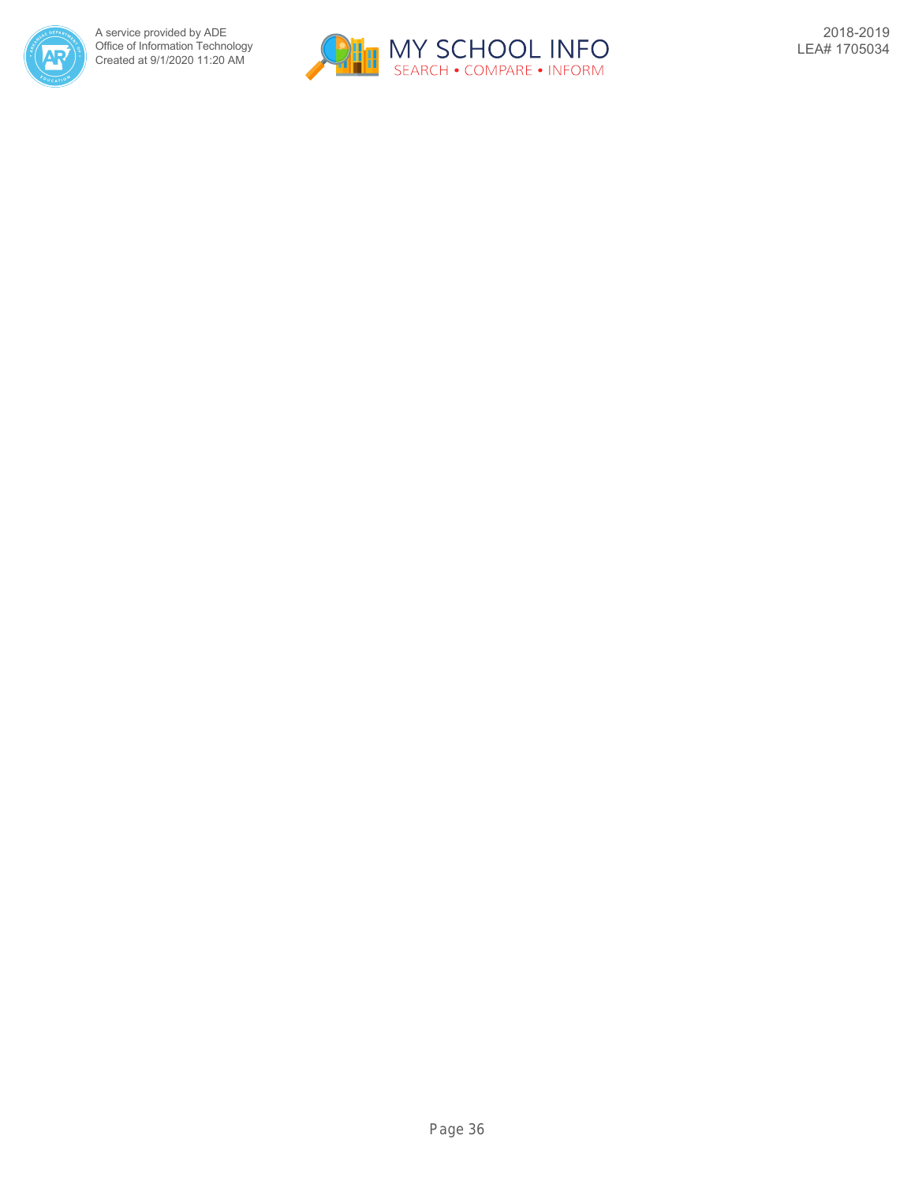

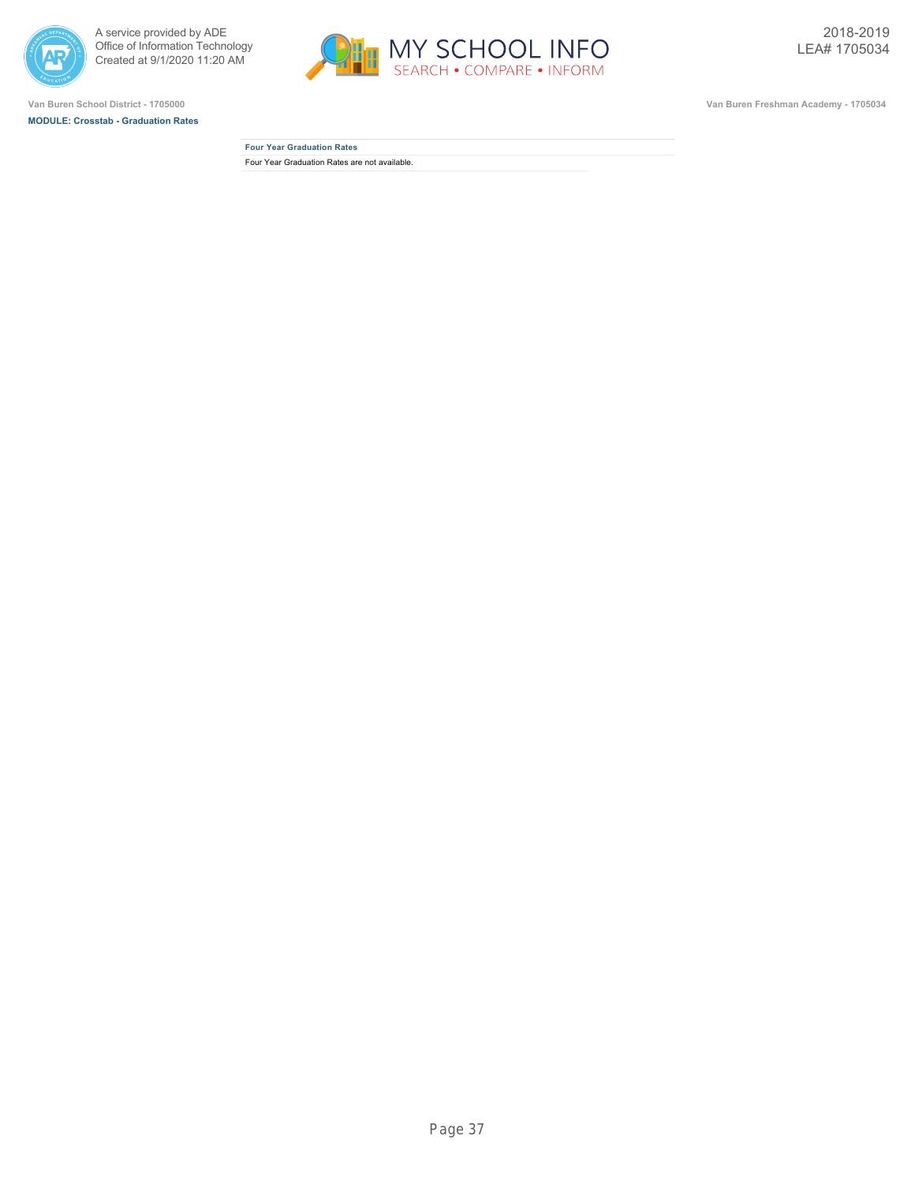



**MODULE: Crosstab - Graduation Rates**



**Van Buren School District - 1705000 Van Buren Freshman Academy - 1705034**

**Four Year Graduation Rates** Four Year Graduation Rates are not available.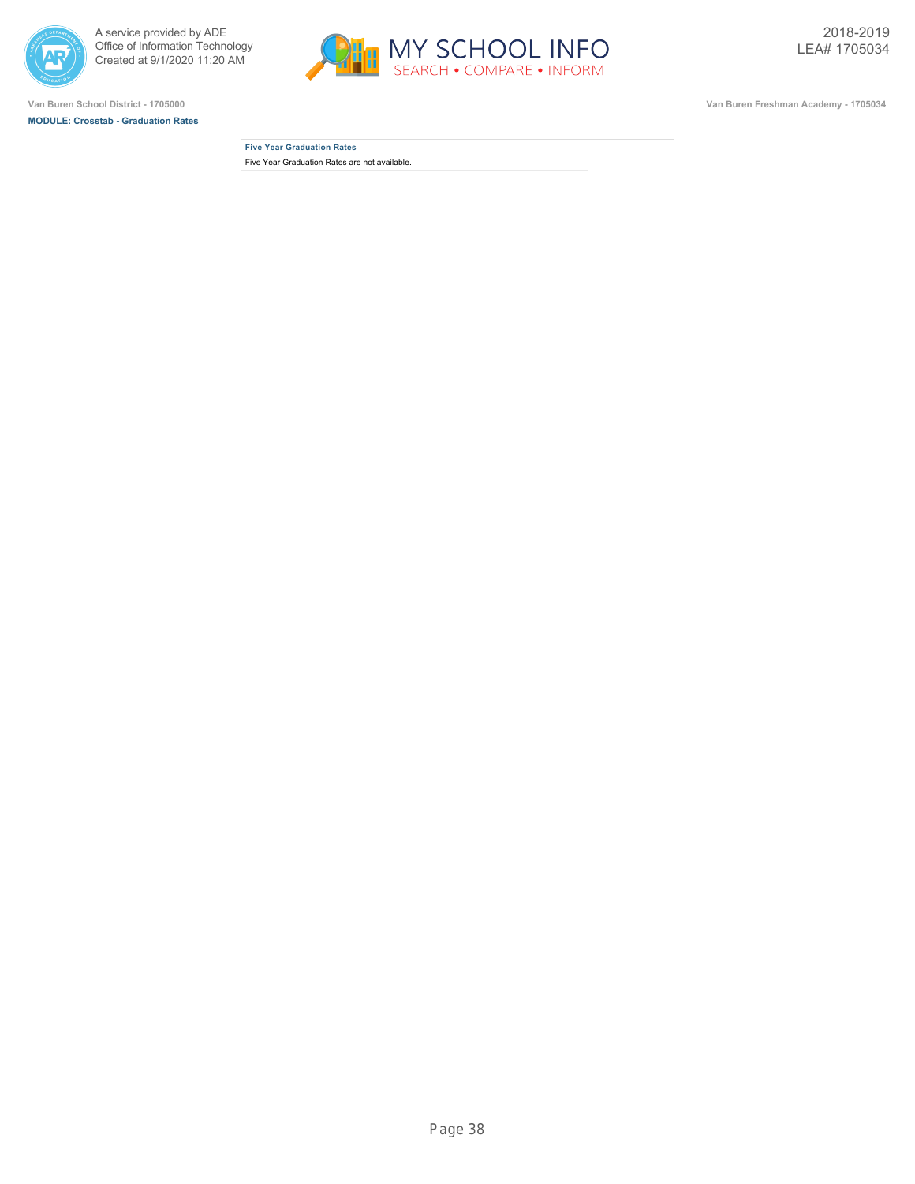



**MODULE: Crosstab - Graduation Rates**



**Van Buren School District - 1705000 Van Buren Freshman Academy - 1705034**

**Five Year Graduation Rates** Five Year Graduation Rates are not available.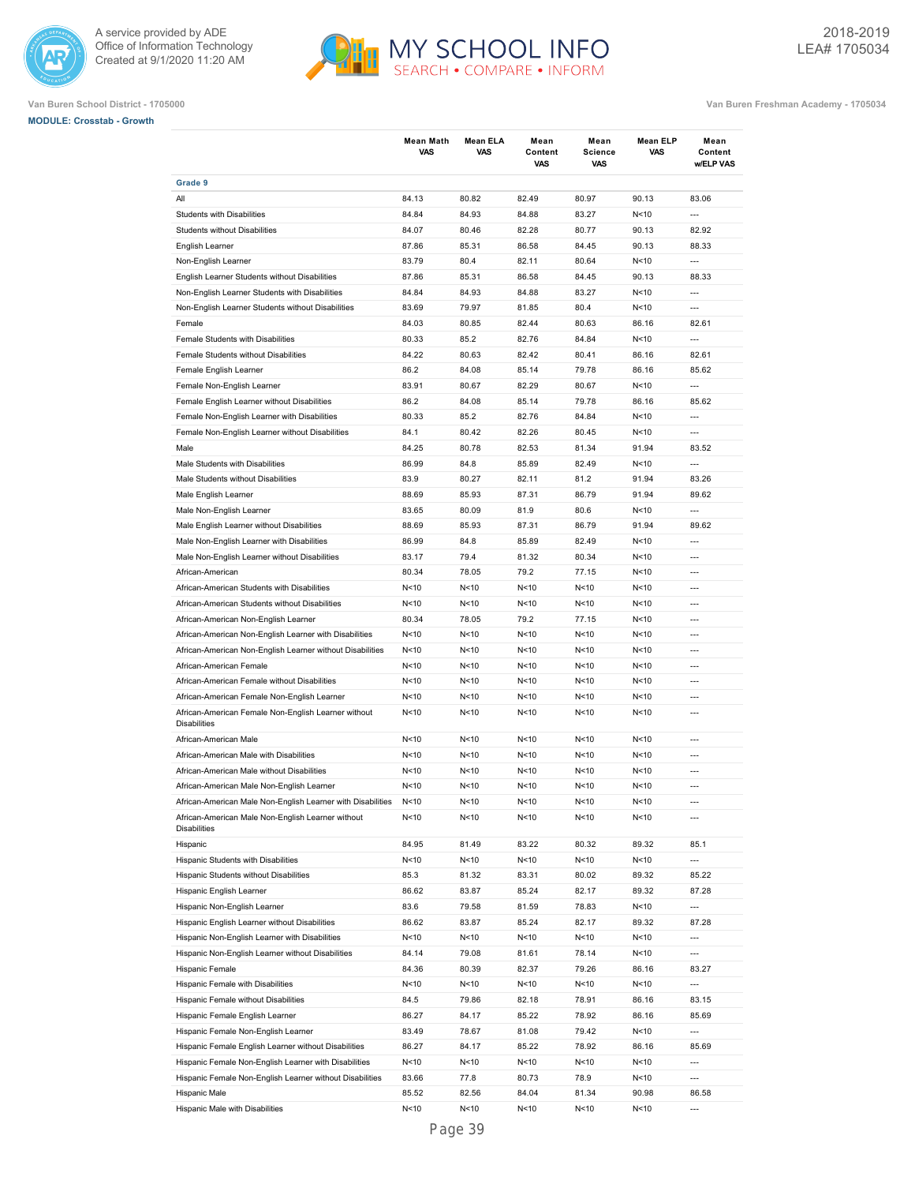



# **Van Buren School District - 1705000 Van Buren Freshman Academy - 1705034**

**MODULE: Crosstab - Growth**

|                                                                                      | Mean Math<br><b>VAS</b> | Mean ELA<br><b>VAS</b> | Mean<br>Content<br>VAS | Mean<br>Science<br>VAS | Mean ELP<br>VAS         | Mean<br>Content<br>w/ELP VAS |
|--------------------------------------------------------------------------------------|-------------------------|------------------------|------------------------|------------------------|-------------------------|------------------------------|
| Grade 9                                                                              |                         |                        |                        |                        |                         |                              |
| All                                                                                  | 84.13                   | 80.82                  | 82.49                  | 80.97                  | 90.13                   | 83.06                        |
| <b>Students with Disabilities</b>                                                    | 84.84                   | 84.93                  | 84.88                  | 83.27                  | N<10                    | ---                          |
| <b>Students without Disabilities</b>                                                 | 84.07                   | 80.46                  | 82.28                  | 80.77                  | 90.13                   | 82.92                        |
| English Learner                                                                      | 87.86                   | 85.31                  | 86.58                  | 84.45                  | 90.13                   | 88.33                        |
| Non-English Learner                                                                  | 83.79                   | 80.4                   | 82.11                  | 80.64                  | N < 10                  | ---                          |
| English Learner Students without Disabilities                                        | 87.86                   | 85.31                  | 86.58                  | 84.45                  | 90.13                   | 88.33                        |
| Non-English Learner Students with Disabilities                                       | 84.84                   | 84.93                  | 84.88                  | 83.27                  | N < 10                  | ---                          |
| Non-English Learner Students without Disabilities                                    | 83.69                   | 79.97                  | 81.85                  | 80.4                   | N<10                    | ---                          |
| Female                                                                               | 84.03                   | 80.85                  | 82.44                  | 80.63                  | 86.16                   | 82.61                        |
| Female Students with Disabilities                                                    | 80.33                   | 85.2                   | 82.76                  | 84.84                  | N < 10                  | ---                          |
| Female Students without Disabilities                                                 | 84.22                   | 80.63                  | 82.42                  | 80.41                  | 86.16                   | 82.61                        |
| Female English Learner                                                               | 86.2                    | 84.08                  | 85.14                  | 79.78                  | 86.16                   | 85.62                        |
| Female Non-English Learner                                                           | 83.91                   | 80.67                  | 82.29                  | 80.67                  | N<10                    | $\overline{a}$               |
| Female English Learner without Disabilities                                          | 86.2                    | 84.08                  | 85.14                  | 79.78                  | 86.16                   | 85.62                        |
| Female Non-English Learner with Disabilities                                         | 80.33                   | 85.2                   | 82.76                  | 84.84                  | N<10                    | $---$                        |
| Female Non-English Learner without Disabilities                                      | 84.1                    | 80.42                  | 82.26                  | 80.45                  | N < 10                  | ---                          |
| Male                                                                                 | 84.25                   | 80.78                  | 82.53                  | 81.34                  | 91.94                   | 83.52                        |
| Male Students with Disabilities<br>Male Students without Disabilities                | 86.99                   | 84.8                   | 85.89<br>82.11         | 82.49                  | N < 10                  | ---                          |
|                                                                                      | 83.9                    | 80.27                  |                        | 81.2                   | 91.94                   | 83.26                        |
| Male English Learner                                                                 | 88.69                   | 85.93                  | 87.31                  | 86.79                  | 91.94                   | 89.62                        |
| Male Non-English Learner                                                             | 83.65                   | 80.09                  | 81.9                   | 80.6                   | N<10                    | ---                          |
| Male English Learner without Disabilities                                            | 88.69                   | 85.93                  | 87.31                  | 86.79                  | 91.94                   | 89.62                        |
| Male Non-English Learner with Disabilities                                           | 86.99                   | 84.8                   | 85.89                  | 82.49                  | N<10                    | ---                          |
| Male Non-English Learner without Disabilities                                        | 83.17                   | 79.4                   | 81.32                  | 80.34                  | N <sub>10</sub>         | ---                          |
| African-American                                                                     | 80.34                   | 78.05                  | 79.2                   | 77.15                  | N < 10                  | ---                          |
| African-American Students with Disabilities                                          | N<10                    | N<10                   | N < 10                 | N<10                   | N < 10                  | ---                          |
| African-American Students without Disabilities                                       | N<10                    | N<10                   | N < 10                 | N<10                   | N <sub>10</sub>         | ---                          |
| African-American Non-English Learner                                                 | 80.34                   | 78.05                  | 79.2                   | 77.15                  | N <sub>10</sub>         | ---<br>$---$                 |
| African-American Non-English Learner with Disabilities                               | N<10<br>N<10            | N<10                   | N<10                   | N<10                   | N <sub>10</sub>         | $---$                        |
| African-American Non-English Learner without Disabilities<br>African-American Female |                         | N<10                   | N<10                   | N<10                   | N<10<br>N <sub>10</sub> | $---$                        |
| African-American Female without Disabilities                                         | N<10<br>N < 10          | N<10<br>N<10           | N<10<br>N<10           | N<10<br>N<10           | N <sub>10</sub>         | $---$                        |
| African-American Female Non-English Learner                                          | N<10                    | N<10                   | N < 10                 | N<10                   | N<10                    | $\overline{a}$               |
| African-American Female Non-English Learner without                                  | N < 10                  | N<10                   | N<10                   | N<10                   | N<10                    | $\overline{a}$               |
| <b>Disabilities</b>                                                                  |                         |                        |                        |                        |                         |                              |
| African-American Male                                                                | N<10                    | N < 10                 | N < 10                 | N<10                   | N<10                    | $---$                        |
| African-American Male with Disabilities                                              | N<10                    | N<10                   | N < 10                 | N < 10                 | N < 10                  | ---                          |
| African-American Male without Disabilities                                           | N<10                    | N<10                   | N < 10                 | N<10                   | N<10                    | ---                          |
| African-American Male Non-English Learner                                            | N<10                    | N<10                   | N < 10                 | N <sub>10</sub>        | N<10                    | $\overline{a}$               |
| African-American Male Non-English Learner with Disabilities                          | N<10                    | N<10                   | N<10                   | N<10                   | N<10                    |                              |
| African-American Male Non-English Learner without                                    | N<10                    | N<10                   | N < 10                 | N<10                   | N < 10                  | ---                          |
| <b>Disabilities</b>                                                                  |                         |                        |                        |                        |                         |                              |
| Hispanic                                                                             | 84.95                   | 81.49                  | 83.22                  | 80.32                  | 89.32                   | 85.1                         |
| Hispanic Students with Disabilities                                                  | N<10                    | N<10                   | N < 10                 | N<10                   | N <sub>10</sub>         | ---                          |
| Hispanic Students without Disabilities                                               | 85.3                    | 81.32                  | 83.31                  | 80.02                  | 89.32                   | 85.22                        |
| Hispanic English Learner                                                             | 86.62                   | 83.87                  | 85.24                  | 82.17                  | 89.32                   | 87.28                        |
| Hispanic Non-English Learner                                                         | 83.6                    | 79.58                  | 81.59                  | 78.83                  | N <sub>10</sub>         | ---                          |
| Hispanic English Learner without Disabilities                                        | 86.62                   | 83.87                  | 85.24                  | 82.17                  | 89.32                   | 87.28                        |
| Hispanic Non-English Learner with Disabilities                                       | N<10                    | N<10                   | N<10                   | N<10                   | N <sub>10</sub>         | ---                          |
| Hispanic Non-English Learner without Disabilities                                    | 84.14                   | 79.08                  | 81.61                  | 78.14                  | N<10                    | ---                          |
| Hispanic Female                                                                      | 84.36                   | 80.39                  | 82.37                  | 79.26                  | 86.16                   | 83.27                        |
| Hispanic Female with Disabilities                                                    | N <sub>10</sub>         | N<10                   | N<10                   | N<10                   | N<10                    | ---                          |
| Hispanic Female without Disabilities                                                 | 84.5                    | 79.86                  | 82.18                  | 78.91                  | 86.16                   | 83.15                        |
| Hispanic Female English Learner                                                      | 86.27                   | 84.17                  | 85.22                  | 78.92                  | 86.16                   | 85.69                        |
| Hispanic Female Non-English Learner                                                  | 83.49                   | 78.67                  | 81.08                  | 79.42                  | N<10                    | ---                          |
| Hispanic Female English Learner without Disabilities                                 | 86.27                   | 84.17                  | 85.22                  | 78.92                  | 86.16                   | 85.69                        |
| Hispanic Female Non-English Learner with Disabilities                                | N<10                    | N<10                   | N<10                   | N<10                   | N <sub>10</sub>         | ---                          |
| Hispanic Female Non-English Learner without Disabilities                             | 83.66                   | 77.8                   | 80.73                  | 78.9                   | N<10                    | ---                          |
| Hispanic Male                                                                        | 85.52                   | 82.56                  | 84.04                  | 81.34                  | 90.98                   | 86.58                        |
| Hispanic Male with Disabilities                                                      | N<10                    | N<10                   | N < 10                 | N<10                   | N <sub>10</sub>         | ---                          |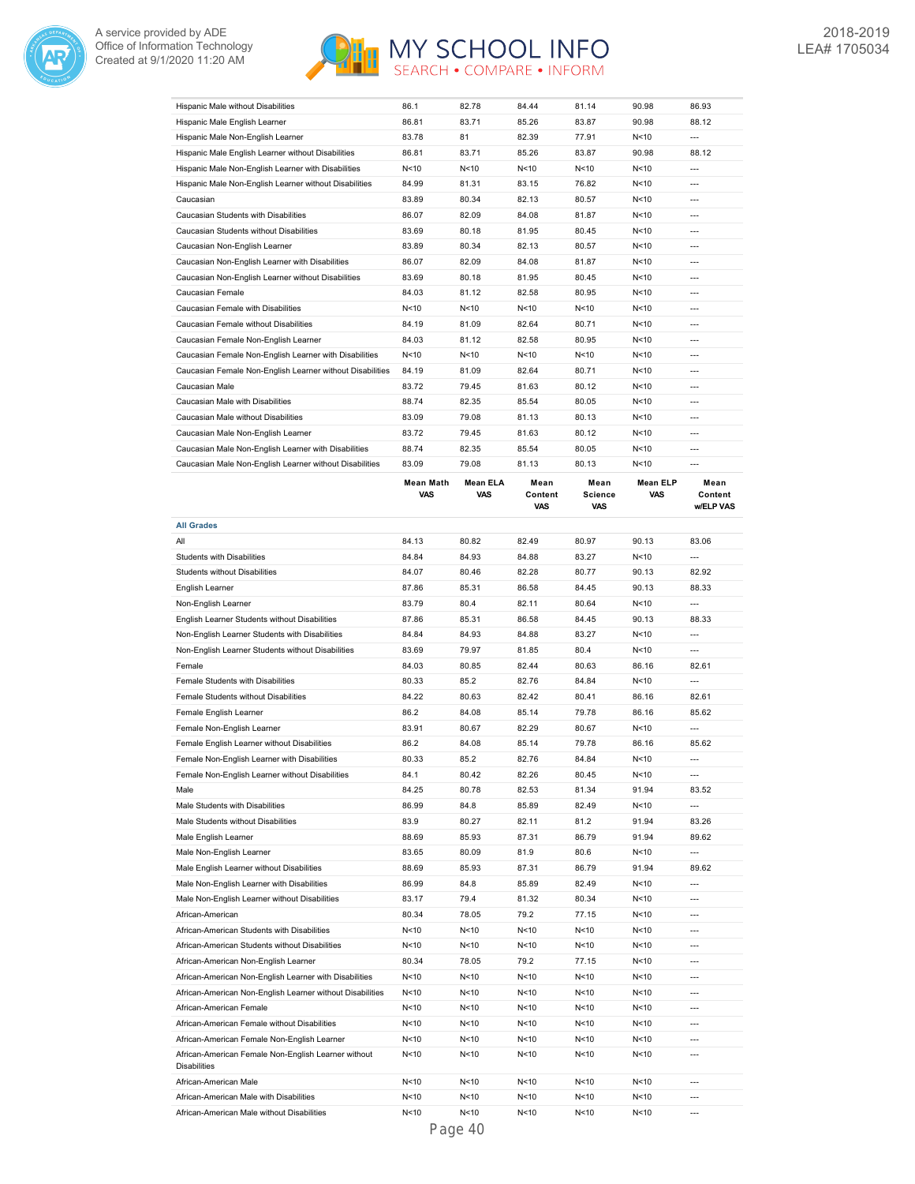

| Hispanic Male without Disabilities                        | 86.1                           | 82.78                         | 84.44                  | 81.14                         | 90.98                         | 86.93                        |
|-----------------------------------------------------------|--------------------------------|-------------------------------|------------------------|-------------------------------|-------------------------------|------------------------------|
| Hispanic Male English Learner                             | 86.81                          | 83.71                         | 85.26                  | 83.87                         | 90.98                         | 88.12                        |
| Hispanic Male Non-English Learner                         | 83.78                          | 81                            | 82.39                  | 77.91                         | N < 10                        | $\overline{a}$               |
| Hispanic Male English Learner without Disabilities        | 86.81                          | 83.71                         | 85.26                  | 83.87                         | 90.98                         | 88.12                        |
| Hispanic Male Non-English Learner with Disabilities       | N<10                           | N < 10                        | N<10                   | N<10                          | N < 10                        | ---                          |
| Hispanic Male Non-English Learner without Disabilities    | 84.99                          | 81.31                         | 83.15                  | 76.82                         | N < 10                        | $\overline{\phantom{a}}$     |
| Caucasian                                                 | 83.89                          | 80.34                         | 82.13                  | 80.57                         | N<10                          | $---$                        |
| Caucasian Students with Disabilities                      | 86.07                          | 82.09                         | 84.08                  | 81.87                         | N<10                          | ---                          |
| Caucasian Students without Disabilities                   | 83.69                          | 80.18                         | 81.95                  | 80.45                         | N < 10                        | $\overline{a}$               |
| Caucasian Non-English Learner                             | 83.89                          | 80.34                         | 82.13                  | 80.57                         | N<10                          | $\overline{a}$               |
| Caucasian Non-English Learner with Disabilities           | 86.07                          | 82.09                         | 84.08                  | 81.87                         | N<10                          | $\overline{a}$               |
| Caucasian Non-English Learner without Disabilities        | 83.69                          | 80.18                         | 81.95                  | 80.45                         | N<10                          | $\overline{a}$               |
| Caucasian Female                                          | 84.03                          | 81.12                         | 82.58                  | 80.95                         | N < 10                        | $\overline{\phantom{a}}$     |
| Caucasian Female with Disabilities                        | N < 10                         | N <sub>10</sub>               | N<10                   | N<10                          | N<10                          | ---                          |
| Caucasian Female without Disabilities                     | 84.19                          | 81.09                         | 82.64                  | 80.71                         | N<10                          | $\overline{\phantom{a}}$     |
| Caucasian Female Non-English Learner                      | 84.03                          | 81.12                         | 82.58                  | 80.95                         | N < 10                        | $\overline{\phantom{a}}$     |
| Caucasian Female Non-English Learner with Disabilities    | N < 10                         | N < 10                        | N<10                   | N<10                          | N < 10                        | $---$                        |
| Caucasian Female Non-English Learner without Disabilities | 84.19                          | 81.09                         | 82.64                  | 80.71                         | N<10                          | $\overline{a}$               |
| Caucasian Male                                            | 83.72                          | 79.45                         | 81.63                  | 80.12                         | N<10                          | $\overline{a}$               |
| Caucasian Male with Disabilities                          | 88.74                          | 82.35                         | 85.54                  | 80.05                         | N<10                          | $\overline{\phantom{a}}$     |
| Caucasian Male without Disabilities                       | 83.09                          | 79.08                         | 81.13                  | 80.13                         | N < 10                        | $\overline{a}$               |
| Caucasian Male Non-English Learner                        | 83.72                          | 79.45                         | 81.63                  | 80.12                         | N<10                          | $\overline{\phantom{a}}$     |
| Caucasian Male Non-English Learner with Disabilities      | 88.74                          | 82.35                         | 85.54                  | 80.05                         | N < 10                        | $\overline{a}$               |
| Caucasian Male Non-English Learner without Disabilities   | 83.09                          | 79.08                         | 81.13                  | 80.13                         | N < 10                        | ---                          |
|                                                           | <b>Mean Math</b><br><b>VAS</b> | <b>Mean ELA</b><br><b>VAS</b> | Mean<br>Content<br>VAS | Mean<br><b>Science</b><br>VAS | <b>Mean ELP</b><br><b>VAS</b> | Mean<br>Content<br>w/ELP VAS |
| <b>All Grades</b>                                         |                                |                               |                        |                               |                               |                              |
| All                                                       | 84.13                          | 80.82                         | 82.49                  | 80.97                         | 90.13                         | 83.06                        |
| <b>Students with Disabilities</b>                         | 84.84                          | 84.93                         | 84.88                  | 83.27                         | N < 10                        | $\overline{a}$               |
| <b>Students without Disabilities</b>                      | 84.07                          | 80.46                         | 82.28                  | 80.77                         | 90.13                         | 82.92                        |
| English Learner                                           | 87.86                          | 85.31                         | 86.58                  | 84.45                         | 90.13                         | 88.33                        |
| Non-English Learner                                       | 83.79                          | 80.4                          | 82.11                  | 80.64                         | N < 10                        | $\overline{a}$               |

| <b>Students without Disabilities</b>                                       | 84.07  | 80.46           | 82.28           | 80.77           | 90.13           | 82.92          |
|----------------------------------------------------------------------------|--------|-----------------|-----------------|-----------------|-----------------|----------------|
| English Learner                                                            | 87.86  | 85.31           | 86.58           | 84.45           | 90.13           | 88.33          |
| Non-English Learner                                                        | 83.79  | 80.4            | 82.11           | 80.64           | N <sub>10</sub> | ---            |
| English Learner Students without Disabilities                              | 87.86  | 85.31           | 86.58           | 84.45           | 90.13           | 88.33          |
| Non-English Learner Students with Disabilities                             | 84.84  | 84.93           | 84.88           | 83.27           | N <sub>10</sub> | $---$          |
| Non-English Learner Students without Disabilities                          | 83.69  | 79.97           | 81.85           | 80.4            | N <sub>10</sub> | ---            |
| Female                                                                     | 84.03  | 80.85           | 82.44           | 80.63           | 86.16           | 82.61          |
| Female Students with Disabilities                                          | 80.33  | 85.2            | 82.76           | 84.84           | N <sub>10</sub> | ---            |
| Female Students without Disabilities                                       | 84.22  | 80.63           | 82.42           | 80.41           | 86.16           | 82.61          |
| Female English Learner                                                     | 86.2   | 84.08           | 85.14           | 79.78           | 86.16           | 85.62          |
| Female Non-English Learner                                                 | 83.91  | 80.67           | 82.29           | 80.67           | N<10            | ---            |
| Female English Learner without Disabilities                                | 86.2   | 84.08           | 85.14           | 79.78           | 86.16           | 85.62          |
| Female Non-English Learner with Disabilities                               | 80.33  | 85.2            | 82.76           | 84.84           | N <sub>10</sub> | ---            |
| Female Non-English Learner without Disabilities                            | 84.1   | 80.42           | 82.26           | 80.45           | N<10            | $\overline{a}$ |
| Male                                                                       | 84.25  | 80.78           | 82.53           | 81.34           | 91.94           | 83.52          |
| Male Students with Disabilities                                            | 86.99  | 84.8            | 85.89           | 82.49           | N<10            | ---            |
| Male Students without Disabilities                                         | 83.9   | 80.27           | 82.11           | 81.2            | 91.94           | 83.26          |
| Male English Learner                                                       | 88.69  | 85.93           | 87.31           | 86.79           | 91.94           | 89.62          |
| Male Non-English Learner                                                   | 83.65  | 80.09           | 81.9            | 80.6            | N<10            | ---            |
| Male English Learner without Disabilities                                  | 88.69  | 85.93           | 87.31           | 86.79           | 91.94           | 89.62          |
| Male Non-English Learner with Disabilities                                 | 86.99  | 84.8            | 85.89           | 82.49           | N <sub>10</sub> | ---            |
| Male Non-English Learner without Disabilities                              | 83.17  | 79.4            | 81.32           | 80.34           | N <sub>10</sub> | ---            |
| African-American                                                           | 80.34  | 78.05           | 79.2            | 77.15           | N <sub>10</sub> | $---$          |
| African-American Students with Disabilities                                | N < 10 | N <sub>10</sub> | N<10            | N<10            | N <sub>10</sub> | ---            |
| African-American Students without Disabilities                             | N < 10 | N <sub>10</sub> | N<10            | N<10            | N <sub>10</sub> | ---            |
| African-American Non-English Learner                                       | 80.34  | 78.05           | 79.2            | 77.15           | N <sub>10</sub> | ---            |
| African-American Non-English Learner with Disabilities                     | N<10   | N <sub>10</sub> | N<10            | N < 10          | N <sub>10</sub> | ---            |
| African-American Non-English Learner without Disabilities                  | N < 10 | N <sub>10</sub> | N<10            | N < 10          | N <sub>10</sub> | ---            |
| African-American Female                                                    | N < 10 | N < 10          | N<10            | N<10            | N<10            | ---            |
| African-American Female without Disabilities                               | N < 10 | N<10            | N<10            | N<10            | N<10            | ---            |
| African-American Female Non-English Learner                                | N < 10 | N < 10          | N<10            | N<10            | N<10            | ---            |
| African-American Female Non-English Learner without<br><b>Disabilities</b> | N < 10 | N < 10          | N<10            | N<10            | N<10            | ---            |
| African-American Male                                                      | N < 10 | N <sub>10</sub> | N<10            | N<10            | N <sub>10</sub> | ---            |
| African-American Male with Disabilities                                    | N < 10 | N < 10          | N<10            | N<10            | N <sub>10</sub> | ---            |
| African-American Male without Disabilities                                 | N < 10 | N <sub>10</sub> | N <sub>10</sub> | N <sub>10</sub> | N <sub>10</sub> | ---            |